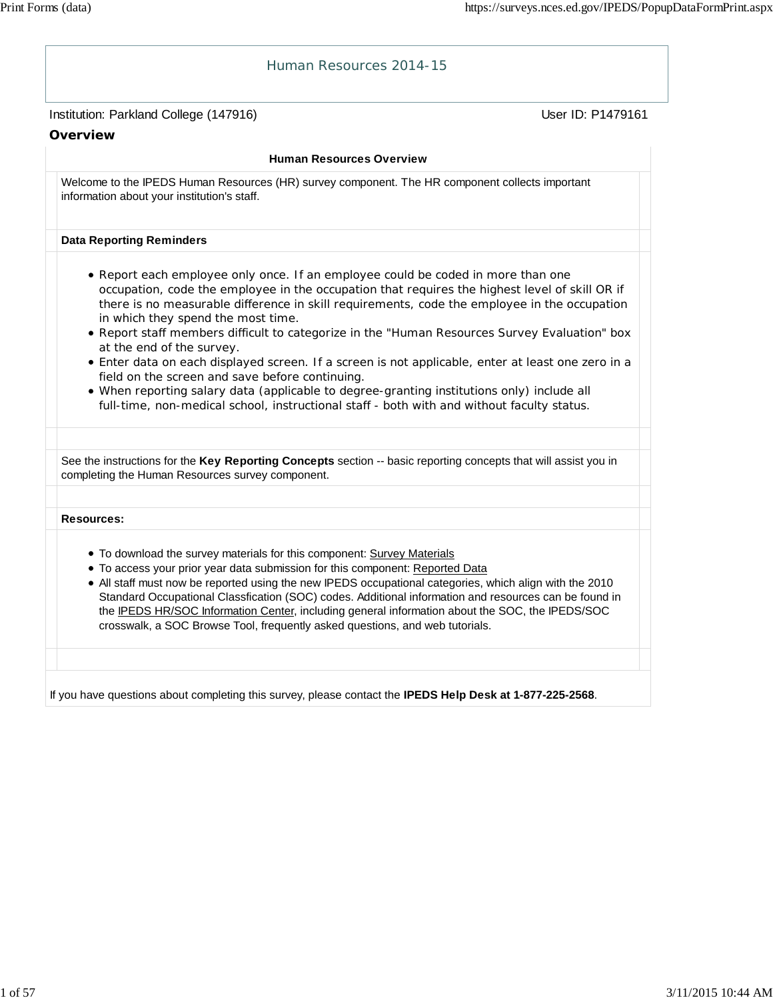| Human Resources 2014-15                                                                                                                                                                                                                                                                                                                                                                                                                                                                                                                                                                                                                                                                                                                                                                                     |                   |
|-------------------------------------------------------------------------------------------------------------------------------------------------------------------------------------------------------------------------------------------------------------------------------------------------------------------------------------------------------------------------------------------------------------------------------------------------------------------------------------------------------------------------------------------------------------------------------------------------------------------------------------------------------------------------------------------------------------------------------------------------------------------------------------------------------------|-------------------|
| Institution: Parkland College (147916)                                                                                                                                                                                                                                                                                                                                                                                                                                                                                                                                                                                                                                                                                                                                                                      | User ID: P1479161 |
| Overview                                                                                                                                                                                                                                                                                                                                                                                                                                                                                                                                                                                                                                                                                                                                                                                                    |                   |
| <b>Human Resources Overview</b>                                                                                                                                                                                                                                                                                                                                                                                                                                                                                                                                                                                                                                                                                                                                                                             |                   |
| Welcome to the IPEDS Human Resources (HR) survey component. The HR component collects important<br>information about your institution's staff.                                                                                                                                                                                                                                                                                                                                                                                                                                                                                                                                                                                                                                                              |                   |
| <b>Data Reporting Reminders</b>                                                                                                                                                                                                                                                                                                                                                                                                                                                                                                                                                                                                                                                                                                                                                                             |                   |
| • Report each employee only once. If an employee could be coded in more than one<br>occupation, code the employee in the occupation that requires the highest level of skill OR if<br>there is no measurable difference in skill requirements, code the employee in the occupation<br>in which they spend the most time.<br>. Report staff members difficult to categorize in the "Human Resources Survey Evaluation" box<br>at the end of the survey.<br>• Enter data on each displayed screen. If a screen is not applicable, enter at least one zero in a<br>field on the screen and save before continuing.<br>. When reporting salary data (applicable to degree-granting institutions only) include all<br>full-time, non-medical school, instructional staff - both with and without faculty status. |                   |
| See the instructions for the Key Reporting Concepts section -- basic reporting concepts that will assist you in                                                                                                                                                                                                                                                                                                                                                                                                                                                                                                                                                                                                                                                                                             |                   |
| completing the Human Resources survey component.                                                                                                                                                                                                                                                                                                                                                                                                                                                                                                                                                                                                                                                                                                                                                            |                   |
| <b>Resources:</b>                                                                                                                                                                                                                                                                                                                                                                                                                                                                                                                                                                                                                                                                                                                                                                                           |                   |
| . To download the survey materials for this component: Survey Materials<br>• To access your prior year data submission for this component: Reported Data<br>• All staff must now be reported using the new IPEDS occupational categories, which align with the 2010<br>Standard Occupational Classfication (SOC) codes. Additional information and resources can be found in<br>the IPEDS HR/SOC Information Center, including general information about the SOC, the IPEDS/SOC<br>crosswalk, a SOC Browse Tool, frequently asked questions, and web tutorials.                                                                                                                                                                                                                                             |                   |
|                                                                                                                                                                                                                                                                                                                                                                                                                                                                                                                                                                                                                                                                                                                                                                                                             |                   |
| If you have questions about completing this survey, please contact the IPEDS Help Desk at 1-877-225-2568.                                                                                                                                                                                                                                                                                                                                                                                                                                                                                                                                                                                                                                                                                                   |                   |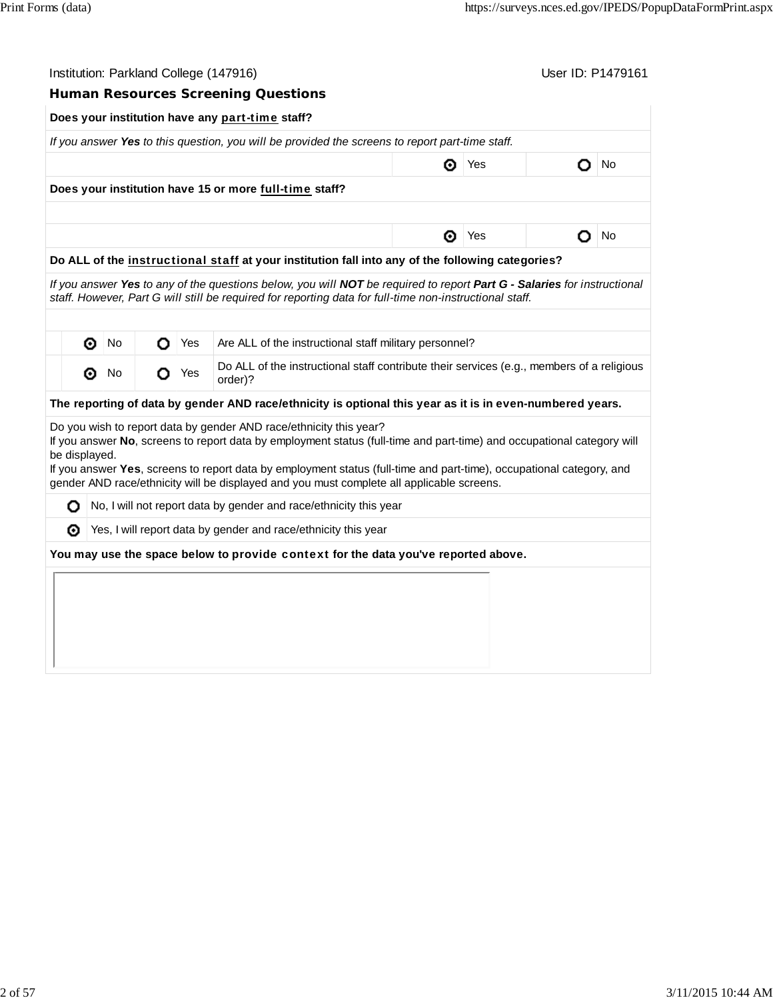|               | Institution: Parkland College (147916)<br>User ID: P1479161                                      |                             |   |     |                                                                                                                                                                                                                   |                                                        |     |   |    |  |  |  |  |
|---------------|--------------------------------------------------------------------------------------------------|-----------------------------|---|-----|-------------------------------------------------------------------------------------------------------------------------------------------------------------------------------------------------------------------|--------------------------------------------------------|-----|---|----|--|--|--|--|
|               |                                                                                                  |                             |   |     | <b>Human Resources Screening Questions</b>                                                                                                                                                                        |                                                        |     |   |    |  |  |  |  |
|               | Does your institution have any part-time staff?                                                  |                             |   |     |                                                                                                                                                                                                                   |                                                        |     |   |    |  |  |  |  |
|               |                                                                                                  |                             |   |     | If you answer Yes to this question, you will be provided the screens to report part-time staff.                                                                                                                   |                                                        |     |   |    |  |  |  |  |
|               |                                                                                                  |                             |   |     |                                                                                                                                                                                                                   | ⊙                                                      | Yes | O | No |  |  |  |  |
|               |                                                                                                  |                             |   |     | Does your institution have 15 or more full-time staff?                                                                                                                                                            |                                                        |     |   |    |  |  |  |  |
|               |                                                                                                  |                             |   |     |                                                                                                                                                                                                                   |                                                        |     |   |    |  |  |  |  |
|               |                                                                                                  |                             |   |     |                                                                                                                                                                                                                   | ◉                                                      | Yes | o | No |  |  |  |  |
|               | Do ALL of the instructional staff at your institution fall into any of the following categories? |                             |   |     |                                                                                                                                                                                                                   |                                                        |     |   |    |  |  |  |  |
|               |                                                                                                  |                             |   |     | If you answer Yes to any of the questions below, you will NOT be required to report Part G - Salaries for instructional                                                                                           |                                                        |     |   |    |  |  |  |  |
|               |                                                                                                  |                             |   |     | staff. However, Part G will still be required for reporting data for full-time non-instructional staff.                                                                                                           |                                                        |     |   |    |  |  |  |  |
|               |                                                                                                  |                             |   |     |                                                                                                                                                                                                                   |                                                        |     |   |    |  |  |  |  |
|               | ◉                                                                                                | No                          | О | Yes |                                                                                                                                                                                                                   | Are ALL of the instructional staff military personnel? |     |   |    |  |  |  |  |
|               | ◉                                                                                                | $\overline{\phantom{a}}$ No | О | Yes | Do ALL of the instructional staff contribute their services (e.g., members of a religious<br>order)?                                                                                                              |                                                        |     |   |    |  |  |  |  |
|               |                                                                                                  |                             |   |     | The reporting of data by gender AND race/ethnicity is optional this year as it is in even-numbered years.                                                                                                         |                                                        |     |   |    |  |  |  |  |
|               |                                                                                                  |                             |   |     | Do you wish to report data by gender AND race/ethnicity this year?                                                                                                                                                |                                                        |     |   |    |  |  |  |  |
| be displayed. |                                                                                                  |                             |   |     | If you answer No, screens to report data by employment status (full-time and part-time) and occupational category will                                                                                            |                                                        |     |   |    |  |  |  |  |
|               |                                                                                                  |                             |   |     | If you answer Yes, screens to report data by employment status (full-time and part-time), occupational category, and<br>gender AND race/ethnicity will be displayed and you must complete all applicable screens. |                                                        |     |   |    |  |  |  |  |
| О             |                                                                                                  |                             |   |     | No, I will not report data by gender and race/ethnicity this year                                                                                                                                                 |                                                        |     |   |    |  |  |  |  |
| ⊙             |                                                                                                  |                             |   |     | Yes, I will report data by gender and race/ethnicity this year                                                                                                                                                    |                                                        |     |   |    |  |  |  |  |
|               |                                                                                                  |                             |   |     | You may use the space below to provide context for the data you've reported above.                                                                                                                                |                                                        |     |   |    |  |  |  |  |
|               |                                                                                                  |                             |   |     |                                                                                                                                                                                                                   |                                                        |     |   |    |  |  |  |  |
|               |                                                                                                  |                             |   |     |                                                                                                                                                                                                                   |                                                        |     |   |    |  |  |  |  |
|               |                                                                                                  |                             |   |     |                                                                                                                                                                                                                   |                                                        |     |   |    |  |  |  |  |
|               |                                                                                                  |                             |   |     |                                                                                                                                                                                                                   |                                                        |     |   |    |  |  |  |  |
|               |                                                                                                  |                             |   |     |                                                                                                                                                                                                                   |                                                        |     |   |    |  |  |  |  |
|               |                                                                                                  |                             |   |     |                                                                                                                                                                                                                   |                                                        |     |   |    |  |  |  |  |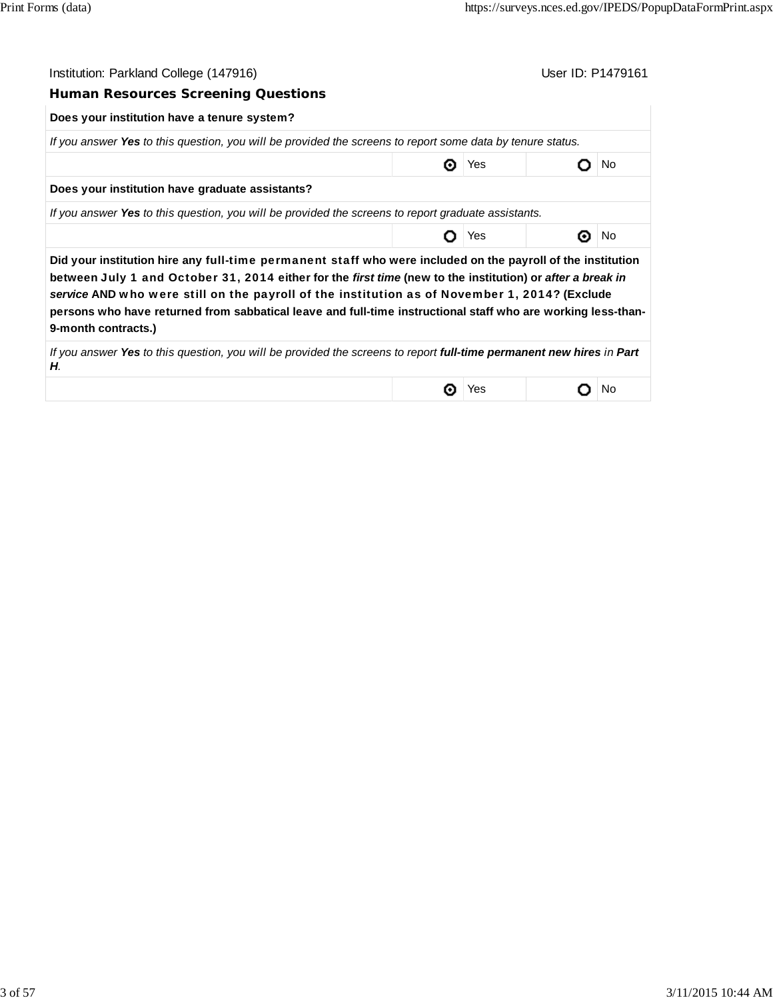| Institution: Parkland College (147916)                                                                                                                                                                                                                                                                                                                                                                                                                            |     | User ID: P1479161 |     |
|-------------------------------------------------------------------------------------------------------------------------------------------------------------------------------------------------------------------------------------------------------------------------------------------------------------------------------------------------------------------------------------------------------------------------------------------------------------------|-----|-------------------|-----|
| <b>Human Resources Screening Questions</b>                                                                                                                                                                                                                                                                                                                                                                                                                        |     |                   |     |
| Does your institution have a tenure system?                                                                                                                                                                                                                                                                                                                                                                                                                       |     |                   |     |
| If you answer Yes to this question, you will be provided the screens to report some data by tenure status.                                                                                                                                                                                                                                                                                                                                                        |     |                   |     |
|                                                                                                                                                                                                                                                                                                                                                                                                                                                                   | Yes |                   | No. |
| Does your institution have graduate assistants?                                                                                                                                                                                                                                                                                                                                                                                                                   |     |                   |     |
| If you answer Yes to this question, you will be provided the screens to report graduate assistants.                                                                                                                                                                                                                                                                                                                                                               |     |                   |     |
|                                                                                                                                                                                                                                                                                                                                                                                                                                                                   | Yes |                   | No  |
| Did your institution hire any full-time permanent staff who were included on the payroll of the institution<br>between July 1 and October 31, 2014 either for the first time (new to the institution) or after a break in<br>service AND who were still on the payroll of the institution as of November 1, 2014? (Exclude<br>persons who have returned from sabbatical leave and full-time instructional staff who are working less-than-<br>9-month contracts.) |     |                   |     |
| If you answer Yes to this question, you will be provided the screens to report <b>full-time permanent new hires</b> in Part<br>Н.                                                                                                                                                                                                                                                                                                                                 |     |                   |     |
|                                                                                                                                                                                                                                                                                                                                                                                                                                                                   | Yes |                   | No  |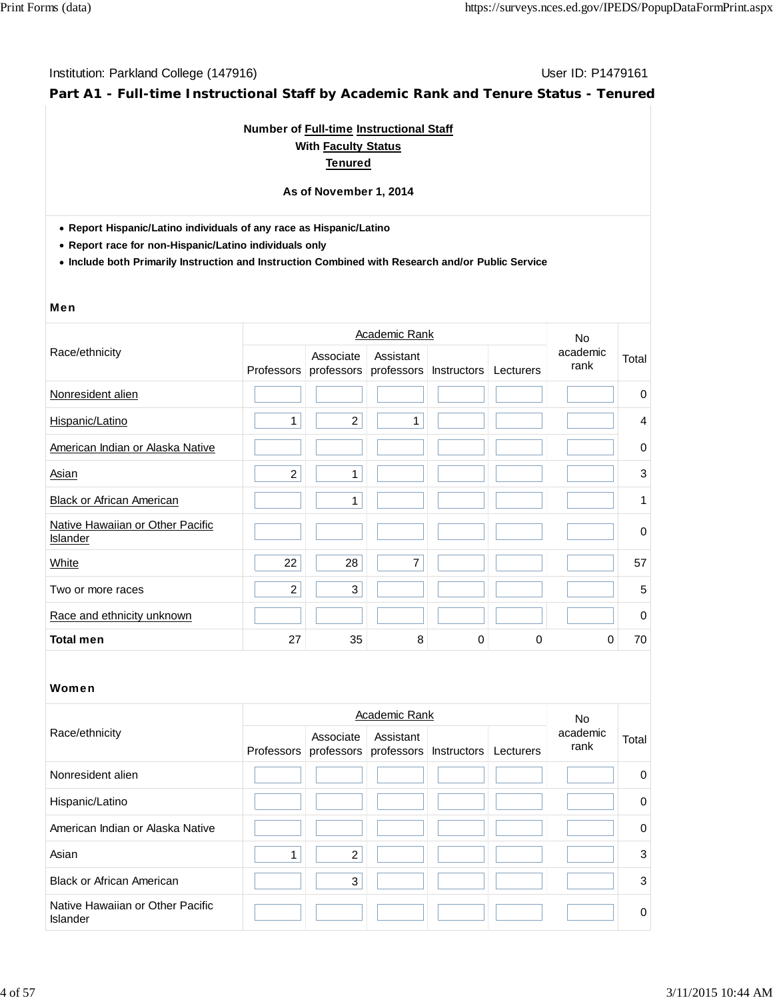**Part A1 - Full-time Instructional Staff by Academic Rank and Tenure Status - Tenured**

# **Number of Full-time Instructional Staff With Faculty Status Tenured**

#### **As of November 1, 2014**

**Report Hispanic/Latino individuals of any race as Hispanic/Latino**

**Report race for non-Hispanic/Latino individuals only**

**Include both Primarily Instruction and Instruction Combined with Research and/or Public Service**

#### Men

|                                              |                   |                | Academic Rank                      |             |           | No.              |             |
|----------------------------------------------|-------------------|----------------|------------------------------------|-------------|-----------|------------------|-------------|
| Race/ethnicity                               | <b>Professors</b> | Associate      | Assistant<br>professors professors | Instructors | Lecturers | academic<br>rank | Total       |
| Nonresident alien                            |                   |                |                                    |             |           |                  | 0           |
| Hispanic/Latino                              | 1                 | $\overline{c}$ | 1                                  |             |           |                  | 4           |
| American Indian or Alaska Native             |                   |                |                                    |             |           |                  | $\mathbf 0$ |
| Asian                                        | $\overline{c}$    | $\mathbf{1}$   |                                    |             |           |                  | 3           |
| <b>Black or African American</b>             |                   | 1              |                                    |             |           |                  | 1           |
| Native Hawaiian or Other Pacific<br>Islander |                   |                |                                    |             |           |                  | 0           |
| White                                        | 22                | 28             | $\overline{7}$                     |             |           |                  | 57          |
| Two or more races                            | $\overline{c}$    | 3              |                                    |             |           |                  | 5           |
| Race and ethnicity unknown                   |                   |                |                                    |             |           |                  | $\Omega$    |
| <b>Total men</b>                             | 27                | 35             | 8                                  | $\Omega$    | 0         | 0                | 70          |

|                                              |                                                                     | Academic Rank |  | <b>No</b>        |             |
|----------------------------------------------|---------------------------------------------------------------------|---------------|--|------------------|-------------|
| Race/ethnicity                               | Associate<br>Professors professors professors Instructors Lecturers | Assistant     |  | academic<br>rank | Total       |
| Nonresident alien                            |                                                                     |               |  |                  | $\Omega$    |
| Hispanic/Latino                              |                                                                     |               |  |                  | $\mathbf 0$ |
| American Indian or Alaska Native             |                                                                     |               |  |                  | $\mathbf 0$ |
| Asian                                        | $\overline{2}$                                                      |               |  |                  | 3           |
| <b>Black or African American</b>             | 3                                                                   |               |  |                  | 3           |
| Native Hawaiian or Other Pacific<br>Islander |                                                                     |               |  |                  | $\Omega$    |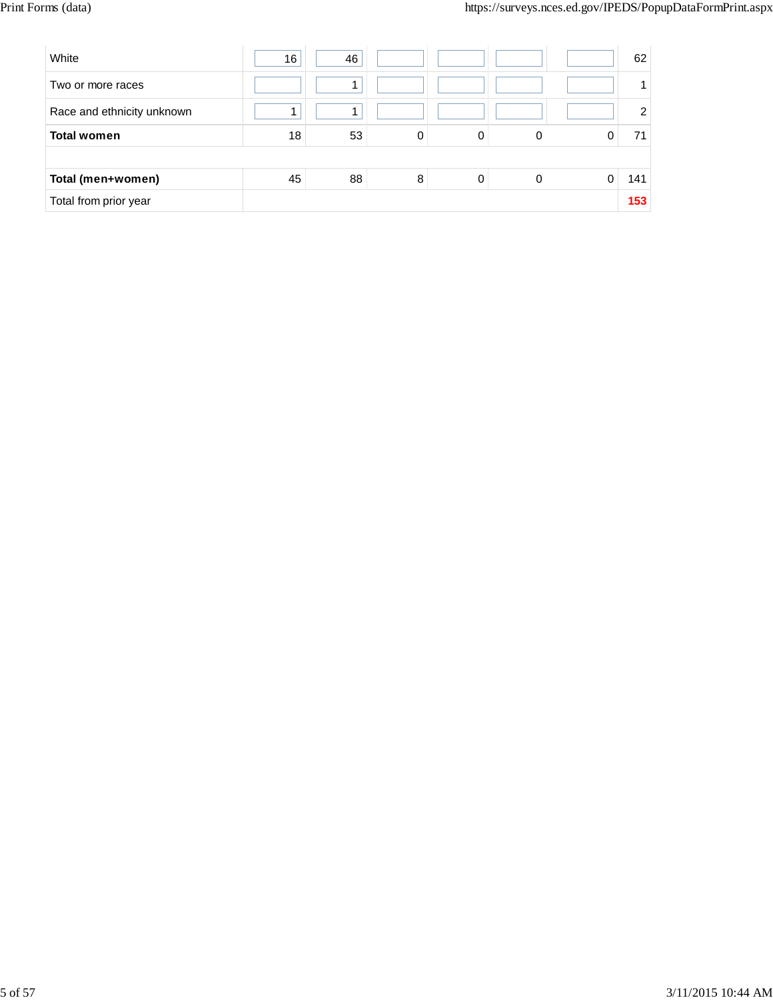| White                      | 16 | 46 |   |          |   |   | 62             |
|----------------------------|----|----|---|----------|---|---|----------------|
| Two or more races          |    | 1  |   |          |   |   |                |
| Race and ethnicity unknown |    |    |   |          |   |   | $\overline{2}$ |
| <b>Total women</b>         | 18 | 53 | 0 | 0        | 0 |   | 71             |
|                            |    |    |   |          |   |   |                |
| Total (men+women)          | 45 | 88 | 8 | $\Omega$ | 0 | 0 | 141            |
| Total from prior year      |    |    |   |          |   |   | 153            |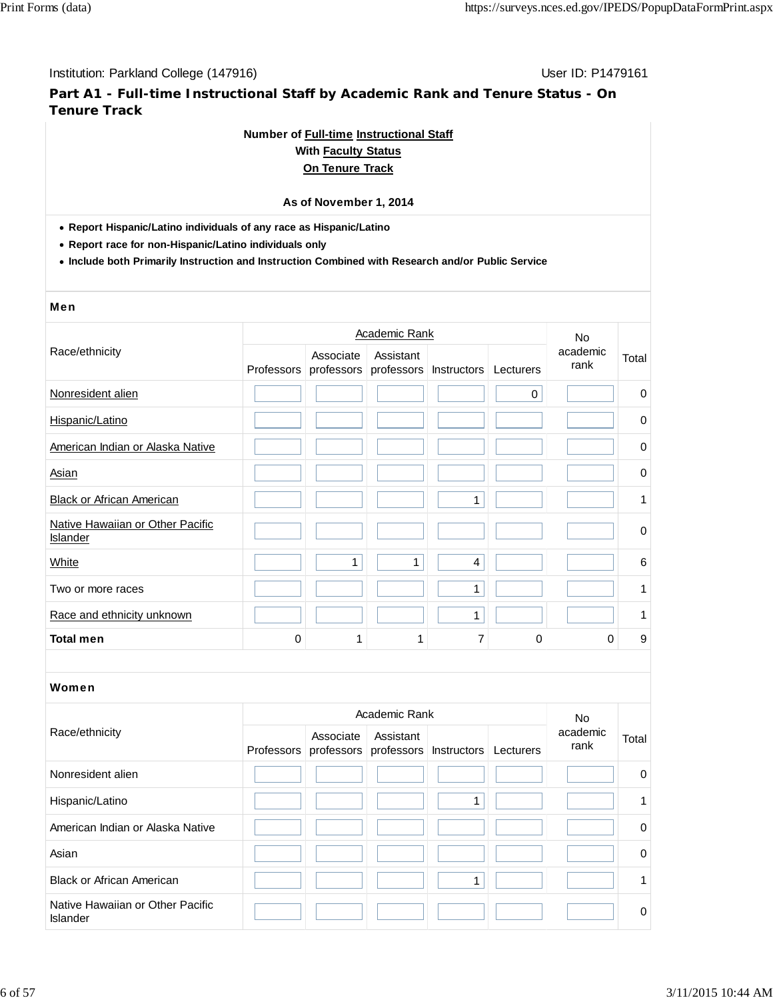**Part A1 - Full-time Instructional Staff by Academic Rank and Tenure Status - On Tenure Track**

#### **Number of Full-time Instructional Staff**

### **With Faculty Status On Tenure Track**

# **As of November 1, 2014**

**Report Hispanic/Latino individuals of any race as Hispanic/Latino**

**Report race for non-Hispanic/Latino individuals only**

**Include both Primarily Instruction and Instruction Combined with Research and/or Public Service**

#### Men

|                                                     |            |           | <b>Academic Rank</b> |                                   |           | <b>No</b>        |             |
|-----------------------------------------------------|------------|-----------|----------------------|-----------------------------------|-----------|------------------|-------------|
| Race/ethnicity                                      | Professors | Associate | Assistant            | professors professors Instructors | Lecturers | academic<br>rank | Total       |
| Nonresident alien                                   |            |           |                      |                                   | 0         |                  | $\mathbf 0$ |
| Hispanic/Latino                                     |            |           |                      |                                   |           |                  | 0           |
| American Indian or Alaska Native                    |            |           |                      |                                   |           |                  | $\mathbf 0$ |
| Asian                                               |            |           |                      |                                   |           |                  | $\pmb{0}$   |
| <b>Black or African American</b>                    |            |           |                      | 1                                 |           |                  | 1           |
| Native Hawaiian or Other Pacific<br><b>Islander</b> |            |           |                      |                                   |           |                  | $\pmb{0}$   |
| White                                               |            | 1         | 1                    | 4                                 |           |                  | 6           |
| Two or more races                                   |            |           |                      | $\mathbf{1}$                      |           |                  | 1           |
| Race and ethnicity unknown                          |            |           |                      | 1                                 |           |                  | 1           |
| <b>Total men</b>                                    | $\Omega$   | 1         | 1                    | 7                                 | 0         | 0                | 9           |
|                                                     |            |           |                      |                                   |           |                  |             |
| Women                                               |            |           |                      |                                   |           |                  |             |

|                                                     |            |           | <b>No</b>                                      |  |           |                  |                |
|-----------------------------------------------------|------------|-----------|------------------------------------------------|--|-----------|------------------|----------------|
| Race/ethnicity                                      | Professors | Associate | Assistant<br>professors professors Instructors |  | Lecturers | academic<br>rank | Total          |
| Nonresident alien                                   |            |           |                                                |  |           |                  | $\overline{0}$ |
| Hispanic/Latino                                     |            |           |                                                |  |           |                  | 1              |
| American Indian or Alaska Native                    |            |           |                                                |  |           |                  | $\mathbf 0$    |
| Asian                                               |            |           |                                                |  |           |                  | $\mathbf 0$    |
| <b>Black or African American</b>                    |            |           |                                                |  |           |                  | 1              |
| Native Hawaiian or Other Pacific<br><b>Islander</b> |            |           |                                                |  |           |                  | 0              |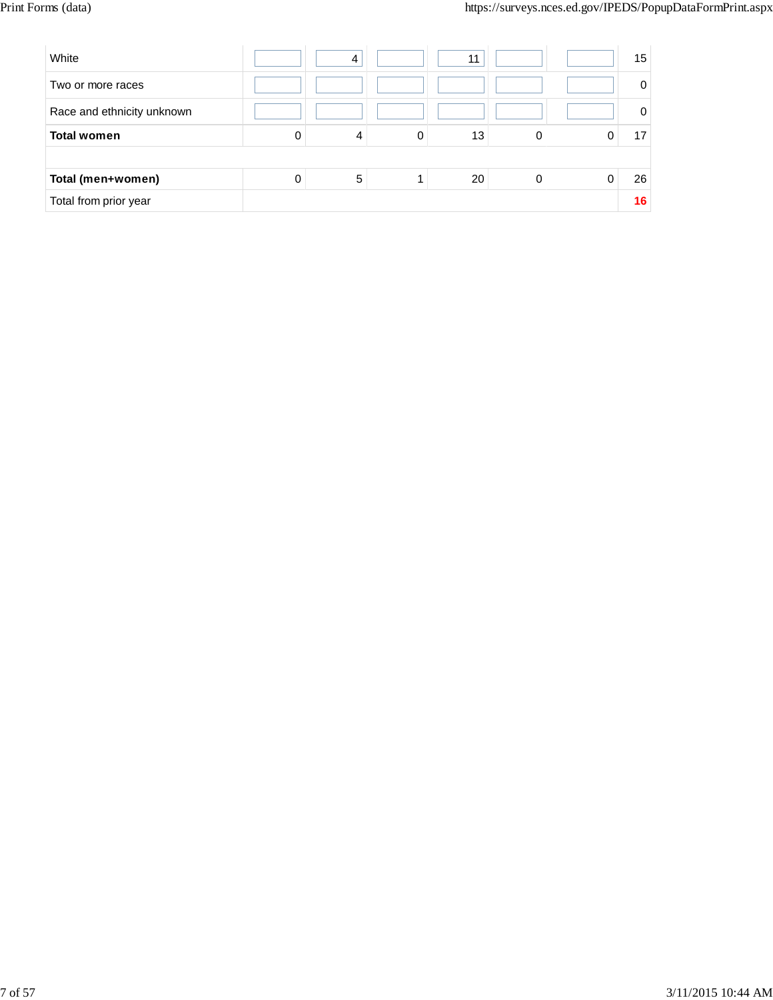| White                      |   | 4 |   | 11 |          | 15       |
|----------------------------|---|---|---|----|----------|----------|
| Two or more races          |   |   |   |    |          | $\Omega$ |
| Race and ethnicity unknown |   |   |   |    |          | $\Omega$ |
| <b>Total women</b>         | 0 | 4 | 0 | 13 | 0        | 17       |
|                            |   |   |   |    |          |          |
| Total (men+women)          | 0 | 5 |   | 20 | $\Omega$ | 26       |
| Total from prior year      |   |   |   |    |          | 16       |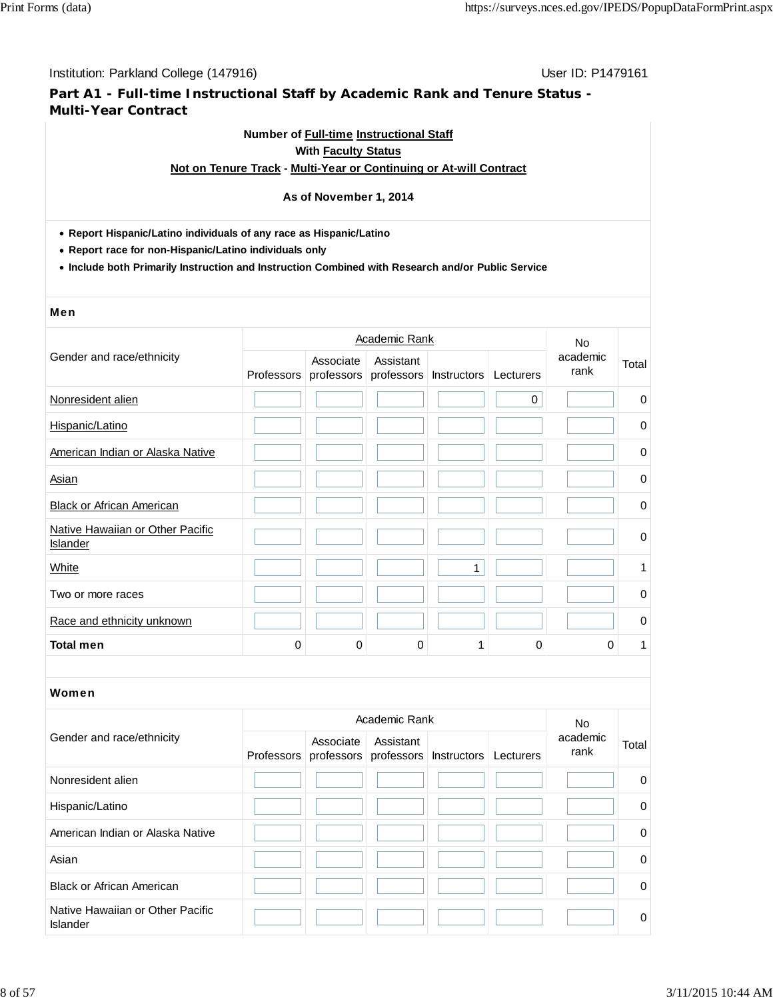# **Part A1 - Full-time Instructional Staff by Academic Rank and Tenure Status - Multi-Year Contract**

## **Number of Full-time Instructional Staff With Faculty Status**

#### **Not on Tenure Track - Multi-Year or Continuing or At-will Contract**

#### **As of November 1, 2014**

- **Report Hispanic/Latino individuals of any race as Hispanic/Latino**
- **Report race for non-Hispanic/Latino individuals only**
- **Include both Primarily Instruction and Instruction Combined with Research and/or Public Service**

#### Men

|                                              |            |           | <b>Academic Rank</b> |                                   |           | <b>No</b>        |             |
|----------------------------------------------|------------|-----------|----------------------|-----------------------------------|-----------|------------------|-------------|
| Gender and race/ethnicity                    | Professors | Associate | Assistant            | professors professors Instructors | Lecturers | academic<br>rank | Total       |
| Nonresident alien                            |            |           |                      |                                   | 0         |                  | 0           |
| Hispanic/Latino                              |            |           |                      |                                   |           |                  | $\mathbf 0$ |
| American Indian or Alaska Native             |            |           |                      |                                   |           |                  | 0           |
| Asian                                        |            |           |                      |                                   |           |                  | 0           |
| <b>Black or African American</b>             |            |           |                      |                                   |           |                  | $\pmb{0}$   |
| Native Hawaiian or Other Pacific<br>Islander |            |           |                      |                                   |           |                  | $\mathbf 0$ |
| White                                        |            |           |                      | $\mathbf{1}$                      |           |                  | 1           |
| Two or more races                            |            |           |                      |                                   |           |                  | $\pmb{0}$   |
| Race and ethnicity unknown                   |            |           |                      |                                   |           |                  | $\mathbf 0$ |
| <b>Total men</b>                             | $\Omega$   | $\Omega$  | 0                    | 1                                 | 0         | 0                | 1           |
|                                              |            |           |                      |                                   |           |                  |             |
| Women                                        |            |           |                      |                                   |           |                  |             |
|                                              |            |           |                      |                                   |           |                  |             |

|                                              |            | No.       |           |                                             |                  |             |
|----------------------------------------------|------------|-----------|-----------|---------------------------------------------|------------------|-------------|
| Gender and race/ethnicity                    | Professors | Associate | Assistant | professors professors Instructors Lecturers | academic<br>rank | Total       |
| Nonresident alien                            |            |           |           |                                             |                  | $\mathbf 0$ |
| Hispanic/Latino                              |            |           |           |                                             |                  | $\mathbf 0$ |
| American Indian or Alaska Native             |            |           |           |                                             |                  | $\mathbf 0$ |
| Asian                                        |            |           |           |                                             |                  | $\mathbf 0$ |
| <b>Black or African American</b>             |            |           |           |                                             |                  | $\mathbf 0$ |
| Native Hawaiian or Other Pacific<br>Islander |            |           |           |                                             |                  | 0           |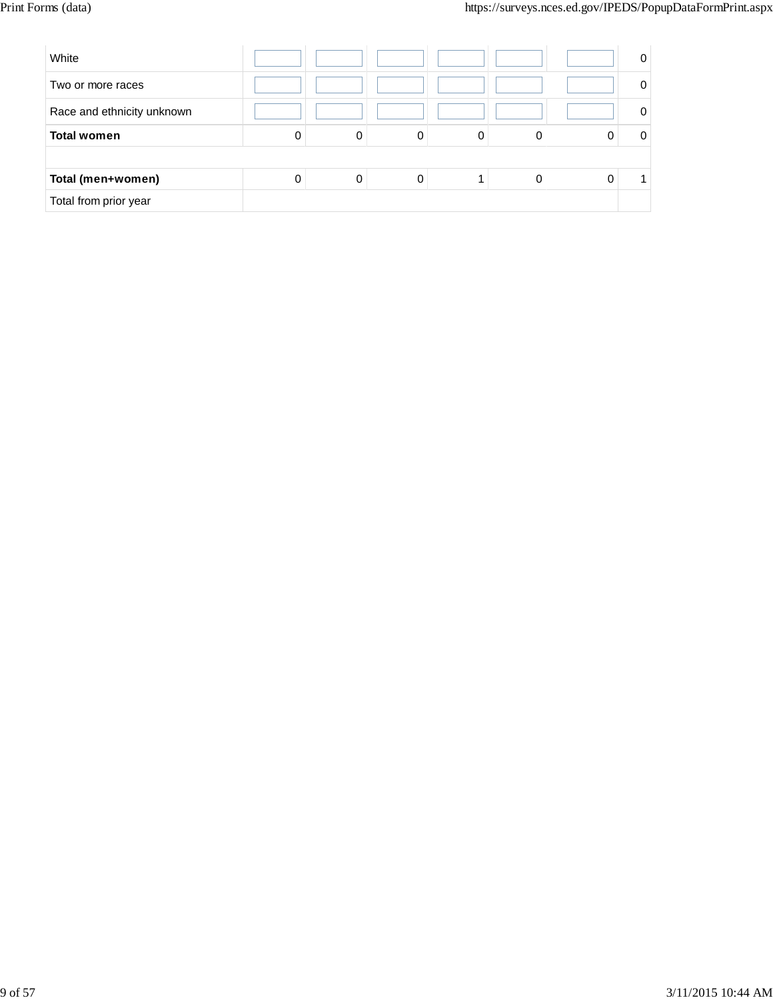| White                      |   |   |   |   | 0 |
|----------------------------|---|---|---|---|---|
| Two or more races          |   |   |   |   |   |
| Race and ethnicity unknown |   |   |   |   |   |
| <b>Total women</b>         | 0 | 0 | 0 | 0 |   |
|                            |   |   |   |   |   |
| Total (men+women)          | 0 | 0 | 0 | 0 |   |
| Total from prior year      |   |   |   |   |   |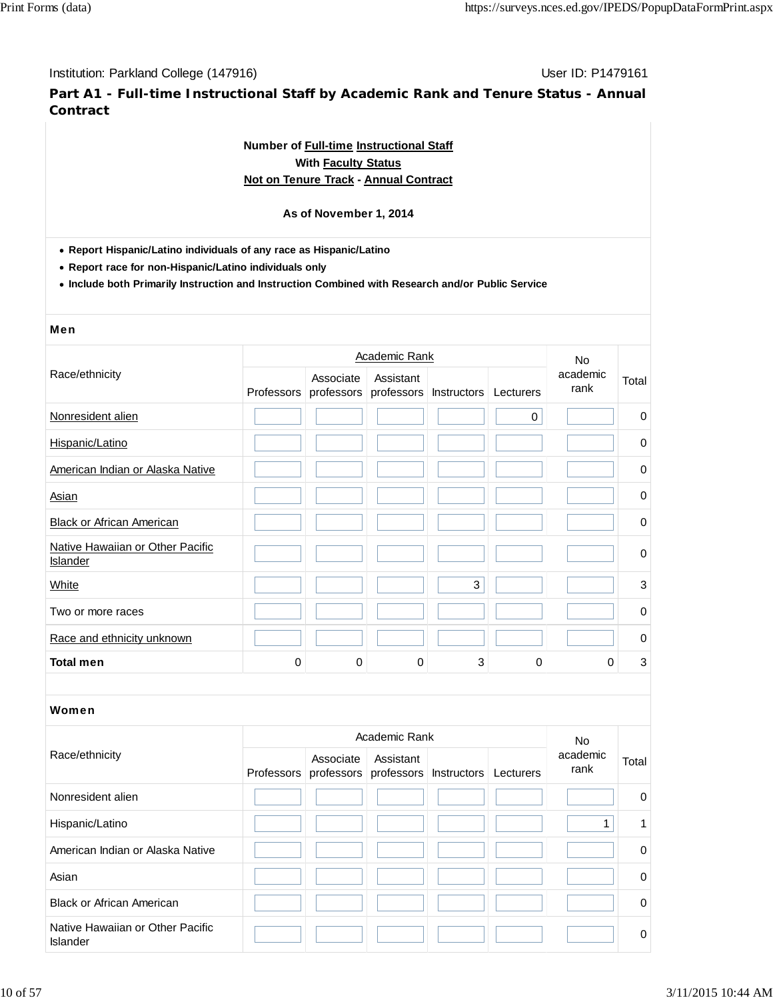**Part A1 - Full-time Instructional Staff by Academic Rank and Tenure Status - Annual Contract**

# **Number of Full-time Instructional Staff With Faculty Status Not on Tenure Track - Annual Contract**

#### **As of November 1, 2014**

**Report Hispanic/Latino individuals of any race as Hispanic/Latino**

**Report race for non-Hispanic/Latino individuals only**

**Include both Primarily Instruction and Instruction Combined with Research and/or Public Service**

# Men

|                                              |            | <b>No</b> |           |                                   |           |                  |             |
|----------------------------------------------|------------|-----------|-----------|-----------------------------------|-----------|------------------|-------------|
| Race/ethnicity                               | Professors | Associate | Assistant | professors professors Instructors | Lecturers | academic<br>rank | Total       |
| Nonresident alien                            |            |           |           |                                   | 0         |                  | $\mathbf 0$ |
| Hispanic/Latino                              |            |           |           |                                   |           |                  | $\mathbf 0$ |
| American Indian or Alaska Native             |            |           |           |                                   |           |                  | 0           |
| Asian                                        |            |           |           |                                   |           |                  | 0           |
| <b>Black or African American</b>             |            |           |           |                                   |           |                  | $\mathbf 0$ |
| Native Hawaiian or Other Pacific<br>Islander |            |           |           |                                   |           |                  | $\mathbf 0$ |
| White                                        |            |           |           | 3                                 |           |                  | 3           |
| Two or more races                            |            |           |           |                                   |           |                  | $\Omega$    |
| Race and ethnicity unknown                   |            |           |           |                                   |           |                  | 0           |
| <b>Total men</b>                             | $\Omega$   | $\Omega$  | 0         | 3                                 | 0         | 0                | 3           |

|                                                     | Academic Rank |           |                                                           |  |           | No.              |          |
|-----------------------------------------------------|---------------|-----------|-----------------------------------------------------------|--|-----------|------------------|----------|
| Race/ethnicity                                      |               | Associate | Assistant<br>Professors professors professors Instructors |  | Lecturers | academic<br>rank | Total    |
| Nonresident alien                                   |               |           |                                                           |  |           |                  | $\Omega$ |
| Hispanic/Latino                                     |               |           |                                                           |  |           |                  | 1.       |
| American Indian or Alaska Native                    |               |           |                                                           |  |           |                  | $\Omega$ |
| Asian                                               |               |           |                                                           |  |           |                  | $\Omega$ |
| <b>Black or African American</b>                    |               |           |                                                           |  |           |                  | $\Omega$ |
| Native Hawaiian or Other Pacific<br><b>Islander</b> |               |           |                                                           |  |           |                  | 0        |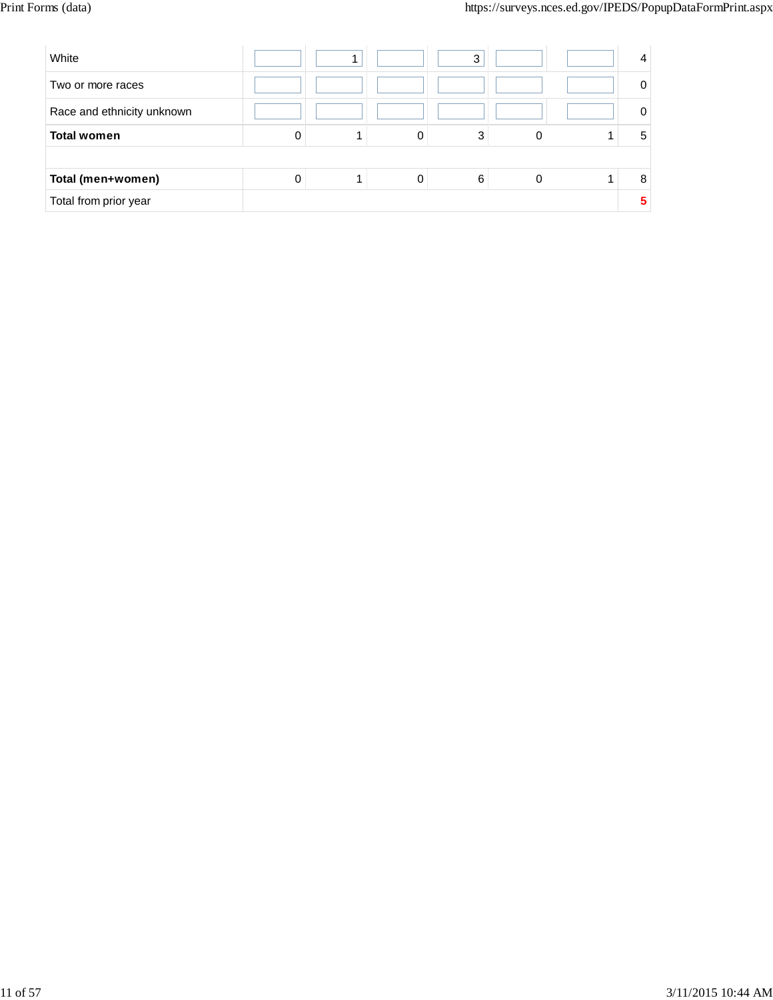| White                      |   |   | 3 |  | 4 |
|----------------------------|---|---|---|--|---|
| Two or more races          |   |   |   |  | 0 |
| Race and ethnicity unknown |   |   |   |  | 0 |
| <b>Total women</b>         | 0 | 0 | 3 |  | 5 |
|                            |   |   |   |  |   |
| Total (men+women)          | 0 | 0 | 6 |  | 8 |
| Total from prior year      |   |   |   |  | 5 |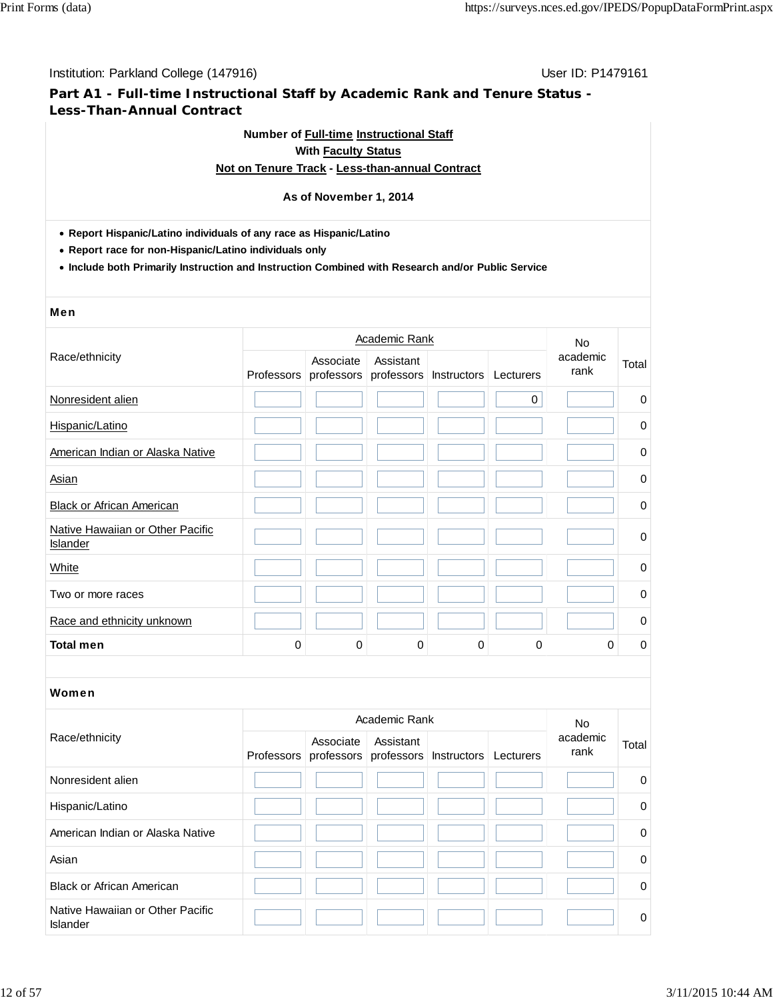# **Part A1 - Full-time Instructional Staff by Academic Rank and Tenure Status - Less-Than-Annual Contract**

# **Number of Full-time Instructional Staff With Faculty Status Not on Tenure Track - Less-than-annual Contract**

# **As of November 1, 2014**

#### **Report Hispanic/Latino individuals of any race as Hispanic/Latino**

**Report race for non-Hispanic/Latino individuals only**

**Include both Primarily Instruction and Instruction Combined with Research and/or Public Service**

#### Men

|                                                     |            | <b>No</b>   |                                    |             |           |                  |             |
|-----------------------------------------------------|------------|-------------|------------------------------------|-------------|-----------|------------------|-------------|
| Race/ethnicity                                      | Professors | Associate   | Assistant<br>professors professors | Instructors | Lecturers | academic<br>rank | Total       |
| Nonresident alien                                   |            |             |                                    |             | 0         |                  | $\pmb{0}$   |
| Hispanic/Latino                                     |            |             |                                    |             |           |                  | 0           |
| American Indian or Alaska Native                    |            |             |                                    |             |           |                  | 0           |
| Asian                                               |            |             |                                    |             |           |                  | $\mathbf 0$ |
| <b>Black or African American</b>                    |            |             |                                    |             |           |                  | 0           |
| Native Hawaiian or Other Pacific<br><b>Islander</b> |            |             |                                    |             |           |                  | $\mathbf 0$ |
| White                                               |            |             |                                    |             |           |                  | $\mathbf 0$ |
| Two or more races                                   |            |             |                                    |             |           |                  | $\mathbf 0$ |
| Race and ethnicity unknown                          |            |             |                                    |             |           |                  | $\mathbf 0$ |
| <b>Total men</b>                                    | $\Omega$   | $\mathbf 0$ | 0                                  | 0           | 0         | 0                | 0           |
|                                                     |            |             |                                    |             |           |                  |             |
| Women                                               |            |             |                                    |             |           |                  |             |
|                                                     |            |             | Academic Pank                      |             |           | $\sim$ $\sim$    |             |

|                                              |            | <b>No</b> |           |                                             |  |                  |             |
|----------------------------------------------|------------|-----------|-----------|---------------------------------------------|--|------------------|-------------|
| Race/ethnicity                               | Professors | Associate | Assistant | professors professors Instructors Lecturers |  | academic<br>rank | Total       |
| Nonresident alien                            |            |           |           |                                             |  |                  | $\mathbf 0$ |
| Hispanic/Latino                              |            |           |           |                                             |  |                  | $\mathbf 0$ |
| American Indian or Alaska Native             |            |           |           |                                             |  |                  | $\mathbf 0$ |
| Asian                                        |            |           |           |                                             |  |                  | $\Omega$    |
| <b>Black or African American</b>             |            |           |           |                                             |  |                  | $\mathbf 0$ |
| Native Hawaiian or Other Pacific<br>Islander |            |           |           |                                             |  |                  | $\Omega$    |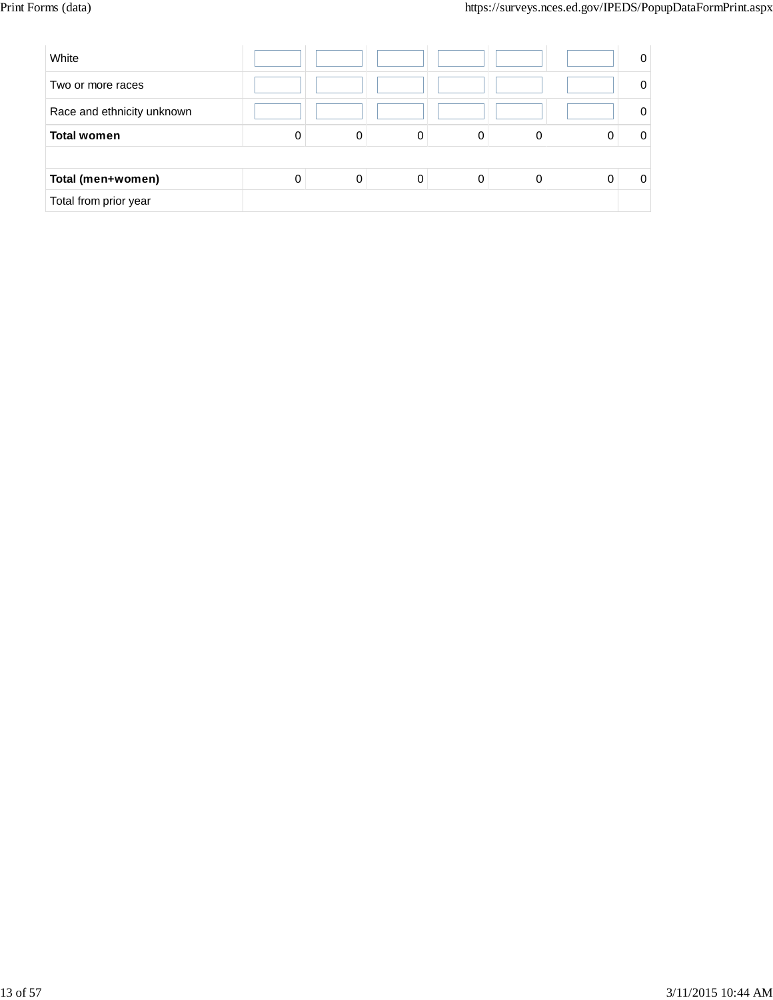| White                      |   |   |   |   |   | 0 |
|----------------------------|---|---|---|---|---|---|
| Two or more races          |   |   |   |   |   |   |
| Race and ethnicity unknown |   |   |   |   |   |   |
| <b>Total women</b>         | 0 | 0 | 0 | 0 | 0 |   |
|                            |   |   |   |   |   |   |
| Total (men+women)          | 0 | 0 | 0 |   | 0 |   |
| Total from prior year      |   |   |   |   |   |   |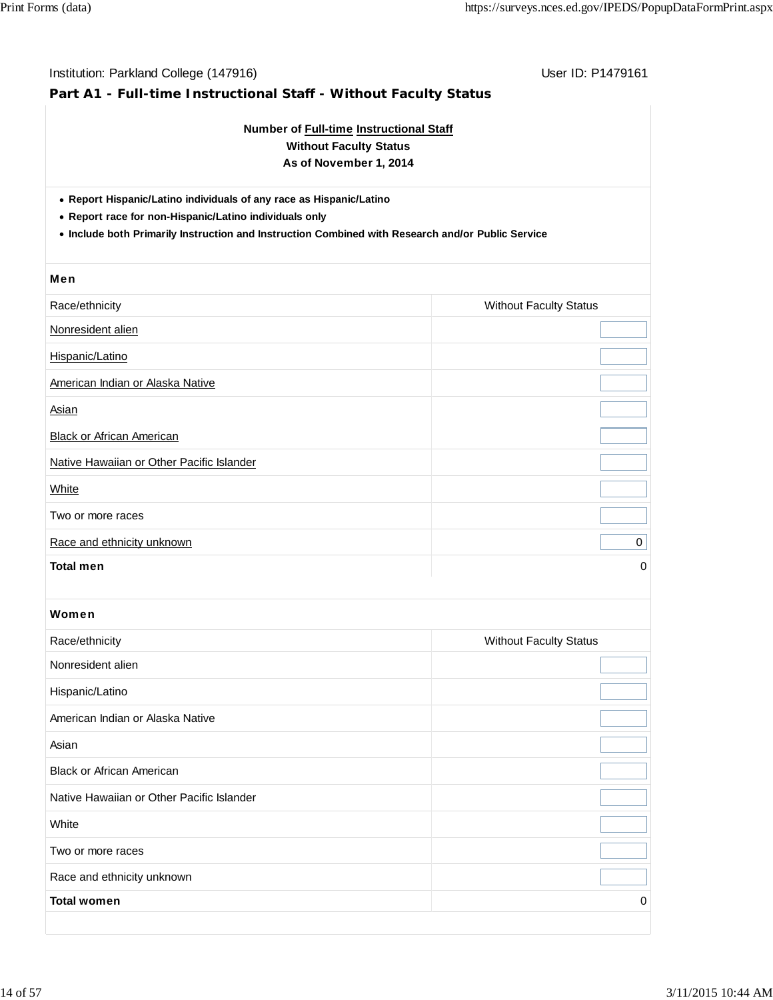| Number of Full-time Instructional Staff<br><b>Without Faculty Status</b><br>As of November 1, 2014                                                                                                                                 |                               |  |  |  |  |  |  |  |
|------------------------------------------------------------------------------------------------------------------------------------------------------------------------------------------------------------------------------------|-------------------------------|--|--|--|--|--|--|--|
| • Report Hispanic/Latino individuals of any race as Hispanic/Latino<br>• Report race for non-Hispanic/Latino individuals only<br>. Include both Primarily Instruction and Instruction Combined with Research and/or Public Service |                               |  |  |  |  |  |  |  |
| Men                                                                                                                                                                                                                                |                               |  |  |  |  |  |  |  |
| Race/ethnicity                                                                                                                                                                                                                     | <b>Without Faculty Status</b> |  |  |  |  |  |  |  |
| Nonresident alien                                                                                                                                                                                                                  |                               |  |  |  |  |  |  |  |
| Hispanic/Latino                                                                                                                                                                                                                    |                               |  |  |  |  |  |  |  |
| American Indian or Alaska Native                                                                                                                                                                                                   |                               |  |  |  |  |  |  |  |
| <b>Asian</b>                                                                                                                                                                                                                       |                               |  |  |  |  |  |  |  |
| <b>Black or African American</b>                                                                                                                                                                                                   |                               |  |  |  |  |  |  |  |
| Native Hawaiian or Other Pacific Islander                                                                                                                                                                                          |                               |  |  |  |  |  |  |  |
| White                                                                                                                                                                                                                              |                               |  |  |  |  |  |  |  |
| Two or more races                                                                                                                                                                                                                  |                               |  |  |  |  |  |  |  |
| Race and ethnicity unknown                                                                                                                                                                                                         | 0                             |  |  |  |  |  |  |  |
| <b>Total men</b>                                                                                                                                                                                                                   | 0                             |  |  |  |  |  |  |  |
| Women                                                                                                                                                                                                                              |                               |  |  |  |  |  |  |  |
| Race/ethnicity                                                                                                                                                                                                                     | <b>Without Faculty Status</b> |  |  |  |  |  |  |  |
| Nonresident alien                                                                                                                                                                                                                  |                               |  |  |  |  |  |  |  |
| Hispanic/Latino                                                                                                                                                                                                                    |                               |  |  |  |  |  |  |  |
| American Indian or Alaska Native                                                                                                                                                                                                   |                               |  |  |  |  |  |  |  |
| Asian                                                                                                                                                                                                                              |                               |  |  |  |  |  |  |  |
| <b>Black or African American</b>                                                                                                                                                                                                   |                               |  |  |  |  |  |  |  |
| Native Hawaiian or Other Pacific Islander                                                                                                                                                                                          |                               |  |  |  |  |  |  |  |
| White                                                                                                                                                                                                                              |                               |  |  |  |  |  |  |  |
| Two or more races                                                                                                                                                                                                                  |                               |  |  |  |  |  |  |  |
| Race and ethnicity unknown                                                                                                                                                                                                         |                               |  |  |  |  |  |  |  |
|                                                                                                                                                                                                                                    |                               |  |  |  |  |  |  |  |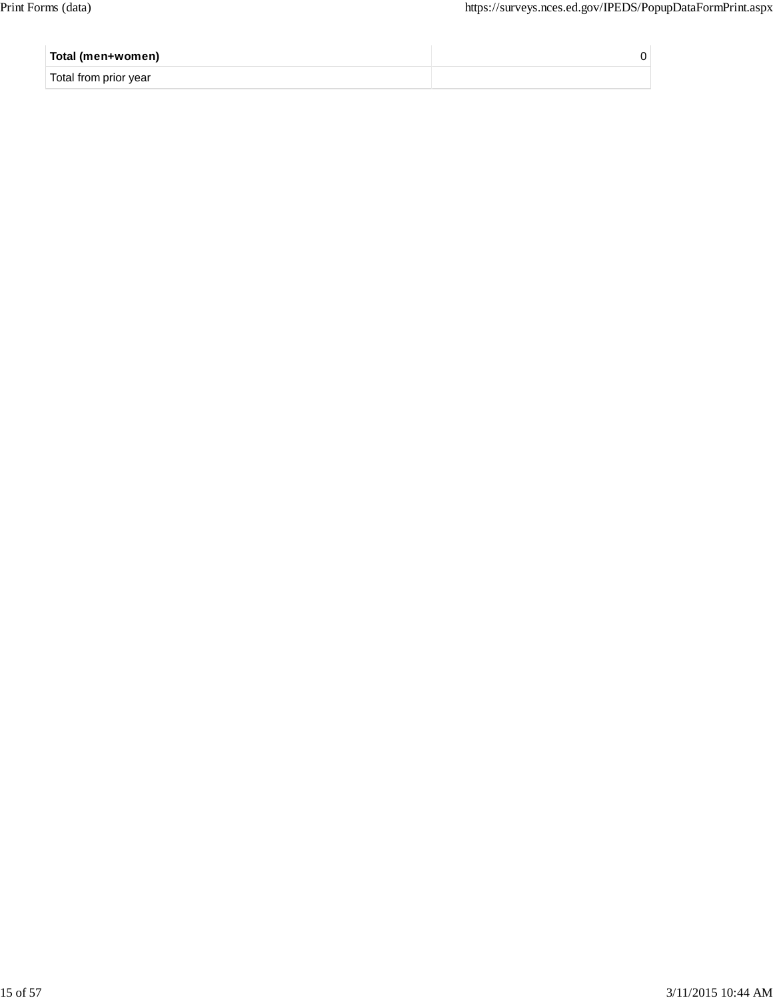| Total (men+women)     |  |
|-----------------------|--|
| Total from prior year |  |
|                       |  |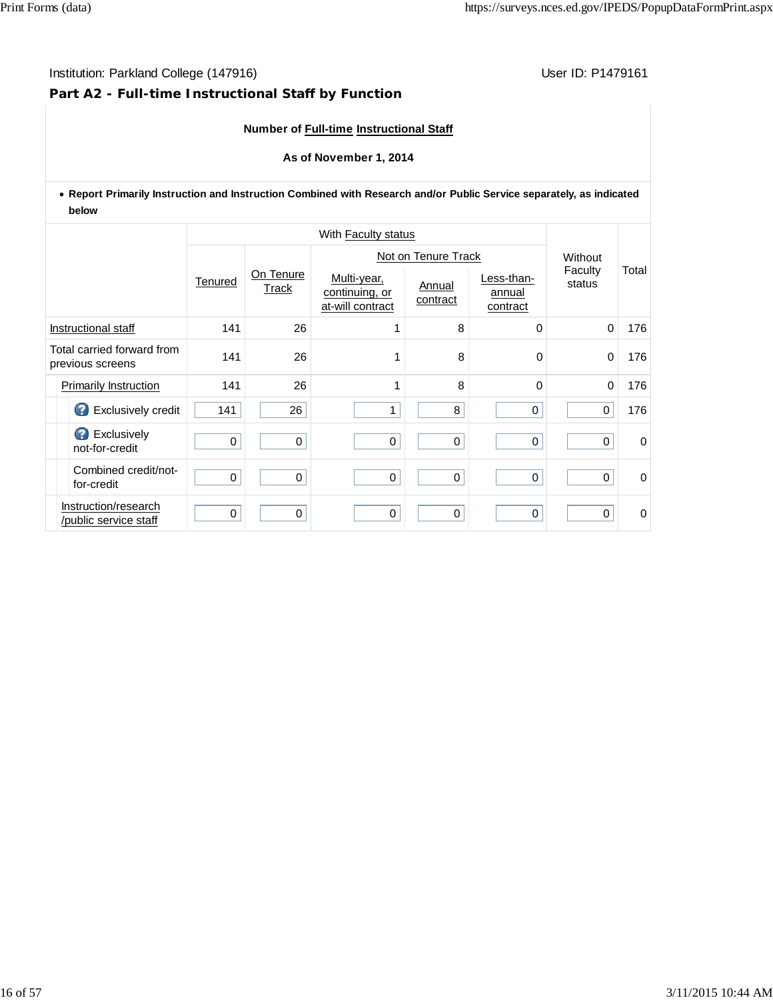# **Part A2 - Full-time Instructional Staff by Function**

# **Number of Full-time Instructional Staff**

#### **As of November 1, 2014**

**Report Primarily Instruction and Instruction Combined with Research and/or Public Service separately, as indicated below**

|  |                                                |             |                    |                                                   | Not on Tenure Track |                                  |                   |       |  |
|--|------------------------------------------------|-------------|--------------------|---------------------------------------------------|---------------------|----------------------------------|-------------------|-------|--|
|  |                                                | Tenured     | On Tenure<br>Track | Multi-year,<br>continuing, or<br>at-will contract | Annual<br>contract  | Less-than-<br>annual<br>contract | Faculty<br>status | Total |  |
|  | Instructional staff                            | 141         | 26                 |                                                   | 8                   | 0                                | $\mathbf 0$       | 176   |  |
|  | Total carried forward from<br>previous screens | 141         | 26                 |                                                   | 8                   | $\Omega$                         | 0                 | 176   |  |
|  | Primarily Instruction                          | 141         | 26                 | 1                                                 | 8                   | $\Omega$                         | $\mathbf 0$       | 176   |  |
|  | Exclusively credit                             | 141         | 26                 | $\mathbf{1}$                                      | 8                   | $\mathbf 0$                      | 0                 | 176   |  |
|  | <b>B</b> Exclusively<br>not-for-credit         | $\mathbf 0$ | $\mathbf 0$        | $\pmb{0}$                                         | $\pmb{0}$           | $\pmb{0}$                        | 0                 | 0     |  |
|  | Combined credit/not-<br>for-credit             | 0           | $\mathbf 0$        | $\mathbf 0$                                       | 0                   | $\mathbf 0$                      | 0                 | 0     |  |
|  | Instruction/research<br>/public service staff  | 0           | 0                  | $\mathbf 0$                                       | $\mathbf 0$         | $\mathbf 0$                      | 0                 | 0     |  |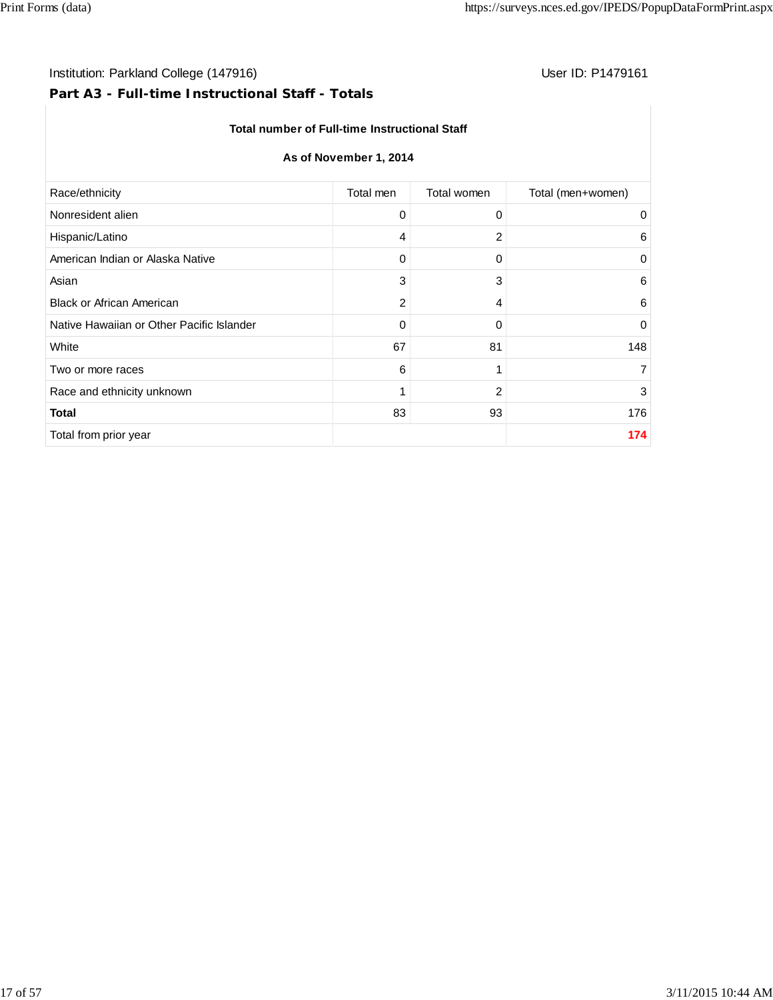# Institution: Parkland College (147916) **User ID: P1479161** User ID: P1479161

# **Part A3 - Full-time Instructional Staff - Totals**

#### **Total number of Full-time Instructional Staff**

# **As of November 1, 2014**

| Race/ethnicity                            | Total men | Total women    | Total (men+women) |
|-------------------------------------------|-----------|----------------|-------------------|
| Nonresident alien                         | 0         | 0              | 0                 |
| Hispanic/Latino                           | 4         | 2              | 6                 |
| American Indian or Alaska Native          | 0         | 0              | 0                 |
| Asian                                     | 3         | 3              | 6                 |
| <b>Black or African American</b>          | 2         | 4              | 6                 |
| Native Hawaiian or Other Pacific Islander | 0         | 0              | $\mathbf 0$       |
| White                                     | 67        | 81             | 148               |
| Two or more races                         | 6         | 1              | $\overline{7}$    |
| Race and ethnicity unknown                | 1         | $\overline{c}$ | 3                 |
| <b>Total</b>                              | 83        | 93             | 176               |
| Total from prior year                     |           |                | 174               |
|                                           |           |                |                   |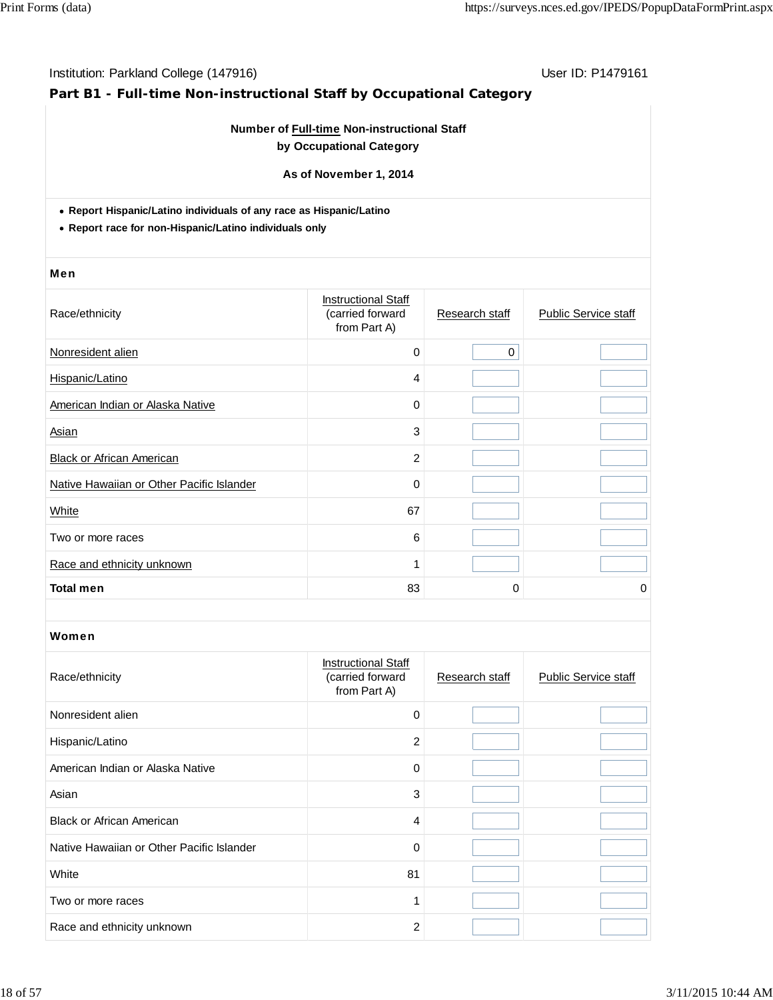# **Part B1 - Full-time Non-instructional Staff by Occupational Category**

# **Number of Full-time Non-instructional Staff by Occupational Category**

**As of November 1, 2014**

**Report Hispanic/Latino individuals of any race as Hispanic/Latino**

**Report race for non-Hispanic/Latino individuals only**

#### Men

| Race/ethnicity                            | <b>Instructional Staff</b><br>(carried forward<br>from Part A) | Research staff | <b>Public Service staff</b> |
|-------------------------------------------|----------------------------------------------------------------|----------------|-----------------------------|
| Nonresident alien                         | $\mathbf 0$                                                    | $\mathbf 0$    |                             |
| Hispanic/Latino                           | 4                                                              |                |                             |
| American Indian or Alaska Native          | 0                                                              |                |                             |
| Asian                                     | 3                                                              |                |                             |
| <b>Black or African American</b>          | $\overline{c}$                                                 |                |                             |
| Native Hawaiian or Other Pacific Islander | 0                                                              |                |                             |
| White                                     | 67                                                             |                |                             |
| Two or more races                         | 6                                                              |                |                             |
| Race and ethnicity unknown                | 1                                                              |                |                             |
| <b>Total men</b>                          | 83                                                             | 0              | 0                           |

| Race/ethnicity                            | <b>Instructional Staff</b><br>(carried forward<br>from Part A) | Research staff | <b>Public Service staff</b> |
|-------------------------------------------|----------------------------------------------------------------|----------------|-----------------------------|
| Nonresident alien                         | 0                                                              |                |                             |
| Hispanic/Latino                           | 2                                                              |                |                             |
| American Indian or Alaska Native          | 0                                                              |                |                             |
| Asian                                     | 3                                                              |                |                             |
| <b>Black or African American</b>          | 4                                                              |                |                             |
| Native Hawaiian or Other Pacific Islander | $\mathbf 0$                                                    |                |                             |
| White                                     | 81                                                             |                |                             |
| Two or more races                         |                                                                |                |                             |
| Race and ethnicity unknown                | 2                                                              |                |                             |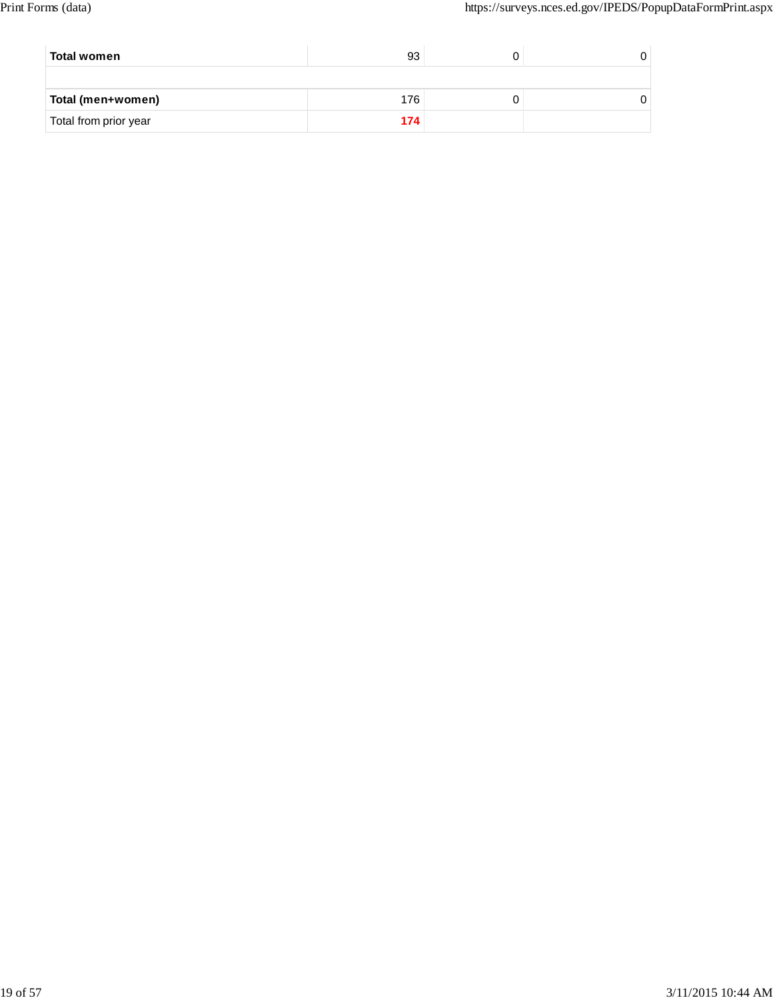| Total women           | 93  |  |
|-----------------------|-----|--|
|                       |     |  |
| Total (men+women)     | 176 |  |
| Total from prior year | 174 |  |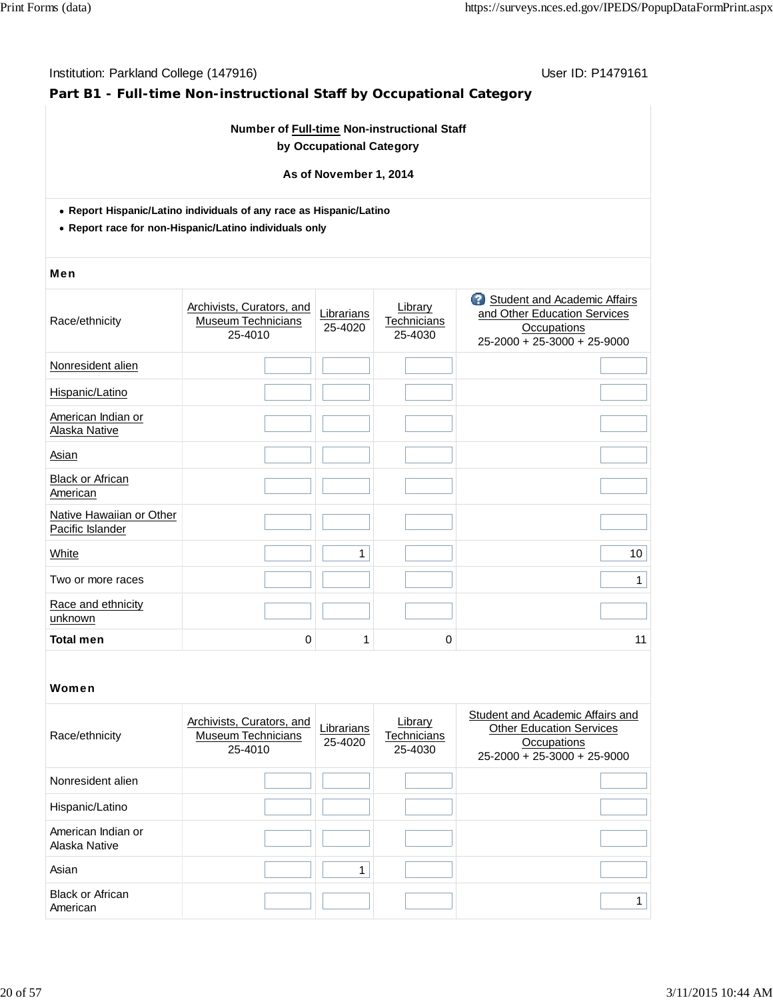# **Part B1 - Full-time Non-instructional Staff by Occupational Category**

### **Number of Full-time Non-instructional Staff by Occupational Category**

#### **As of November 1, 2014**

- **Report Hispanic/Latino individuals of any race as Hispanic/Latino**
- **Report race for non-Hispanic/Latino individuals only**

#### Men

| Race/ethnicity                               | Archivists, Curators, and<br><b>Museum Technicians</b><br>25-4010 | Librarians<br>25-4020 | Library<br><b>Technicians</b><br>25-4030 | 3<br>Student and Academic Affairs<br>and Other Education Services<br><b>Occupations</b><br>25-2000 + 25-3000 + 25-9000 |
|----------------------------------------------|-------------------------------------------------------------------|-----------------------|------------------------------------------|------------------------------------------------------------------------------------------------------------------------|
| Nonresident alien                            |                                                                   |                       |                                          |                                                                                                                        |
| Hispanic/Latino                              |                                                                   |                       |                                          |                                                                                                                        |
| American Indian or<br>Alaska Native          |                                                                   |                       |                                          |                                                                                                                        |
| Asian                                        |                                                                   |                       |                                          |                                                                                                                        |
| <b>Black or African</b><br>American          |                                                                   |                       |                                          |                                                                                                                        |
| Native Hawaiian or Other<br>Pacific Islander |                                                                   |                       |                                          |                                                                                                                        |
| White                                        |                                                                   | 1                     |                                          | 10                                                                                                                     |
| Two or more races                            |                                                                   |                       |                                          | $\mathbf{1}$                                                                                                           |
| Race and ethnicity<br>unknown                |                                                                   |                       |                                          |                                                                                                                        |
| <b>Total men</b>                             | 0                                                                 | 1                     | 0                                        | 11                                                                                                                     |

| Race/ethnicity                      | Archivists, Curators, and<br><b>Museum Technicians</b><br>25-4010 | Librarians<br>25-4020 | Library<br>Technicians<br>25-4030 | Student and Academic Affairs and<br><b>Other Education Services</b><br>Occupations<br>$25-2000 + 25-3000 + 25-9000$ |
|-------------------------------------|-------------------------------------------------------------------|-----------------------|-----------------------------------|---------------------------------------------------------------------------------------------------------------------|
| Nonresident alien                   |                                                                   |                       |                                   |                                                                                                                     |
| Hispanic/Latino                     |                                                                   |                       |                                   |                                                                                                                     |
| American Indian or<br>Alaska Native |                                                                   |                       |                                   |                                                                                                                     |
| Asian                               |                                                                   |                       |                                   |                                                                                                                     |
| <b>Black or African</b><br>American |                                                                   |                       |                                   |                                                                                                                     |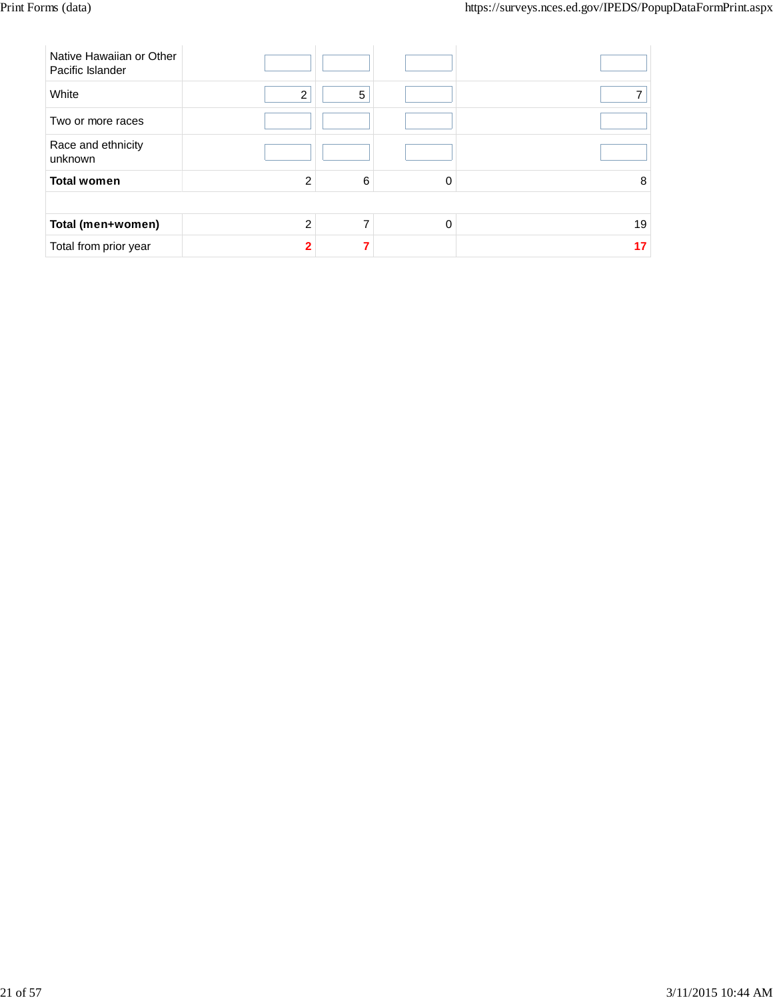| Native Hawaiian or Other<br>Pacific Islander |                |   |          |    |
|----------------------------------------------|----------------|---|----------|----|
| White                                        | $\overline{2}$ | 5 |          |    |
| Two or more races                            |                |   |          |    |
| Race and ethnicity<br>unknown                |                |   |          |    |
| <b>Total women</b>                           | $\overline{2}$ | 6 | 0        | 8  |
|                                              |                |   |          |    |
| Total (men+women)                            | $\mathfrak{p}$ |   | $\Omega$ | 19 |
| Total from prior year                        | $\mathbf{c}$   |   |          | 17 |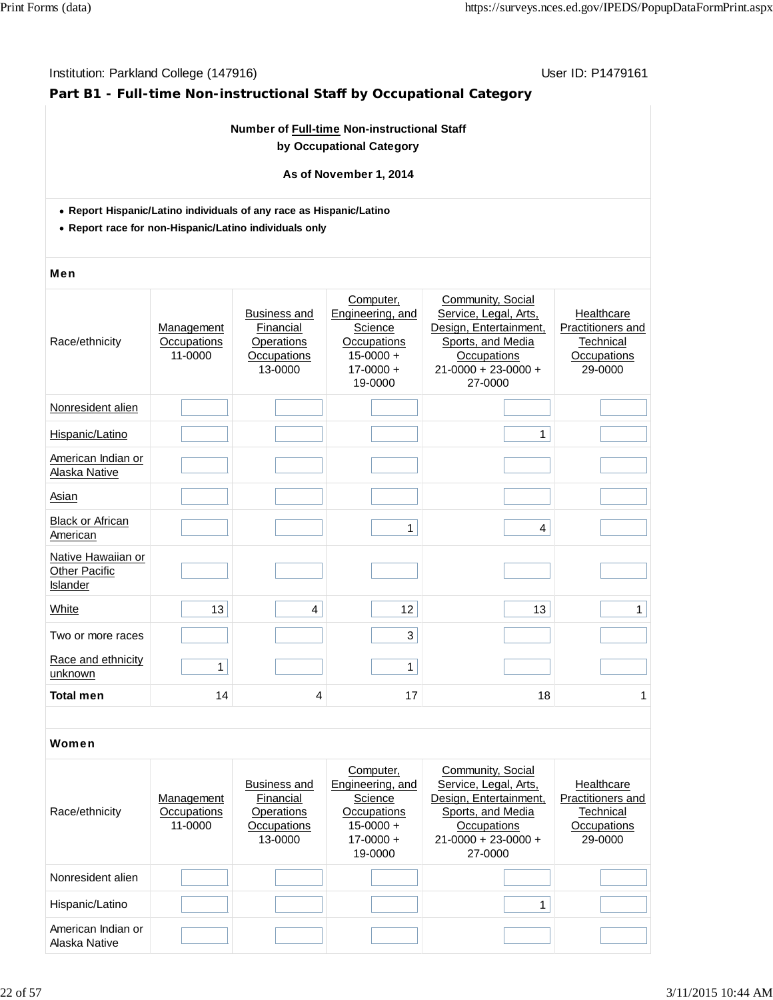# **Part B1 - Full-time Non-instructional Staff by Occupational Category**

### **Number of Full-time Non-instructional Staff by Occupational Category**

#### **As of November 1, 2014**

- **Report Hispanic/Latino individuals of any race as Hispanic/Latino**
- **Report race for non-Hispanic/Latino individuals only**

#### Men

| Community, Social<br>Computer,<br>Service, Legal, Arts,<br>Engineering, and<br>Healthcare<br><b>Business and</b><br>Financial<br>Science<br>Design, Entertainment,<br>Practitioners and<br>Management<br>Occupations<br>Sports, and Media<br>Race/ethnicity<br>Occupations<br>Operations<br>Technical<br>$15 - 0000 +$<br>11-0000<br>Occupations<br>Occupations<br>Occupations<br>$17 - 0000 +$<br>$21 - 0000 + 23 - 0000 +$<br>13-0000<br>29-0000<br>27-0000<br>19-0000<br>Nonresident alien<br>Hispanic/Latino<br>1<br>American Indian or<br>Alaska Native<br>Asian<br><b>Black or African</b><br>1<br>4<br>American<br>Native Hawaiian or<br><b>Other Pacific</b><br>Islander<br>13<br>12<br>13<br>White<br>$\mathbf{1}$<br>4<br>3<br>Two or more races<br>Race and ethnicity<br>$\mathbf{1}$<br>1<br>unknown<br><b>Total men</b><br>14<br>17<br>18<br>4<br>1 |  |  |  |
|------------------------------------------------------------------------------------------------------------------------------------------------------------------------------------------------------------------------------------------------------------------------------------------------------------------------------------------------------------------------------------------------------------------------------------------------------------------------------------------------------------------------------------------------------------------------------------------------------------------------------------------------------------------------------------------------------------------------------------------------------------------------------------------------------------------------------------------------------------------|--|--|--|
|                                                                                                                                                                                                                                                                                                                                                                                                                                                                                                                                                                                                                                                                                                                                                                                                                                                                  |  |  |  |
|                                                                                                                                                                                                                                                                                                                                                                                                                                                                                                                                                                                                                                                                                                                                                                                                                                                                  |  |  |  |
|                                                                                                                                                                                                                                                                                                                                                                                                                                                                                                                                                                                                                                                                                                                                                                                                                                                                  |  |  |  |
|                                                                                                                                                                                                                                                                                                                                                                                                                                                                                                                                                                                                                                                                                                                                                                                                                                                                  |  |  |  |
|                                                                                                                                                                                                                                                                                                                                                                                                                                                                                                                                                                                                                                                                                                                                                                                                                                                                  |  |  |  |
|                                                                                                                                                                                                                                                                                                                                                                                                                                                                                                                                                                                                                                                                                                                                                                                                                                                                  |  |  |  |
|                                                                                                                                                                                                                                                                                                                                                                                                                                                                                                                                                                                                                                                                                                                                                                                                                                                                  |  |  |  |
|                                                                                                                                                                                                                                                                                                                                                                                                                                                                                                                                                                                                                                                                                                                                                                                                                                                                  |  |  |  |
|                                                                                                                                                                                                                                                                                                                                                                                                                                                                                                                                                                                                                                                                                                                                                                                                                                                                  |  |  |  |
|                                                                                                                                                                                                                                                                                                                                                                                                                                                                                                                                                                                                                                                                                                                                                                                                                                                                  |  |  |  |
|                                                                                                                                                                                                                                                                                                                                                                                                                                                                                                                                                                                                                                                                                                                                                                                                                                                                  |  |  |  |

| Race/ethnicity                      | Management<br>Occupations<br>11-0000 | Business and<br>Financial<br>Operations<br>Occupations<br>13-0000 | Computer,<br>Engineering, and<br>Science<br>Occupations<br>$15 - 0000 +$<br>$17 - 0000 +$<br>19-0000 | Community, Social<br>Service, Legal, Arts,<br>Design, Entertainment,<br>Sports, and Media<br>Occupations<br>$21-0000 + 23-0000 +$<br>27-0000 | Healthcare<br>Practitioners and<br>Technical<br>Occupations<br>29-0000 |
|-------------------------------------|--------------------------------------|-------------------------------------------------------------------|------------------------------------------------------------------------------------------------------|----------------------------------------------------------------------------------------------------------------------------------------------|------------------------------------------------------------------------|
| Nonresident alien                   |                                      |                                                                   |                                                                                                      |                                                                                                                                              |                                                                        |
| Hispanic/Latino                     |                                      |                                                                   |                                                                                                      |                                                                                                                                              |                                                                        |
| American Indian or<br>Alaska Native |                                      |                                                                   |                                                                                                      |                                                                                                                                              |                                                                        |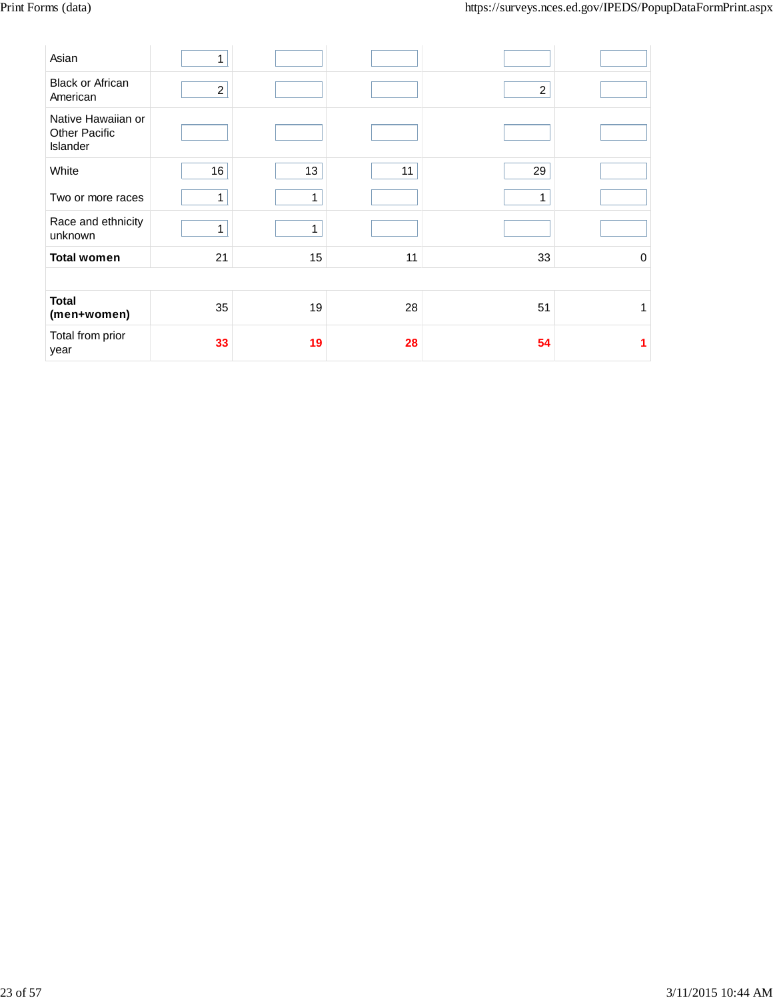| Asian                                                  | $\mathbf{1}$   |              |    |                |             |
|--------------------------------------------------------|----------------|--------------|----|----------------|-------------|
| <b>Black or African</b><br>American                    | $\overline{2}$ |              |    | $\overline{c}$ |             |
| Native Hawaiian or<br><b>Other Pacific</b><br>Islander |                |              |    |                |             |
| White                                                  | 16             | 13           | 11 | 29             |             |
| Two or more races                                      | 1              | $\mathbf{1}$ |    | 1              |             |
| Race and ethnicity<br>unknown                          | $\mathbf{1}$   | 1            |    |                |             |
| <b>Total women</b>                                     | 21             | 15           | 11 | 33             | $\mathbf 0$ |
|                                                        |                |              |    |                |             |
| <b>Total</b><br>(men+women)                            | 35             | 19           | 28 | 51             | 1           |
| Total from prior<br>year                               | 33             | 19           | 28 | 54             |             |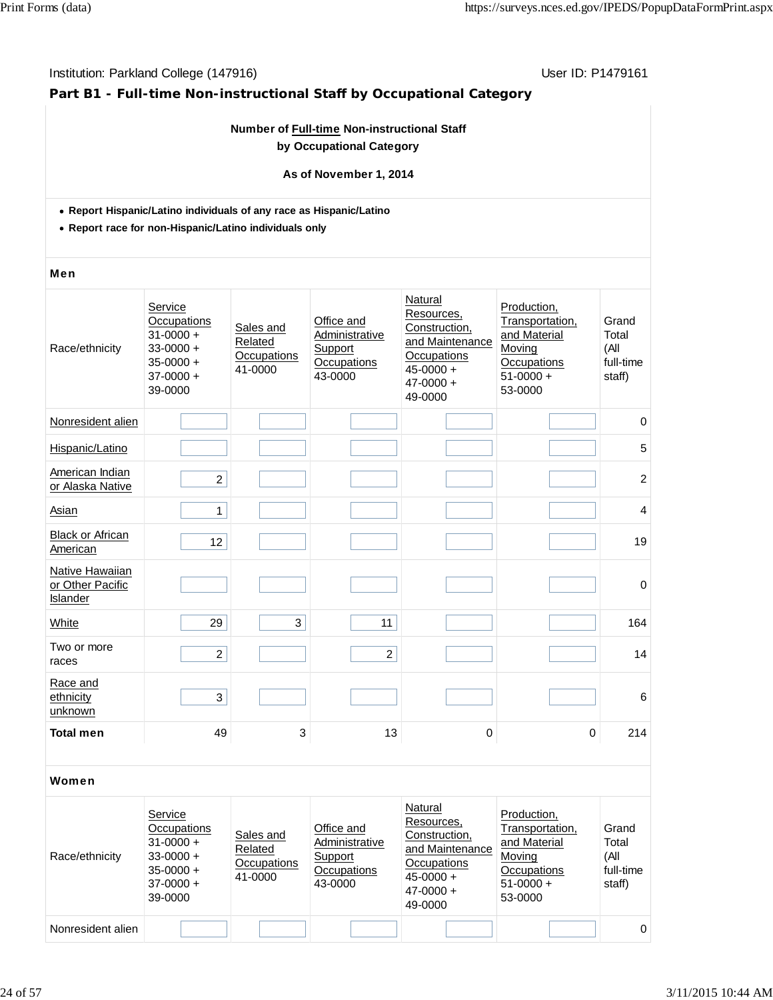# **Part B1 - Full-time Non-instructional Staff by Occupational Category**

### **Number of Full-time Non-instructional Staff by Occupational Category**

#### **As of November 1, 2014**

- **Report Hispanic/Latino individuals of any race as Hispanic/Latino**
- **Report race for non-Hispanic/Latino individuals only**

#### Men

| Race/ethnicity                                  | Service<br>Occupations<br>$31 - 0000 +$<br>$33 - 0000 +$<br>$35 - 0000 +$<br>$37-0000 +$<br>39-0000 | Sales and<br>Related<br>Occupations<br>41-0000 | Office and<br>Administrative<br>Support<br>Occupations<br>43-0000 | Natural<br>Resources,<br>Construction,<br>and Maintenance<br>Occupations<br>$45 - 0000 +$<br>$47 - 0000 +$<br>49-0000 | Production,<br>Transportation,<br>and Material<br>Moving<br>Occupations<br>$51-0000 +$<br>53-0000 | Grand<br>Total<br>(All<br>full-time<br>staff) |
|-------------------------------------------------|-----------------------------------------------------------------------------------------------------|------------------------------------------------|-------------------------------------------------------------------|-----------------------------------------------------------------------------------------------------------------------|---------------------------------------------------------------------------------------------------|-----------------------------------------------|
| Nonresident alien                               |                                                                                                     |                                                |                                                                   |                                                                                                                       |                                                                                                   | $\pmb{0}$                                     |
| Hispanic/Latino                                 |                                                                                                     |                                                |                                                                   |                                                                                                                       |                                                                                                   | 5                                             |
| American Indian<br>or Alaska Native             | $\overline{c}$                                                                                      |                                                |                                                                   |                                                                                                                       |                                                                                                   | $\overline{c}$                                |
| <b>Asian</b>                                    | 1                                                                                                   |                                                |                                                                   |                                                                                                                       |                                                                                                   | 4                                             |
| <b>Black or African</b><br>American             | 12                                                                                                  |                                                |                                                                   |                                                                                                                       |                                                                                                   | 19                                            |
| Native Hawaiian<br>or Other Pacific<br>Islander |                                                                                                     |                                                |                                                                   |                                                                                                                       |                                                                                                   | $\mathbf 0$                                   |
| White                                           | 29                                                                                                  | 3                                              | 11                                                                |                                                                                                                       |                                                                                                   | 164                                           |
| Two or more<br>races                            | $\overline{2}$                                                                                      |                                                | $\overline{2}$                                                    |                                                                                                                       |                                                                                                   | 14                                            |
| Race and<br>ethnicity<br>unknown                | 3                                                                                                   |                                                |                                                                   |                                                                                                                       |                                                                                                   | $6\phantom{1}6$                               |
| <b>Total men</b>                                | 49                                                                                                  | 3                                              | 13                                                                | 0                                                                                                                     | $\mathbf 0$                                                                                       | 214                                           |

| Race/ethnicity    | Service<br>Occupations<br>$31 - 0000 +$<br>$33 - 0000 +$<br>$35 - 0000 +$<br>$37-0000 +$<br>39-0000 | Sales and<br>Related<br>Occupations<br>41-0000 | Office and<br>Administrative<br>Support<br>Occupations<br>43-0000 | Natural<br>Resources,<br>Construction,<br>and Maintenance<br>Occupations<br>$45 - 0000 +$<br>$47 - 0000 +$<br>49-0000 | Production.<br>Transportation,<br>and Material<br>Moving<br>Occupations<br>$51-0000 +$<br>53-0000 | Grand<br>Total<br>(All<br>full-time<br>staff) |
|-------------------|-----------------------------------------------------------------------------------------------------|------------------------------------------------|-------------------------------------------------------------------|-----------------------------------------------------------------------------------------------------------------------|---------------------------------------------------------------------------------------------------|-----------------------------------------------|
| Nonresident alien |                                                                                                     |                                                |                                                                   |                                                                                                                       |                                                                                                   | $\Omega$                                      |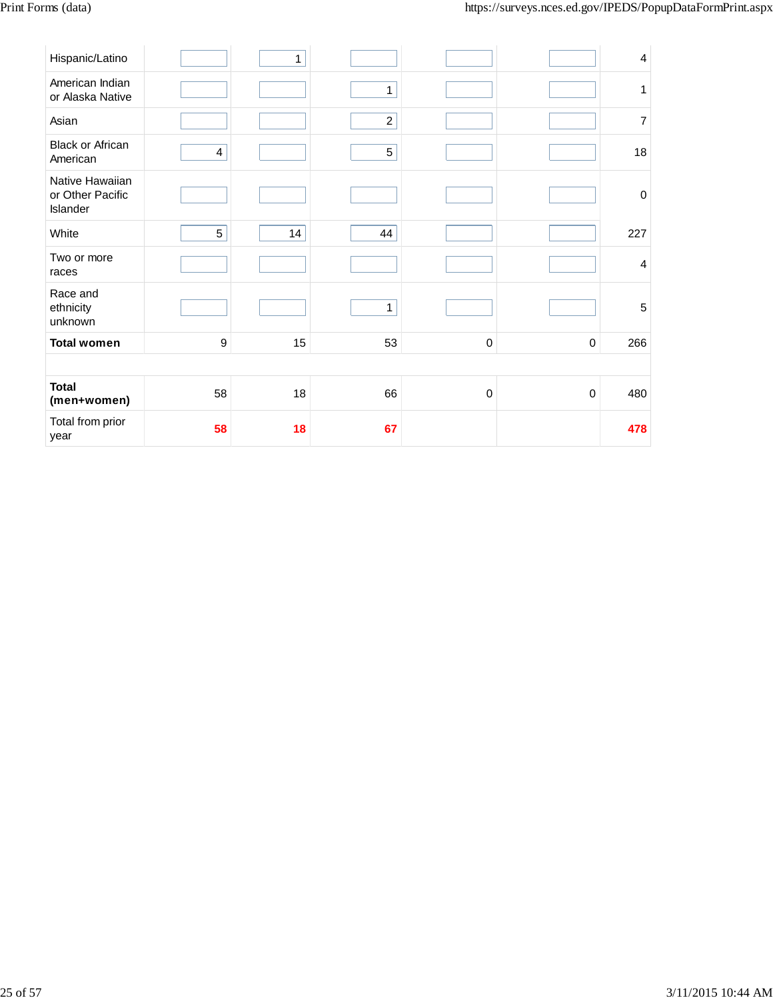| Hispanic/Latino                                 |    | 1  |                |             |             |     |
|-------------------------------------------------|----|----|----------------|-------------|-------------|-----|
|                                                 |    |    |                |             |             |     |
| American Indian<br>or Alaska Native             |    |    | $\mathbf{1}$   |             |             |     |
| Asian                                           |    |    | $\overline{a}$ |             |             |     |
| <b>Black or African</b><br>American             | 4  |    | 5              |             |             | 18  |
| Native Hawaiian<br>or Other Pacific<br>Islander |    |    |                |             |             |     |
| White                                           | 5  | 14 | 44             |             |             | 227 |
| Two or more<br>races                            |    |    |                |             |             |     |
| Race and<br>ethnicity<br>unknown                |    |    | $\mathbf{1}$   |             |             |     |
| <b>Total women</b>                              | 9  | 15 | 53             | $\mathbf 0$ | $\mathbf 0$ | 266 |
|                                                 |    |    |                |             |             |     |
| <b>Total</b><br>(men+women)                     | 58 | 18 | 66             | $\mathbf 0$ | $\mathbf 0$ | 480 |
| Total from prior<br>year                        | 58 | 18 | 67             |             |             | 478 |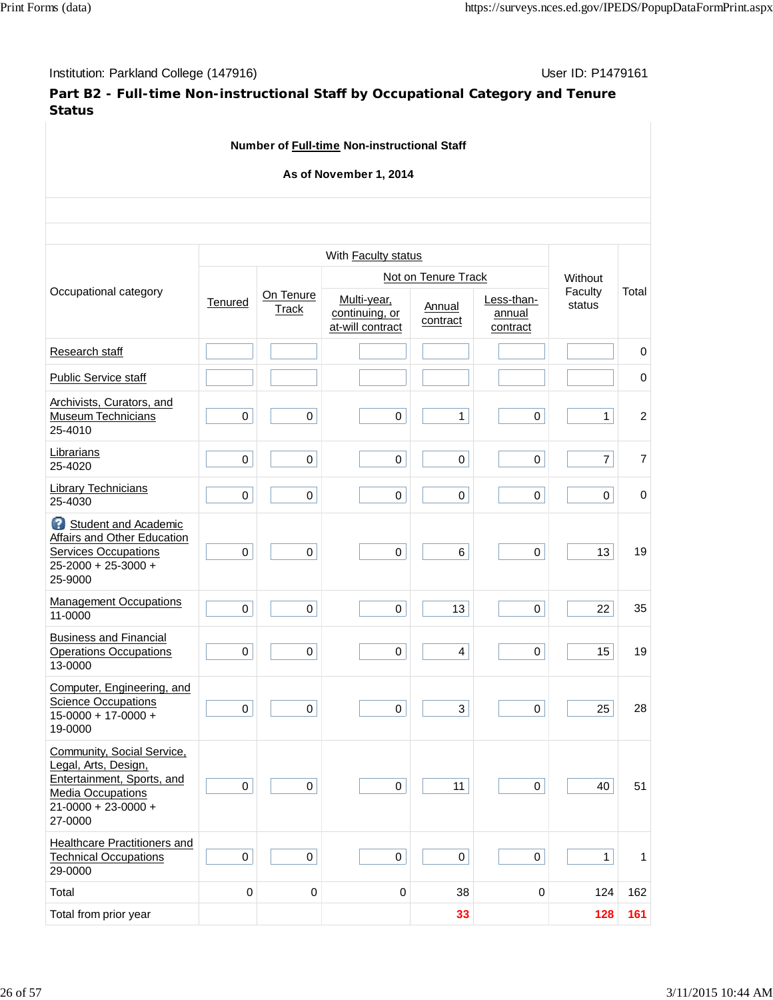**Part B2 - Full-time Non-instructional Staff by Occupational Category and Tenure Status**

|                                                                                                                                                      |                  |                     | Number of Full-time Non-instructional Staff       |                     |                                  |                   |                |
|------------------------------------------------------------------------------------------------------------------------------------------------------|------------------|---------------------|---------------------------------------------------|---------------------|----------------------------------|-------------------|----------------|
|                                                                                                                                                      |                  |                     | As of November 1, 2014                            |                     |                                  |                   |                |
|                                                                                                                                                      |                  |                     |                                                   |                     |                                  |                   |                |
|                                                                                                                                                      |                  |                     | With Faculty status                               |                     |                                  |                   |                |
|                                                                                                                                                      |                  |                     |                                                   | Not on Tenure Track |                                  | Without           |                |
| Occupational category                                                                                                                                | Tenured          | On Tenure<br>Track  | Multi-year,<br>continuing, or<br>at-will contract | Annual<br>contract  | Less-than-<br>annual<br>contract | Faculty<br>status | Total          |
| Research staff                                                                                                                                       |                  |                     |                                                   |                     |                                  |                   | 0              |
| <b>Public Service staff</b>                                                                                                                          |                  |                     |                                                   |                     |                                  |                   | 0              |
| Archivists, Curators, and<br><b>Museum Technicians</b><br>25-4010                                                                                    | $\pmb{0}$        | $\pmb{0}$           | $\mathbf 0$                                       | $\mathbf{1}$        | $\pmb{0}$                        | $\mathbf{1}$      | $\sqrt{2}$     |
| Librarians<br>25-4020                                                                                                                                | $\pmb{0}$        | 0                   | $\pmb{0}$                                         | $\mathsf{O}$        | $\pmb{0}$                        | $\overline{7}$    | $\overline{7}$ |
| <b>Library Technicians</b><br>25-4030                                                                                                                | $\pmb{0}$        | 0                   | $\pmb{0}$                                         | 0                   | 0                                | $\mathbf 0$       | $\mathbf 0$    |
| Student and Academic<br>Affairs and Other Education<br><b>Services Occupations</b><br>25-2000 + 25-3000 +<br>25-9000                                 | $\mathbf 0$      | $\pmb{0}$           | $\pmb{0}$                                         | $\,6\,$             | $\pmb{0}$                        | 13                | 19             |
| <b>Management Occupations</b><br>11-0000                                                                                                             | $\mathbf 0$      | 0                   | $\mathbf 0$                                       | 13                  | 0                                | 22                | 35             |
| <b>Business and Financial</b><br><b>Operations Occupations</b><br>13-0000                                                                            | $\pmb{0}$        | $\pmb{0}$           | $\pmb{0}$                                         | $\overline{4}$      | 0                                | 15                | 19             |
| Computer, Engineering, and<br><b>Science Occupations</b><br>$15-0000 + 17-0000 +$<br>19-0000                                                         | 0                | 0                   | 0                                                 | 3                   | 0                                | 25                | 28             |
| Community, Social Service,<br>Legal, Arts, Design,<br>Entertainment, Sports, and<br><b>Media Occupations</b><br>$21 - 0000 + 23 - 0000 +$<br>27-0000 | $\boldsymbol{0}$ | 0                   | $\pmb{0}$                                         | 11                  | $\pmb{0}$                        | 40                | 51             |
| Healthcare Practitioners and<br><b>Technical Occupations</b><br>29-0000                                                                              | $\mathbf 0$      | $\mathsf{O}\xspace$ | $\mathbf 0$                                       | 0                   | $\mathbf 0$                      | $\mathbf{1}$      | 1              |
| Total                                                                                                                                                | $\pmb{0}$        | $\boldsymbol{0}$    | $\pmb{0}$                                         | 38                  | $\pmb{0}$                        | 124               | 162            |
| Total from prior year                                                                                                                                |                  |                     |                                                   | 33                  |                                  | 128               | 161            |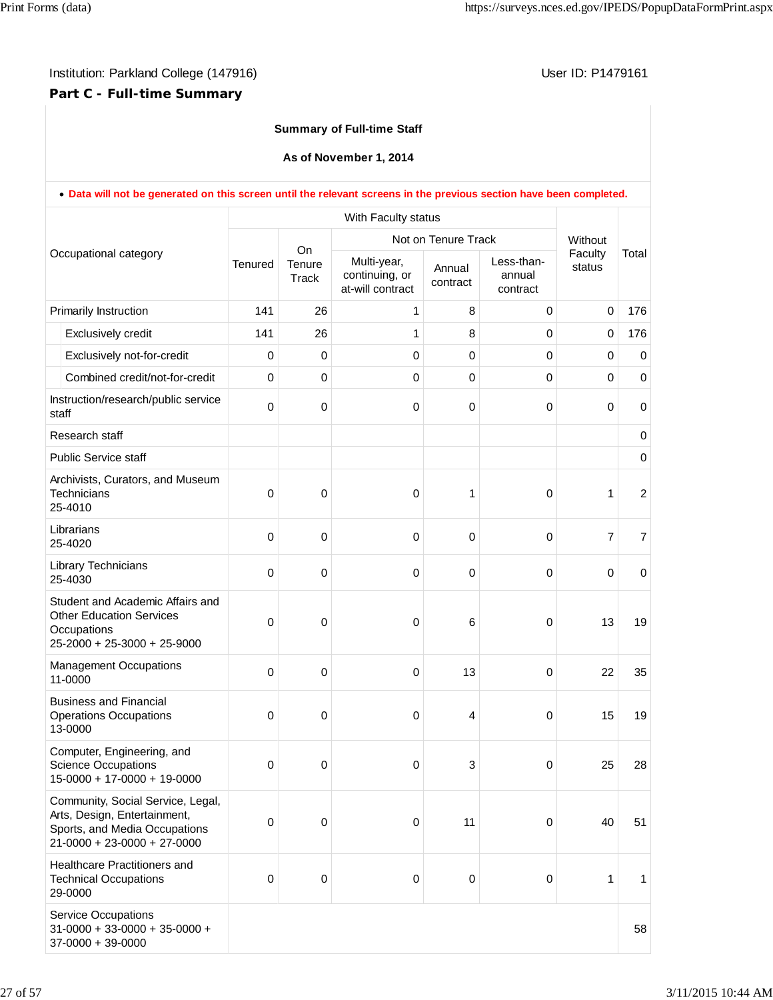# **Part C - Full-time Summary**

### **Summary of Full-time Staff**

**As of November 1, 2014**

|       |                                                                                                                                           |             |                       | With Faculty status                               |                     |                                  |                   |                  |
|-------|-------------------------------------------------------------------------------------------------------------------------------------------|-------------|-----------------------|---------------------------------------------------|---------------------|----------------------------------|-------------------|------------------|
|       |                                                                                                                                           |             |                       |                                                   | Not on Tenure Track |                                  | Without           |                  |
|       | Occupational category                                                                                                                     | Tenured     | On<br>Tenure<br>Track | Multi-year,<br>continuing, or<br>at-will contract | Annual<br>contract  | Less-than-<br>annual<br>contract | Faculty<br>status | Total            |
|       | Primarily Instruction                                                                                                                     | 141         | 26                    | 1                                                 | 8                   | $\mathbf 0$                      | $\boldsymbol{0}$  | 176              |
|       | Exclusively credit                                                                                                                        | 141         | 26                    | 1                                                 | 8                   | 0                                | $\mathbf 0$       | 176              |
|       | Exclusively not-for-credit                                                                                                                | $\mathbf 0$ | 0                     | 0                                                 | $\mathbf 0$         | 0                                | 0                 | $\mathbf 0$      |
|       | Combined credit/not-for-credit                                                                                                            | $\Omega$    | 0                     | 0                                                 | 0                   | 0                                | 0                 | $\mathbf 0$      |
| staff | Instruction/research/public service                                                                                                       | $\mathbf 0$ | 0                     | 0                                                 | $\mathbf 0$         | $\mathbf 0$                      | $\mathbf 0$       | $\mathbf 0$      |
|       | Research staff                                                                                                                            |             |                       |                                                   |                     |                                  |                   | 0                |
|       | <b>Public Service staff</b>                                                                                                               |             |                       |                                                   |                     |                                  |                   | $\mathbf 0$      |
|       | Archivists, Curators, and Museum<br>Technicians<br>25-4010                                                                                | $\mathbf 0$ | 0                     | 0                                                 | 1                   | $\mathbf 0$                      | 1                 | $\boldsymbol{2}$ |
|       | Librarians<br>25-4020                                                                                                                     | $\mathbf 0$ | 0                     | 0                                                 | $\mathbf 0$         | $\mathbf 0$                      | $\overline{7}$    | $\overline{7}$   |
|       | Library Technicians<br>25-4030                                                                                                            | $\mathbf 0$ | 0                     | 0                                                 | $\mathbf 0$         | $\mathbf 0$                      | $\mathbf 0$       | $\mathbf 0$      |
|       | Student and Academic Affairs and<br><b>Other Education Services</b><br>Occupations<br>25-2000 + 25-3000 + 25-9000                         | $\mathbf 0$ | 0                     | 0                                                 | 6                   | $\pmb{0}$                        | 13                | 19               |
|       | <b>Management Occupations</b><br>11-0000                                                                                                  | $\mathbf 0$ | 0                     | 0                                                 | 13                  | $\mathbf 0$                      | 22                | 35               |
|       | <b>Business and Financial</b><br><b>Operations Occupations</b><br>13-0000                                                                 | $\mathbf 0$ | 0                     | 0                                                 | 4                   | $\mathbf 0$                      | 15                | 19               |
|       | Computer, Engineering, and<br><b>Science Occupations</b><br>$15-0000 + 17-0000 + 19-0000$                                                 | 0           | 0                     | 0                                                 | 3                   | 0                                | 25                | 28               |
|       | Community, Social Service, Legal,<br>Arts, Design, Entertainment,<br>Sports, and Media Occupations<br>$21 - 0000 + 23 - 0000 + 27 - 0000$ | $\pmb{0}$   | $\pmb{0}$             | 0                                                 | 11                  | $\mathbf 0$                      | 40                | 51               |
|       | <b>Healthcare Practitioners and</b><br><b>Technical Occupations</b><br>29-0000                                                            | $\pmb{0}$   | 0                     | 0                                                 | $\pmb{0}$           | 0                                | 1                 | 1                |
|       | Service Occupations<br>$31-0000 + 33-0000 + 35-0000 +$<br>$37-0000 + 39-0000$                                                             |             |                       |                                                   |                     |                                  |                   | 58               |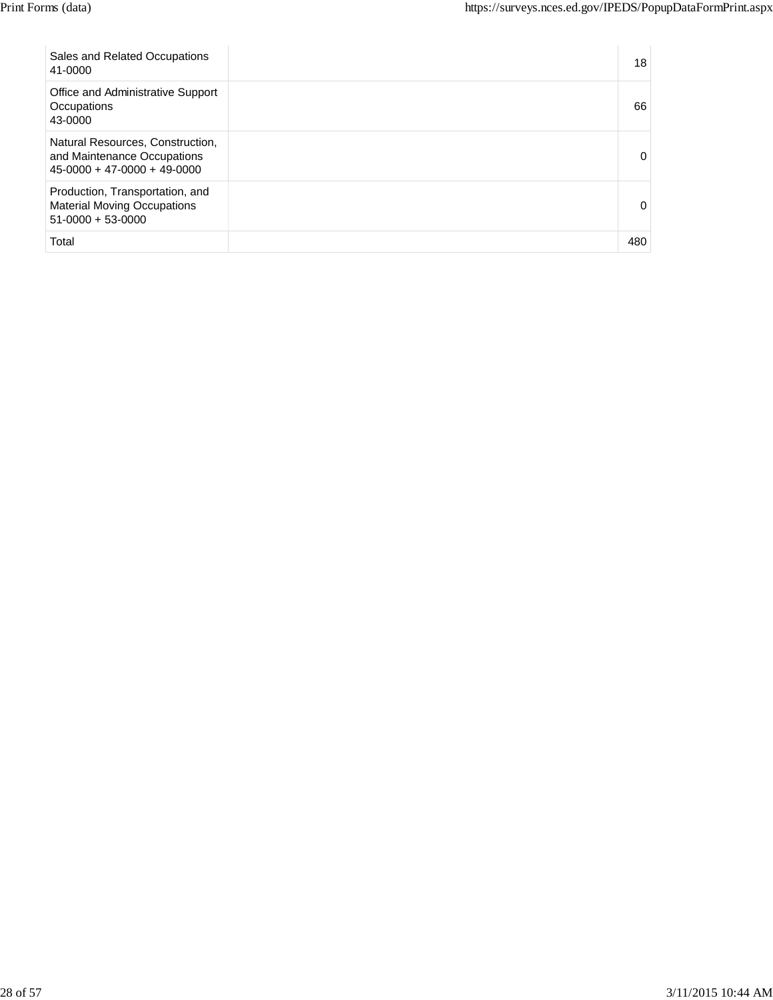| Sales and Related Occupations<br>41-0000                                                         | 18  |
|--------------------------------------------------------------------------------------------------|-----|
| Office and Administrative Support<br>Occupations<br>43-0000                                      | 66  |
| Natural Resources, Construction,<br>and Maintenance Occupations<br>$45-0000 + 47-0000 + 49-0000$ | 0   |
| Production, Transportation, and<br><b>Material Moving Occupations</b><br>$51-0000 + 53-0000$     | 0   |
| Total                                                                                            | 480 |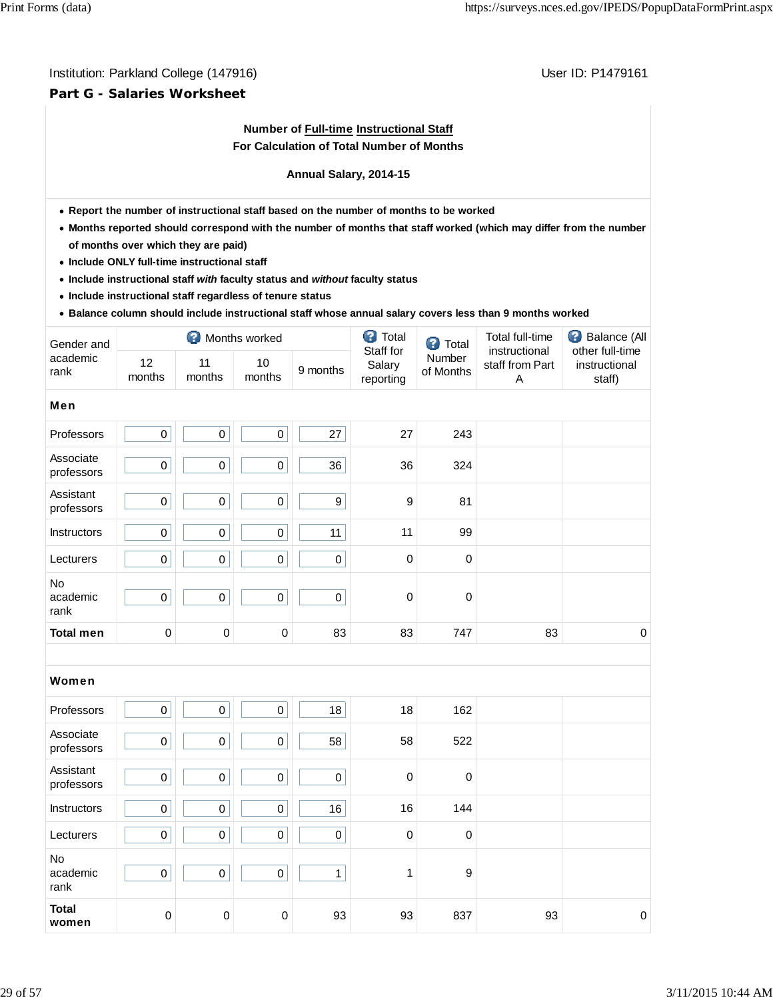# **Part G - Salaries Worksheet**

# **Number of Full-time Instructional Staff For Calculation of Total Number of Months**

#### **Annual Salary, 2014-15**

- **Report the number of instructional staff based on the number of months to be worked**
- **Months reported should correspond with the number of months that staff worked (which may differ from the number of months over which they are paid)**
- **Include ONLY full-time instructional staff**
- **Include instructional staff** *with* **faculty status and** *without* **faculty status**
- **Include instructional staff regardless of tenure status**
- **Balance column should include instructional staff whose annual salary covers less than 9 months worked**

| Gender and              | Months worked |              |                  |          | ◙<br>Total                       | <b>3</b> Total      | Total full-time                       | €<br>Balance (All                          |  |
|-------------------------|---------------|--------------|------------------|----------|----------------------------------|---------------------|---------------------------------------|--------------------------------------------|--|
| academic<br>rank        | 12<br>months  | 11<br>months | 10<br>months     | 9 months | Staff for<br>Salary<br>reporting | Number<br>of Months | instructional<br>staff from Part<br>Α | other full-time<br>instructional<br>staff) |  |
| Men                     |               |              |                  |          |                                  |                     |                                       |                                            |  |
| Professors              | $\pmb{0}$     | $\pmb{0}$    | $\pmb{0}$        | 27       | 27                               | 243                 |                                       |                                            |  |
| Associate<br>professors | $\pmb{0}$     | $\pmb{0}$    | $\mathbf 0$      | 36       | 36                               | 324                 |                                       |                                            |  |
| Assistant<br>professors | $\pmb{0}$     | $\pmb{0}$    | $\mathbf 0$      | 9        | $\boldsymbol{9}$                 | 81                  |                                       |                                            |  |
| <b>Instructors</b>      | $\pmb{0}$     | $\pmb{0}$    | $\pmb{0}$        | 11       | 11                               | 99                  |                                       |                                            |  |
| Lecturers               | $\mathsf 0$   | $\pmb{0}$    | $\boldsymbol{0}$ | 0        | $\mathbf 0$                      | $\mathbf 0$         |                                       |                                            |  |
| No<br>academic<br>rank  | $\pmb{0}$     | $\pmb{0}$    | $\boldsymbol{0}$ | 0        | 0                                | $\mathbf 0$         |                                       |                                            |  |
| <b>Total men</b>        | $\mathbf 0$   | $\pmb{0}$    | 0                | 83       | 83                               | 747                 | 83                                    | $\mathbf 0$                                |  |
|                         |               |              |                  |          |                                  |                     |                                       |                                            |  |
| Women                   |               |              |                  |          |                                  |                     |                                       |                                            |  |

| Professors              | 0           | 0           | 0 | 18          | 18          | 162 |    |             |
|-------------------------|-------------|-------------|---|-------------|-------------|-----|----|-------------|
| Associate<br>professors | 0           | $\mathbf 0$ | 0 | 58          | 58          | 522 |    |             |
| Assistant<br>professors | 0           | $\mathbf 0$ | 0 | $\pmb{0}$   | $\mathbf 0$ | 0   |    |             |
| Instructors             | $\mathbf 0$ | $\pmb{0}$   | 0 | 16          | 16          | 144 |    |             |
| Lecturers               | $\mathbf 0$ | $\mathbf 0$ | 0 | $\mathsf 0$ | $\mathbf 0$ | 0   |    |             |
| No<br>academic<br>rank  | $\pmb{0}$   | $\mathbf 0$ | 0 | 1           |             | 9   |    |             |
| <b>Total</b><br>women   | $\mathbf 0$ | $\mathbf 0$ | 0 | 93          | 93          | 837 | 93 | $\mathbf 0$ |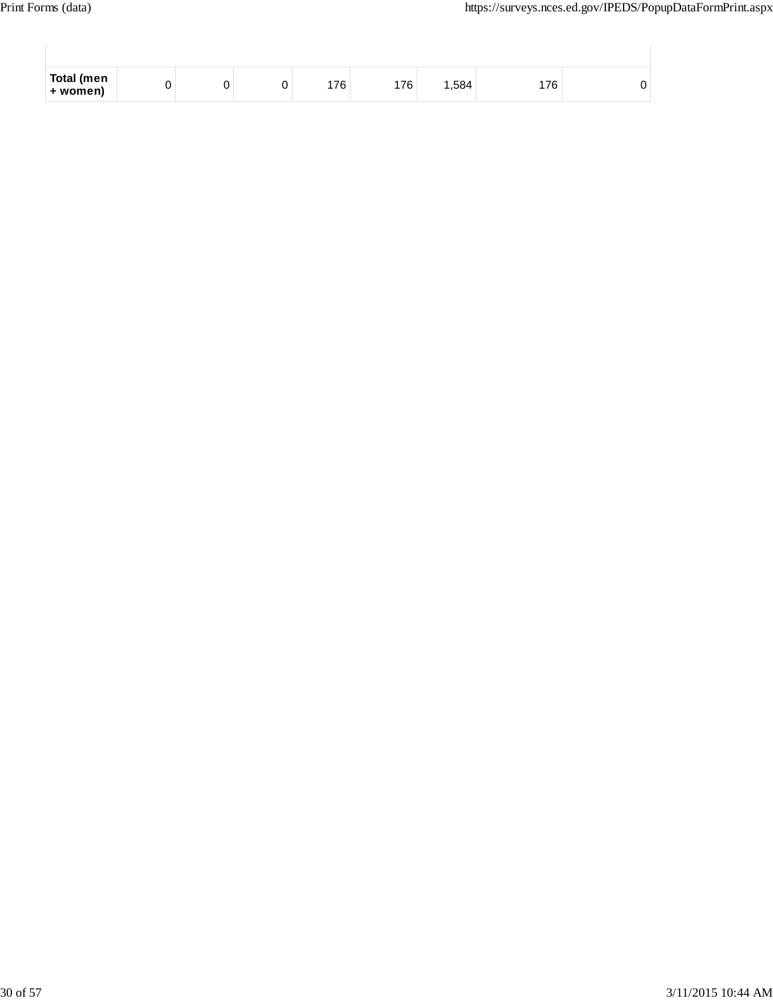| Total (men<br>+ women) |  | 176 | 176 | ا 584، | `76 ⊦ |  |
|------------------------|--|-----|-----|--------|-------|--|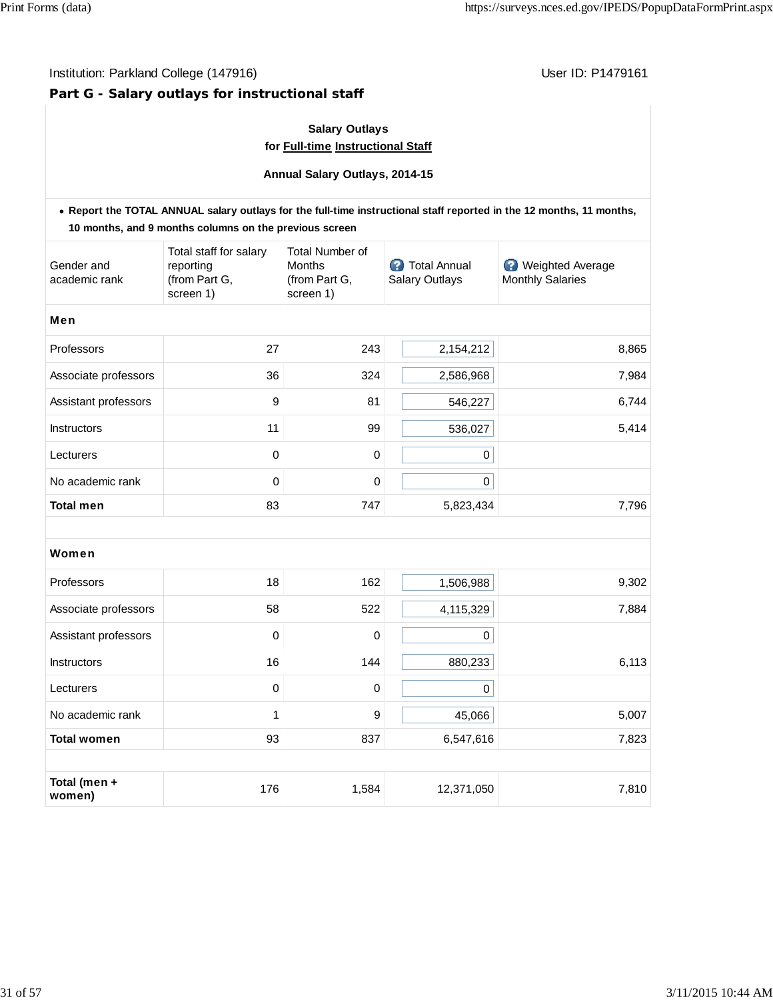# Institution: Parkland College (147916) **User ID: P1479161** User ID: P1479161

# **Part G - Salary outlays for instructional staff**

# **Salary Outlays for Full-time Instructional Staff**

**Annual Salary Outlays, 2014-15**

|                             | 10 months, and 9 months columns on the previous screen            |                                                                |                                                | . Report the TOTAL ANNUAL salary outlays for the full-time instructional staff reported in the 12 months, 11 months, |
|-----------------------------|-------------------------------------------------------------------|----------------------------------------------------------------|------------------------------------------------|----------------------------------------------------------------------------------------------------------------------|
| Gender and<br>academic rank | Total staff for salary<br>reporting<br>(from Part G,<br>screen 1) | <b>Total Number of</b><br>Months<br>(from Part G,<br>screen 1) | <b>3</b> Total Annual<br><b>Salary Outlays</b> | <b>Weighted Average</b><br><b>Monthly Salaries</b>                                                                   |
| Men                         |                                                                   |                                                                |                                                |                                                                                                                      |
| Professors                  | 27                                                                | 243                                                            | 2,154,212                                      | 8,865                                                                                                                |
| Associate professors        | 36                                                                | 324                                                            | 2,586,968                                      | 7,984                                                                                                                |
| Assistant professors        | 9                                                                 | 81                                                             | 546,227                                        | 6,744                                                                                                                |
| <b>Instructors</b>          | 11                                                                | 99                                                             | 536,027                                        | 5,414                                                                                                                |
| Lecturers                   | 0                                                                 | 0                                                              | $\pmb{0}$                                      |                                                                                                                      |
| No academic rank            | 0                                                                 | 0                                                              | $\pmb{0}$                                      |                                                                                                                      |
| <b>Total men</b>            | 83                                                                | 747                                                            | 5,823,434                                      | 7,796                                                                                                                |
| Women                       |                                                                   |                                                                |                                                |                                                                                                                      |
| Professors                  | 18                                                                | 162                                                            | 1,506,988                                      | 9,302                                                                                                                |
| Associate professors        | 58                                                                | 522                                                            | 4,115,329                                      | 7,884                                                                                                                |
| Assistant professors        | 0                                                                 | 0                                                              | 0                                              |                                                                                                                      |
| Instructors                 | 16                                                                | 144                                                            | 880,233                                        | 6,113                                                                                                                |
| Lecturers                   | 0                                                                 | 0                                                              | 0                                              |                                                                                                                      |
| No academic rank            | 1                                                                 | 9                                                              | 45,066                                         | 5,007                                                                                                                |
| <b>Total women</b>          | 93                                                                | 837                                                            | 6,547,616                                      | 7,823                                                                                                                |
|                             |                                                                   |                                                                |                                                |                                                                                                                      |
| Total (men +<br>women)      | 176                                                               | 1,584                                                          | 12,371,050                                     | 7,810                                                                                                                |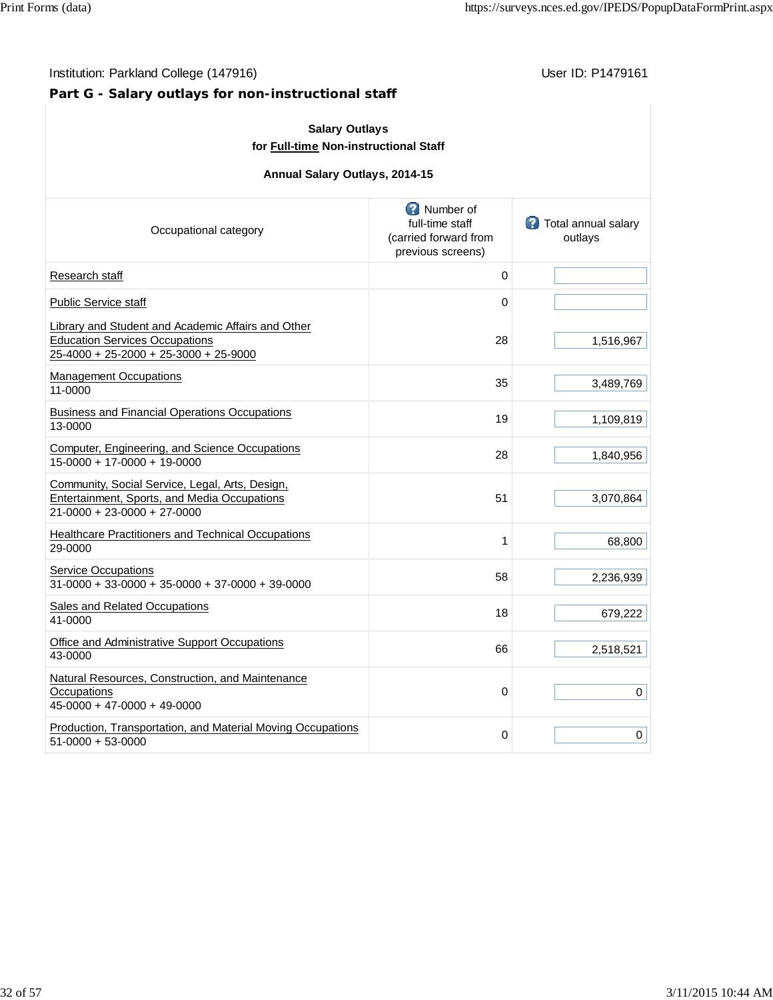# **Part G - Salary outlays for non-instructional staff**

| <b>Salary Outlays</b><br>for Full-time Non-instructional Staff                                                                       |                                                                            |                                       |  |  |  |  |  |  |
|--------------------------------------------------------------------------------------------------------------------------------------|----------------------------------------------------------------------------|---------------------------------------|--|--|--|--|--|--|
| Annual Salary Outlays, 2014-15                                                                                                       |                                                                            |                                       |  |  |  |  |  |  |
| Occupational category                                                                                                                | Number of<br>full-time staff<br>(carried forward from<br>previous screens) | <b>Total annual salary</b><br>outlays |  |  |  |  |  |  |
| Research staff                                                                                                                       | 0                                                                          |                                       |  |  |  |  |  |  |
| <b>Public Service staff</b>                                                                                                          | 0                                                                          |                                       |  |  |  |  |  |  |
| Library and Student and Academic Affairs and Other<br><b>Education Services Occupations</b><br>25-4000 + 25-2000 + 25-3000 + 25-9000 | 28                                                                         | 1,516,967                             |  |  |  |  |  |  |
| <b>Management Occupations</b><br>11-0000                                                                                             | 35                                                                         | 3,489,769                             |  |  |  |  |  |  |
| <b>Business and Financial Operations Occupations</b><br>13-0000                                                                      | 19                                                                         | 1,109,819                             |  |  |  |  |  |  |
| Computer, Engineering, and Science Occupations<br>15-0000 + 17-0000 + 19-0000                                                        | 28                                                                         | 1,840,956                             |  |  |  |  |  |  |
| Community, Social Service, Legal, Arts, Design,<br>Entertainment, Sports, and Media Occupations<br>21-0000 + 23-0000 + 27-0000       | 51                                                                         | 3,070,864                             |  |  |  |  |  |  |
| <b>Healthcare Practitioners and Technical Occupations</b><br>29-0000                                                                 | 1                                                                          | 68,800                                |  |  |  |  |  |  |
| <b>Service Occupations</b><br>$31-0000 + 33-0000 + 35-0000 + 37-0000 + 39-0000$                                                      | 58                                                                         | 2,236,939                             |  |  |  |  |  |  |
| Sales and Related Occupations<br>41-0000                                                                                             | 18                                                                         | 679,222                               |  |  |  |  |  |  |
| Office and Administrative Support Occupations<br>43-0000                                                                             | 66                                                                         | 2,518,521                             |  |  |  |  |  |  |
| Natural Resources, Construction, and Maintenance<br>Occupations<br>45-0000 + 47-0000 + 49-0000                                       | 0                                                                          | 0                                     |  |  |  |  |  |  |
| Production, Transportation, and Material Moving Occupations<br>51-0000 + 53-0000                                                     | 0                                                                          | 0                                     |  |  |  |  |  |  |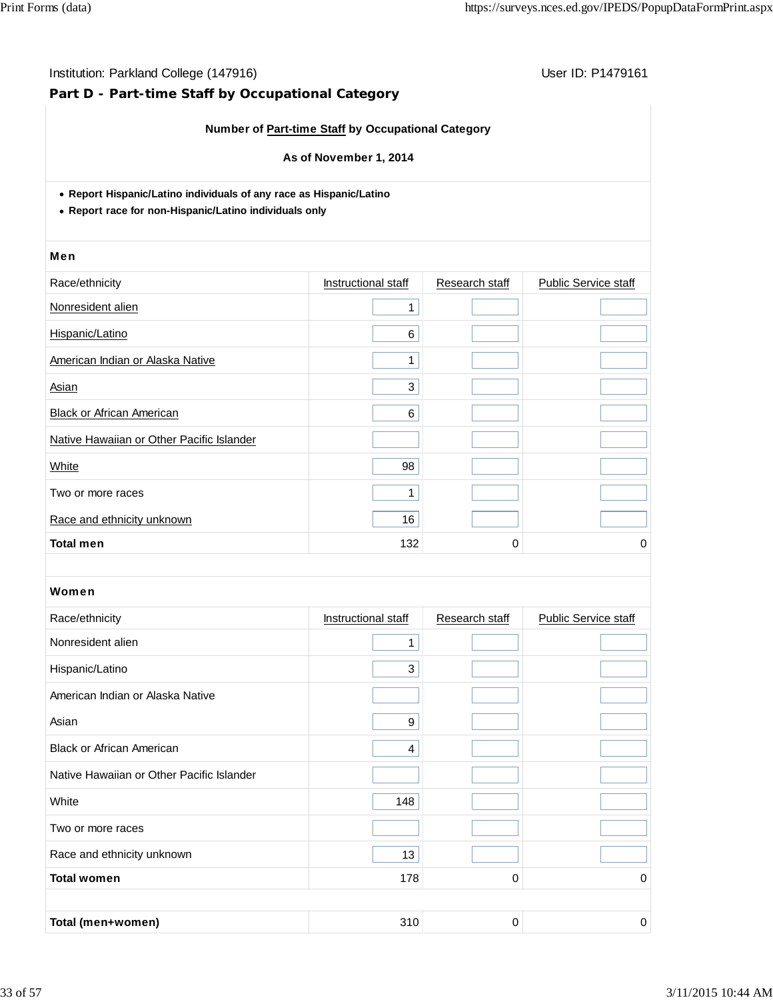# **Part D - Part-time Staff by Occupational Category**

### **Number of Part-time Staff by Occupational Category**

#### **As of November 1, 2014**

**Report Hispanic/Latino individuals of any race as Hispanic/Latino**

**Report race for non-Hispanic/Latino individuals only**

#### Men

| Race/ethnicity                            | Instructional staff | Research staff | <b>Public Service staff</b> |
|-------------------------------------------|---------------------|----------------|-----------------------------|
| Nonresident alien                         | 1                   |                |                             |
| Hispanic/Latino                           | 6                   |                |                             |
| American Indian or Alaska Native          | 1                   |                |                             |
| Asian                                     | 3                   |                |                             |
| <b>Black or African American</b>          | 6                   |                |                             |
| Native Hawaiian or Other Pacific Islander |                     |                |                             |
| White                                     | 98                  |                |                             |
| Two or more races                         | 4                   |                |                             |
| Race and ethnicity unknown                | 16                  |                |                             |
| <b>Total men</b>                          | 132                 | 0              | 0                           |

| Race/ethnicity                            | Instructional staff | Research staff | <b>Public Service staff</b> |
|-------------------------------------------|---------------------|----------------|-----------------------------|
| Nonresident alien                         | 1                   |                |                             |
| Hispanic/Latino                           | 3                   |                |                             |
| American Indian or Alaska Native          |                     |                |                             |
| Asian                                     | 9                   |                |                             |
| <b>Black or African American</b>          | 4                   |                |                             |
| Native Hawaiian or Other Pacific Islander |                     |                |                             |
| White                                     | 148                 |                |                             |
| Two or more races                         |                     |                |                             |
| Race and ethnicity unknown                | 13                  |                |                             |
| <b>Total women</b>                        | 178                 | 0              | 0                           |
|                                           |                     |                |                             |
| Total (men+women)                         | 310                 | 0              | 0                           |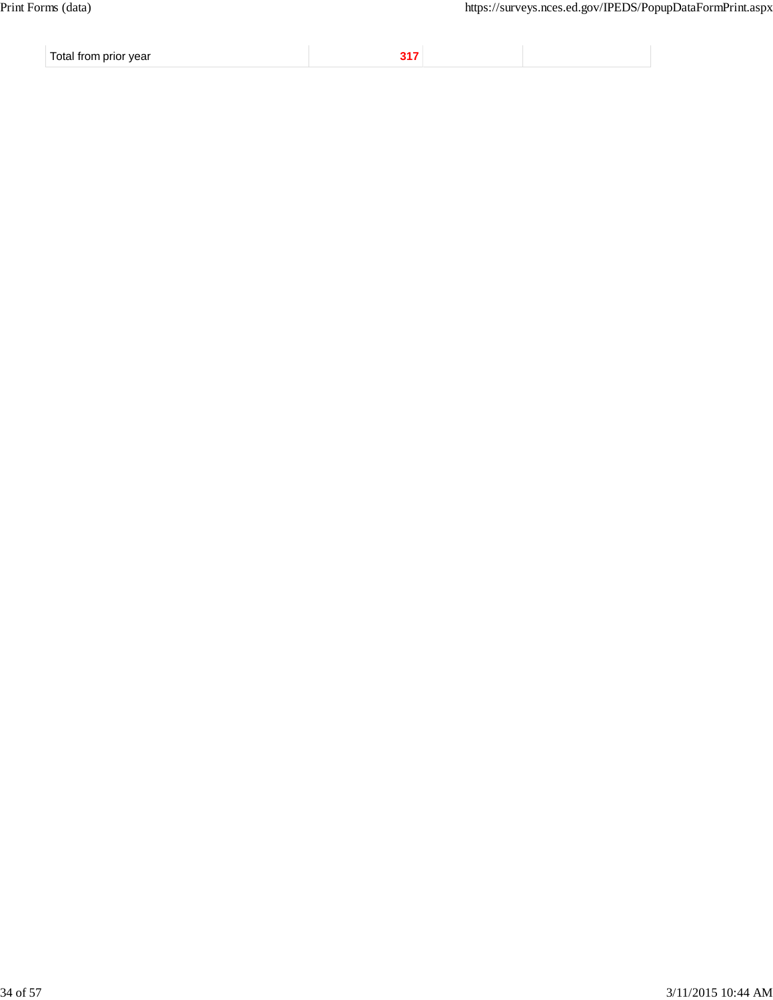Total from prior year **317**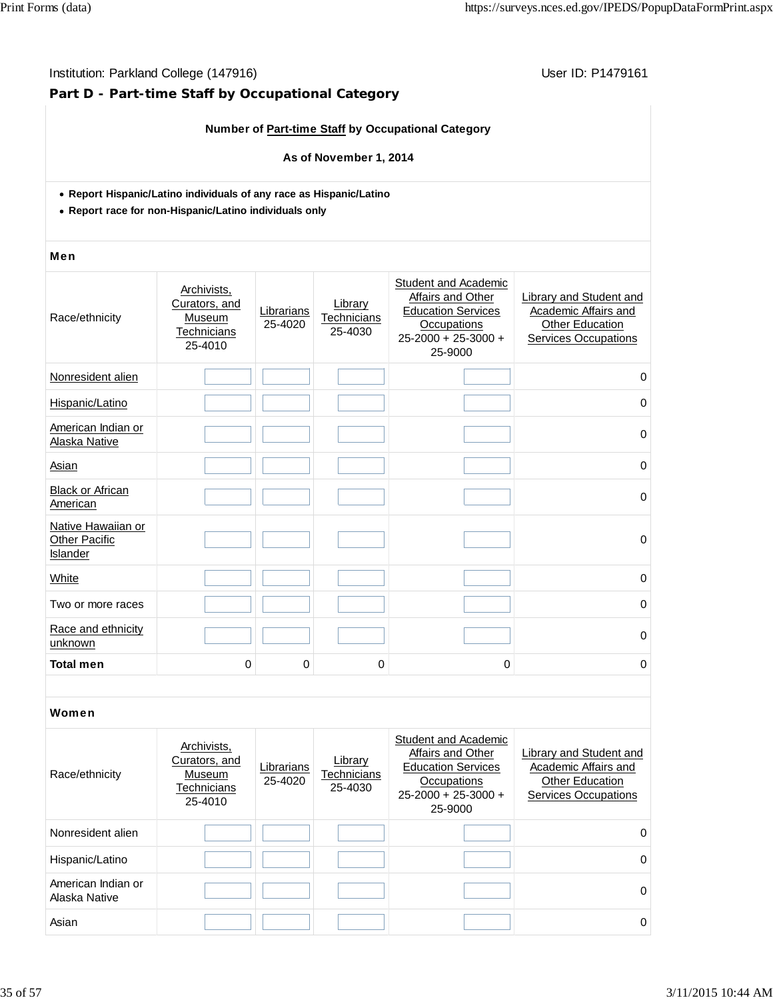# **Part D - Part-time Staff by Occupational Category**

# **Number of Part-time Staff by Occupational Category**

#### **As of November 1, 2014**

- **Report Hispanic/Latino individuals of any race as Hispanic/Latino**
- **Report race for non-Hispanic/Latino individuals only**

#### Men

| Race/ethnicity                                  | Archivists,<br>Curators, and<br>Museum<br><b>Technicians</b><br>25-4010 | Librarians<br>25-4020 | Library<br>Technicians<br>25-4030 | Student and Academic<br>Affairs and Other<br><b>Education Services</b><br><b>Occupations</b><br>$25 - 2000 + 25 - 3000 +$<br>25-9000 | Library and Student and<br>Academic Affairs and<br><b>Other Education</b><br><b>Services Occupations</b> |
|-------------------------------------------------|-------------------------------------------------------------------------|-----------------------|-----------------------------------|--------------------------------------------------------------------------------------------------------------------------------------|----------------------------------------------------------------------------------------------------------|
| Nonresident alien                               |                                                                         |                       |                                   |                                                                                                                                      | 0                                                                                                        |
| Hispanic/Latino                                 |                                                                         |                       |                                   |                                                                                                                                      | 0                                                                                                        |
| American Indian or<br>Alaska Native             |                                                                         |                       |                                   |                                                                                                                                      | $\mathbf 0$                                                                                              |
| Asian                                           |                                                                         |                       |                                   |                                                                                                                                      | 0                                                                                                        |
| <b>Black or African</b><br>American             |                                                                         |                       |                                   |                                                                                                                                      | $\mathbf 0$                                                                                              |
| Native Hawaiian or<br>Other Pacific<br>Islander |                                                                         |                       |                                   |                                                                                                                                      | $\mathbf 0$                                                                                              |
| White                                           |                                                                         |                       |                                   |                                                                                                                                      | $\mathbf 0$                                                                                              |
| Two or more races                               |                                                                         |                       |                                   |                                                                                                                                      | 0                                                                                                        |
| Race and ethnicity<br>unknown                   |                                                                         |                       |                                   |                                                                                                                                      | $\Omega$                                                                                                 |
| <b>Total men</b>                                | 0                                                                       | 0                     | 0                                 | 0                                                                                                                                    | 0                                                                                                        |

| Race/ethnicity                      | Archivists,<br>Curators, and<br>Museum<br>Technicians<br>25-4010 | Librarians<br>25-4020 | Library<br>Technicians<br>25-4030 | Student and Academic<br>Affairs and Other<br><b>Education Services</b><br>Occupations<br>$25 - 2000 + 25 - 3000 +$<br>25-9000 | Library and Student and<br>Academic Affairs and<br><b>Other Education</b><br><b>Services Occupations</b> |
|-------------------------------------|------------------------------------------------------------------|-----------------------|-----------------------------------|-------------------------------------------------------------------------------------------------------------------------------|----------------------------------------------------------------------------------------------------------|
| Nonresident alien                   |                                                                  |                       |                                   |                                                                                                                               | $\Omega$                                                                                                 |
| Hispanic/Latino                     |                                                                  |                       |                                   |                                                                                                                               | $\Omega$                                                                                                 |
| American Indian or<br>Alaska Native |                                                                  |                       |                                   |                                                                                                                               | $\Omega$                                                                                                 |
| Asian                               |                                                                  |                       |                                   |                                                                                                                               | 0                                                                                                        |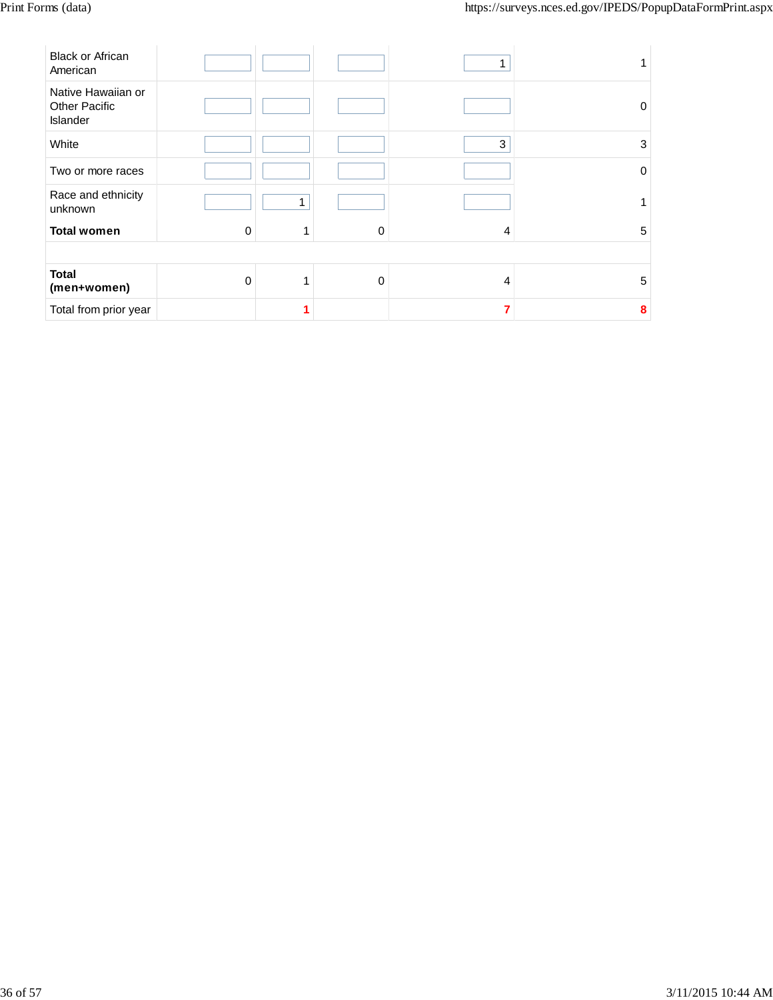| <b>Black or African</b><br>American                    |          |   |          |             |   |
|--------------------------------------------------------|----------|---|----------|-------------|---|
| Native Hawaiian or<br><b>Other Pacific</b><br>Islander |          |   |          |             | 0 |
| White                                                  |          |   |          | $\mathbf 3$ | 3 |
| Two or more races                                      |          |   |          |             | 0 |
| Race and ethnicity<br>unknown                          |          | 1 |          |             |   |
| <b>Total women</b>                                     | 0        | 1 | $\Omega$ | 4           | 5 |
|                                                        |          |   |          |             |   |
| <b>Total</b><br>(men+women)                            | $\Omega$ | 1 | $\Omega$ | 4           | 5 |
| Total from prior year                                  |          |   |          | 7           | 8 |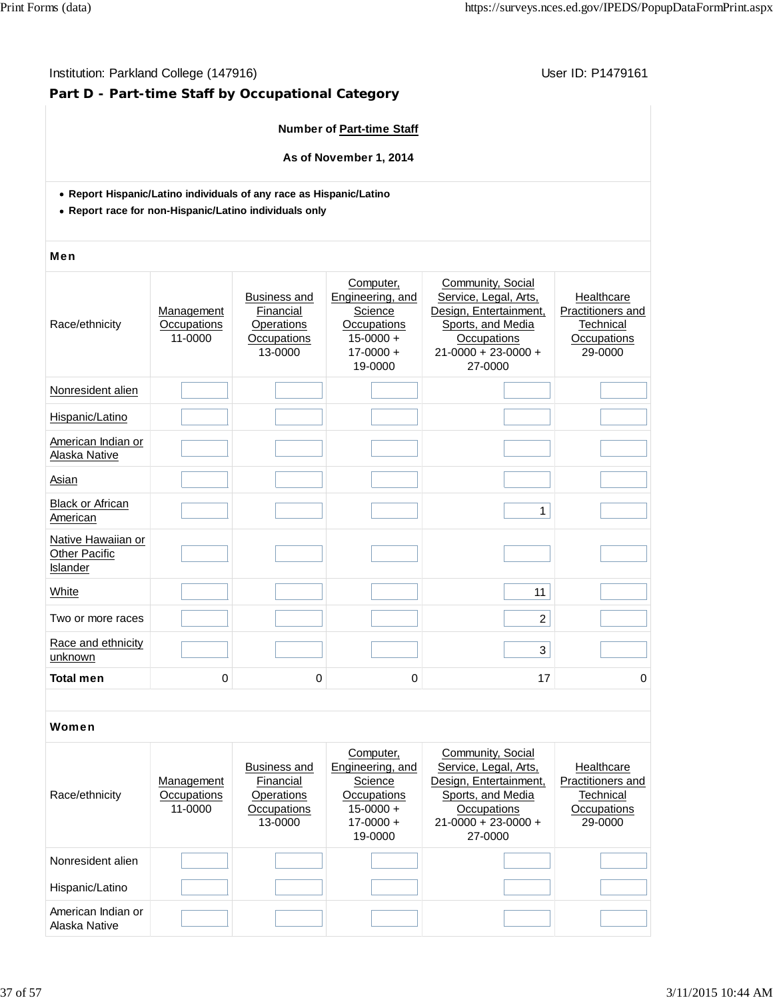### Institution: Parkland College (147916) **Institution: Parkland College (147916**)

# **Part D - Part-time Staff by Occupational Category**

#### **Number of Part-time Staff**

**As of November 1, 2014**

- **Report Hispanic/Latino individuals of any race as Hispanic/Latino**
- **Report race for non-Hispanic/Latino individuals only**

#### Men

| Community, Social<br>Computer,<br><b>Business and</b><br>Engineering, and<br>Service, Legal, Arts,<br>Healthcare<br>Design, Entertainment,<br>Financial<br>Science<br>Management<br>Race/ethnicity<br>Occupations<br>Sports, and Media<br>Technical<br>Occupations<br>Operations<br>11-0000<br>$15 - 0000 +$<br>Occupations<br>Occupations<br>Occupations<br>$21 - 0000 + 23 - 0000 +$<br>13-0000<br>$17 - 0000 +$<br>29-0000<br>19-0000<br>27-0000<br>Nonresident alien<br>Hispanic/Latino<br>American Indian or<br>Alaska Native<br>Asian<br><b>Black or African</b><br>$\mathbf{1}$<br>American<br>Native Hawaiian or<br><b>Other Pacific</b><br>Islander<br>11<br>White<br>$\overline{2}$<br>Two or more races<br>Race and ethnicity<br>3<br>unknown<br><b>Total men</b><br>17<br>0<br>0<br>0 |  |  |                   |
|---------------------------------------------------------------------------------------------------------------------------------------------------------------------------------------------------------------------------------------------------------------------------------------------------------------------------------------------------------------------------------------------------------------------------------------------------------------------------------------------------------------------------------------------------------------------------------------------------------------------------------------------------------------------------------------------------------------------------------------------------------------------------------------------------|--|--|-------------------|
|                                                                                                                                                                                                                                                                                                                                                                                                                                                                                                                                                                                                                                                                                                                                                                                                   |  |  | Practitioners and |
|                                                                                                                                                                                                                                                                                                                                                                                                                                                                                                                                                                                                                                                                                                                                                                                                   |  |  |                   |
|                                                                                                                                                                                                                                                                                                                                                                                                                                                                                                                                                                                                                                                                                                                                                                                                   |  |  |                   |
|                                                                                                                                                                                                                                                                                                                                                                                                                                                                                                                                                                                                                                                                                                                                                                                                   |  |  |                   |
|                                                                                                                                                                                                                                                                                                                                                                                                                                                                                                                                                                                                                                                                                                                                                                                                   |  |  |                   |
|                                                                                                                                                                                                                                                                                                                                                                                                                                                                                                                                                                                                                                                                                                                                                                                                   |  |  |                   |
|                                                                                                                                                                                                                                                                                                                                                                                                                                                                                                                                                                                                                                                                                                                                                                                                   |  |  |                   |
|                                                                                                                                                                                                                                                                                                                                                                                                                                                                                                                                                                                                                                                                                                                                                                                                   |  |  |                   |
|                                                                                                                                                                                                                                                                                                                                                                                                                                                                                                                                                                                                                                                                                                                                                                                                   |  |  |                   |
|                                                                                                                                                                                                                                                                                                                                                                                                                                                                                                                                                                                                                                                                                                                                                                                                   |  |  |                   |
|                                                                                                                                                                                                                                                                                                                                                                                                                                                                                                                                                                                                                                                                                                                                                                                                   |  |  | 0                 |

| Race/ethnicity                      | Management<br>Occupations<br>11-0000 | <b>Business and</b><br>Financial<br>Operations<br>Occupations<br>13-0000 | Computer,<br>Engineering, and<br>Science<br>Occupations<br>$15-0000 +$<br>$17-0000 +$<br>19-0000 | Community, Social<br>Service, Legal, Arts,<br>Design, Entertainment,<br>Sports, and Media<br><b>Occupations</b><br>$21-0000 + 23-0000 +$<br>27-0000 | Healthcare<br>Practitioners and<br>Technical<br>Occupations<br>29-0000 |
|-------------------------------------|--------------------------------------|--------------------------------------------------------------------------|--------------------------------------------------------------------------------------------------|-----------------------------------------------------------------------------------------------------------------------------------------------------|------------------------------------------------------------------------|
| Nonresident alien                   |                                      |                                                                          |                                                                                                  |                                                                                                                                                     |                                                                        |
| Hispanic/Latino                     |                                      |                                                                          |                                                                                                  |                                                                                                                                                     |                                                                        |
| American Indian or<br>Alaska Native |                                      |                                                                          |                                                                                                  |                                                                                                                                                     |                                                                        |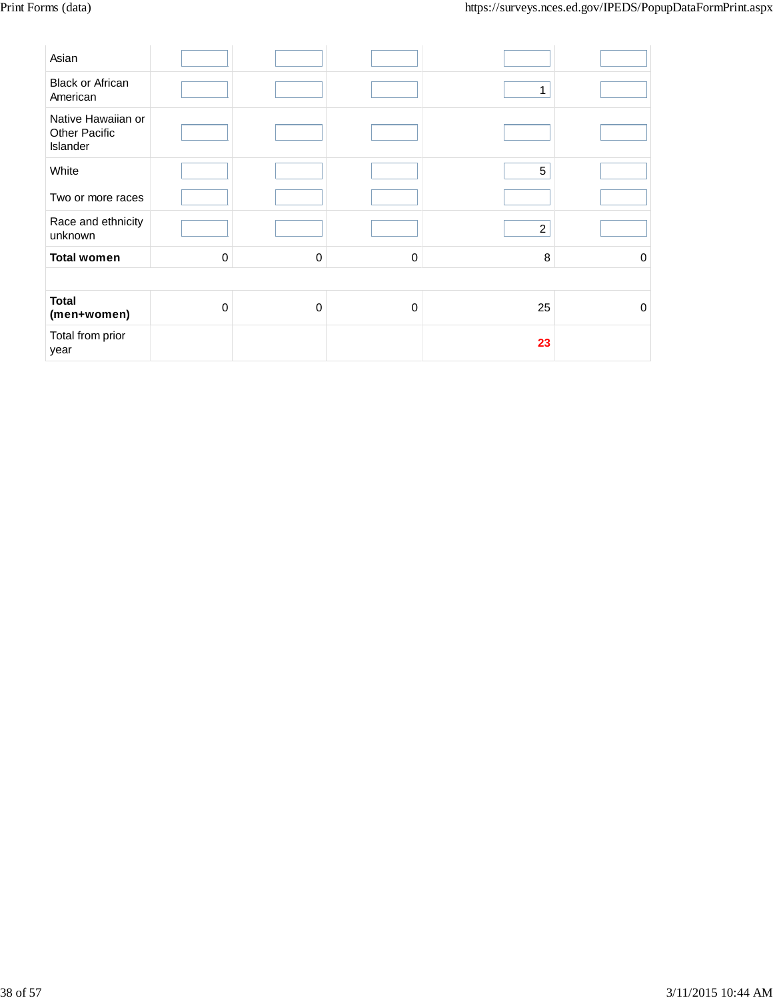| Asian                                                  |             |          |          |                |   |
|--------------------------------------------------------|-------------|----------|----------|----------------|---|
| <b>Black or African</b><br>American                    |             |          |          | 1              |   |
| Native Hawaiian or<br><b>Other Pacific</b><br>Islander |             |          |          |                |   |
| White                                                  |             |          |          | 5              |   |
| Two or more races                                      |             |          |          |                |   |
| Race and ethnicity<br>unknown                          |             |          |          | $\overline{2}$ |   |
| <b>Total women</b>                                     | $\mathbf 0$ | $\Omega$ | $\Omega$ | 8              | 0 |
|                                                        |             |          |          |                |   |
| <b>Total</b><br>(men+women)                            | $\mathbf 0$ | $\Omega$ | $\Omega$ | 25             | 0 |
| Total from prior<br>year                               |             |          |          | 23             |   |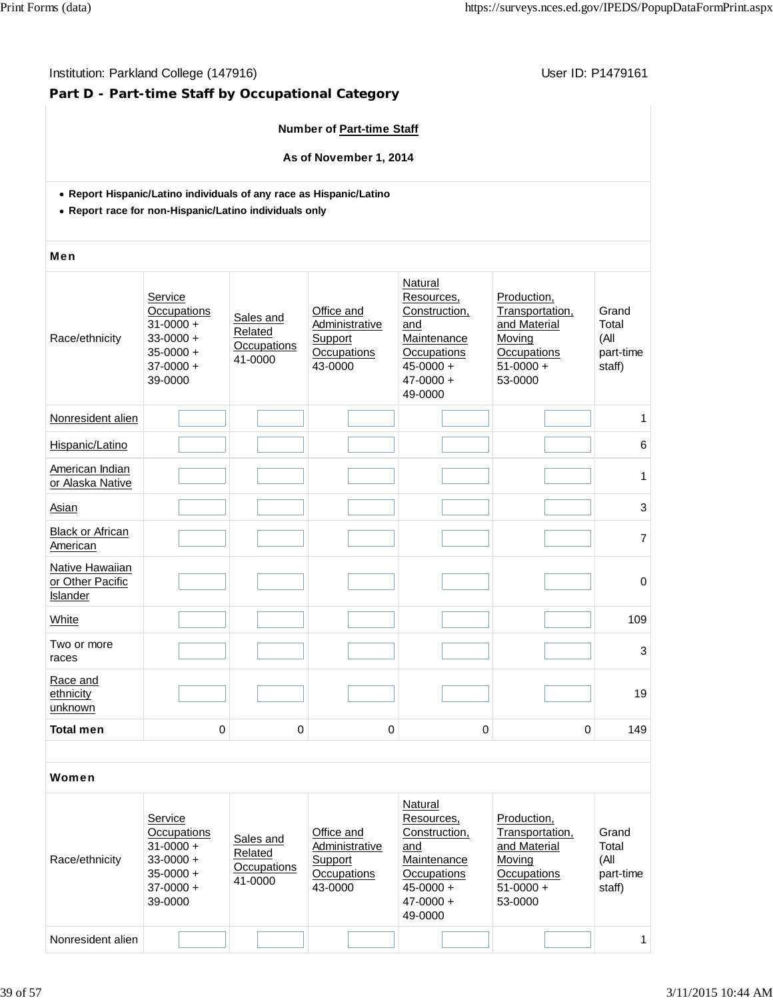### Institution: Parkland College (147916) **Institution: Parkland College (147916**)

# **Part D - Part-time Staff by Occupational Category**

#### **Number of Part-time Staff**

**As of November 1, 2014**

- **Report Hispanic/Latino individuals of any race as Hispanic/Latino**
- **Report race for non-Hispanic/Latino individuals only**

#### Men

| Race/ethnicity                                  | Service<br>Occupations<br>$31 - 0000 +$<br>$33 - 0000 +$<br>$35 - 0000 +$<br>$37-0000 +$<br>39-0000 | Sales and<br>Related<br>Occupations<br>41-0000 | Office and<br>Administrative<br>Support<br>Occupations<br>43-0000 | Natural<br>Resources,<br>Construction,<br>and<br>Maintenance<br>Occupations<br>$45 - 0000 +$<br>$47 - 0000 +$<br>49-0000 | Production,<br>Transportation,<br>and Material<br>Moving<br>Occupations<br>$51-0000 +$<br>53-0000 | Grand<br>Total<br>(All<br>part-time<br>staff) |
|-------------------------------------------------|-----------------------------------------------------------------------------------------------------|------------------------------------------------|-------------------------------------------------------------------|--------------------------------------------------------------------------------------------------------------------------|---------------------------------------------------------------------------------------------------|-----------------------------------------------|
| Nonresident alien                               |                                                                                                     |                                                |                                                                   |                                                                                                                          |                                                                                                   | 1                                             |
| Hispanic/Latino                                 |                                                                                                     |                                                |                                                                   |                                                                                                                          |                                                                                                   | 6                                             |
| American Indian<br>or Alaska Native             |                                                                                                     |                                                |                                                                   |                                                                                                                          |                                                                                                   | 1                                             |
| Asian                                           |                                                                                                     |                                                |                                                                   |                                                                                                                          |                                                                                                   | 3                                             |
| <b>Black or African</b><br>American             |                                                                                                     |                                                |                                                                   |                                                                                                                          |                                                                                                   | $\overline{7}$                                |
| Native Hawaiian<br>or Other Pacific<br>Islander |                                                                                                     |                                                |                                                                   |                                                                                                                          |                                                                                                   | $\mathbf 0$                                   |
| White                                           |                                                                                                     |                                                |                                                                   |                                                                                                                          |                                                                                                   | 109                                           |
| Two or more<br>races                            |                                                                                                     |                                                |                                                                   |                                                                                                                          |                                                                                                   | 3                                             |
| Race and<br>ethnicity<br>unknown                |                                                                                                     |                                                |                                                                   |                                                                                                                          |                                                                                                   | 19                                            |
| <b>Total men</b>                                | 0                                                                                                   | 0                                              | $\pmb{0}$                                                         | 0                                                                                                                        | 0                                                                                                 | 149                                           |
|                                                 |                                                                                                     |                                                |                                                                   |                                                                                                                          |                                                                                                   |                                               |

| Race/ethnicity    | Service<br>Occupations<br>$31 - 0000 +$<br>$33-0000 +$<br>$35-0000 +$<br>$37-0000 +$<br>39-0000 | Sales and<br>Related<br>Occupations<br>41-0000 | Office and<br>Administrative<br>Support<br>Occupations<br>43-0000 | Natural<br>Resources.<br>Construction,<br>and<br>Maintenance<br>Occupations<br>$45 - 0000 +$<br>$47 - 0000 +$<br>49-0000 | Production,<br>Transportation,<br>and Material<br>Moving<br>Occupations<br>$51-0000 +$<br>53-0000 | Grand<br>Total<br>(All<br>part-time<br>staff) |
|-------------------|-------------------------------------------------------------------------------------------------|------------------------------------------------|-------------------------------------------------------------------|--------------------------------------------------------------------------------------------------------------------------|---------------------------------------------------------------------------------------------------|-----------------------------------------------|
| Nonresident alien |                                                                                                 |                                                |                                                                   |                                                                                                                          |                                                                                                   |                                               |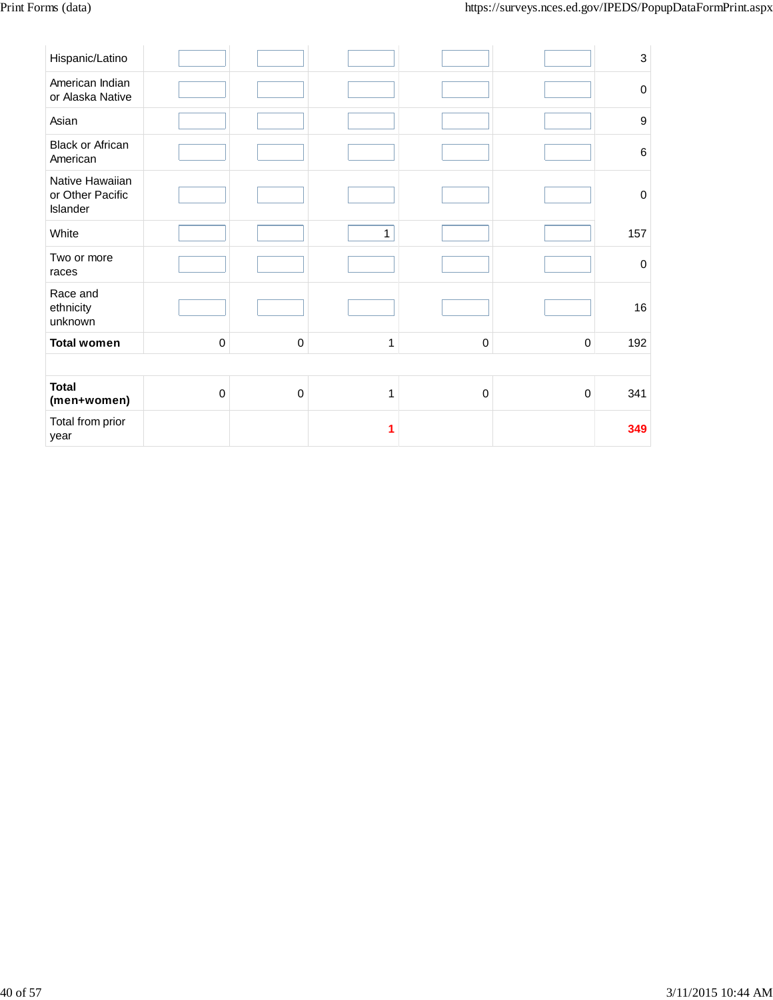| Hispanic/Latino                                 |             |             |             |           |             | $\ensuremath{\mathsf{3}}$ |
|-------------------------------------------------|-------------|-------------|-------------|-----------|-------------|---------------------------|
| American Indian<br>or Alaska Native             |             |             |             |           |             | $\pmb{0}$                 |
| Asian                                           |             |             |             |           |             | $\boldsymbol{9}$          |
| Black or African<br>American                    |             |             |             |           |             | $\,6$                     |
| Native Hawaiian<br>or Other Pacific<br>Islander |             |             |             |           |             | $\mathbf 0$               |
| White                                           |             |             | $\mathbf 1$ |           |             | 157                       |
| Two or more<br>races                            |             |             |             |           |             | $\pmb{0}$                 |
| Race and<br>ethnicity<br>unknown                |             |             |             |           |             | 16                        |
| <b>Total women</b>                              | $\pmb{0}$   | 0           | 1           | 0         | 0           | 192                       |
|                                                 |             |             |             |           |             |                           |
| <b>Total</b><br>(men+women)                     | $\mathbf 0$ | $\mathbf 0$ | 1           | $\pmb{0}$ | $\mathbf 0$ | 341                       |
| Total from prior<br>year                        |             |             | 1           |           |             | 349                       |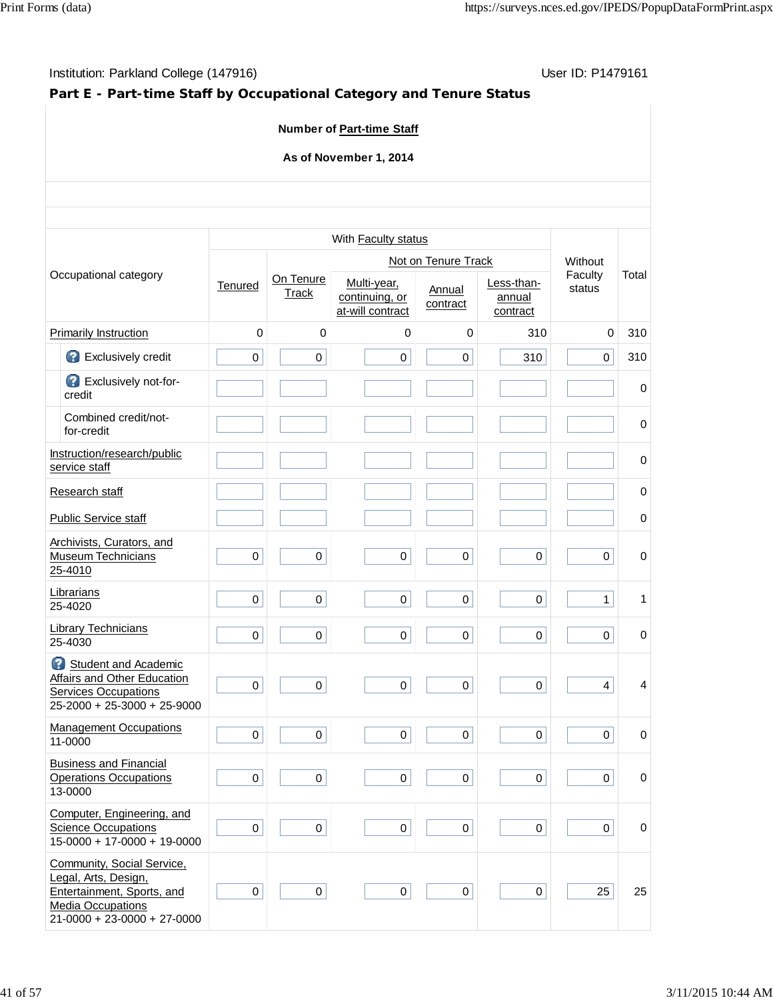# **Part E - Part-time Staff by Occupational Category and Tenure Status**

### **Number of Part-time Staff**

### **As of November 1, 2014**

|                                                                                                                                               |                     |                           | With Faculty status                               |                     |                                  |                         |             |
|-----------------------------------------------------------------------------------------------------------------------------------------------|---------------------|---------------------------|---------------------------------------------------|---------------------|----------------------------------|-------------------------|-------------|
|                                                                                                                                               |                     |                           |                                                   | Not on Tenure Track |                                  | Without                 |             |
| Occupational category                                                                                                                         | <b>Tenured</b>      | On Tenure<br><b>Track</b> | Multi-year,<br>continuing, or<br>at-will contract | Annual<br>contract  | Less-than-<br>annual<br>contract | Faculty<br>status       | Total       |
| <b>Primarily Instruction</b>                                                                                                                  | 0                   | $\mathbf 0$               | 0                                                 | $\mathbf 0$         | 310                              | 0                       | 310         |
| Exclusively credit                                                                                                                            | 0                   | $\mathsf 0$               | $\mathsf 0$                                       | 0                   | 310                              | $\mathbf 0$             | 310         |
| Exclusively not-for-<br>credit                                                                                                                |                     |                           |                                                   |                     |                                  |                         | $\mathbf 0$ |
| Combined credit/not-<br>for-credit                                                                                                            |                     |                           |                                                   |                     |                                  |                         | 0           |
| Instruction/research/public<br>service staff                                                                                                  |                     |                           |                                                   |                     |                                  |                         | 0           |
| Research staff                                                                                                                                |                     |                           |                                                   |                     |                                  |                         | 0           |
| <b>Public Service staff</b>                                                                                                                   |                     |                           |                                                   |                     |                                  |                         | $\mathbf 0$ |
| Archivists, Curators, and<br><b>Museum Technicians</b><br>25-4010                                                                             | $\mathsf{O}\xspace$ | $\pmb{0}$                 | $\mathsf 0$                                       | $\mathsf{O}\xspace$ | $\mathsf{O}$                     | $\pmb{0}$               | $\mathbf 0$ |
| Librarians<br>25-4020                                                                                                                         | $\mathbf 0$         | 0                         | 0                                                 | 0                   | $\mathbf 0$                      | $\mathbf{1}$            | 1           |
| <b>Library Technicians</b><br>25-4030                                                                                                         | $\mathsf 0$         | $\mathbf 0$               | 0                                                 | $\mathbf 0$         | 0                                | $\pmb{0}$               | $\mathbf 0$ |
| Student and Academic<br>Affairs and Other Education<br><b>Services Occupations</b><br>$25-2000 + 25-3000 + 25-9000$                           | $\pmb{0}$           | $\pmb{0}$                 | 0                                                 | $\mathbf 0$         | $\mathsf{O}$                     | $\overline{\mathbf{4}}$ | 4           |
| <b>Management Occupations</b><br>11-0000                                                                                                      | $\pmb{0}$           | $\mathbf 0$               | 0                                                 | 0                   | $\overline{0}$                   | $\mathbf 0$             | $\mathbf 0$ |
| <b>Business and Financial</b><br><b>Operations Occupations</b><br>13-0000                                                                     | $\mathbf 0$         | $\mathbf 0$               | 0                                                 | $\mathbf 0$         | 0                                | $\mathbf 0$             | 0           |
| Computer, Engineering, and<br><b>Science Occupations</b><br>$15-0000 + 17-0000 + 19-0000$                                                     | 0                   | $\boldsymbol{0}$          | $\mathsf 0$                                       | 0                   | $\overline{0}$                   | $\mathsf 0$             | $\mathbf 0$ |
| Community, Social Service,<br>Legal, Arts, Design,<br>Entertainment, Sports, and<br><b>Media Occupations</b><br>$21-0000 + 23-0000 + 27-0000$ | $\pmb{0}$           | 0                         | $\pmb{0}$                                         | $\mathbf 0$         | 0                                | 25                      | 25          |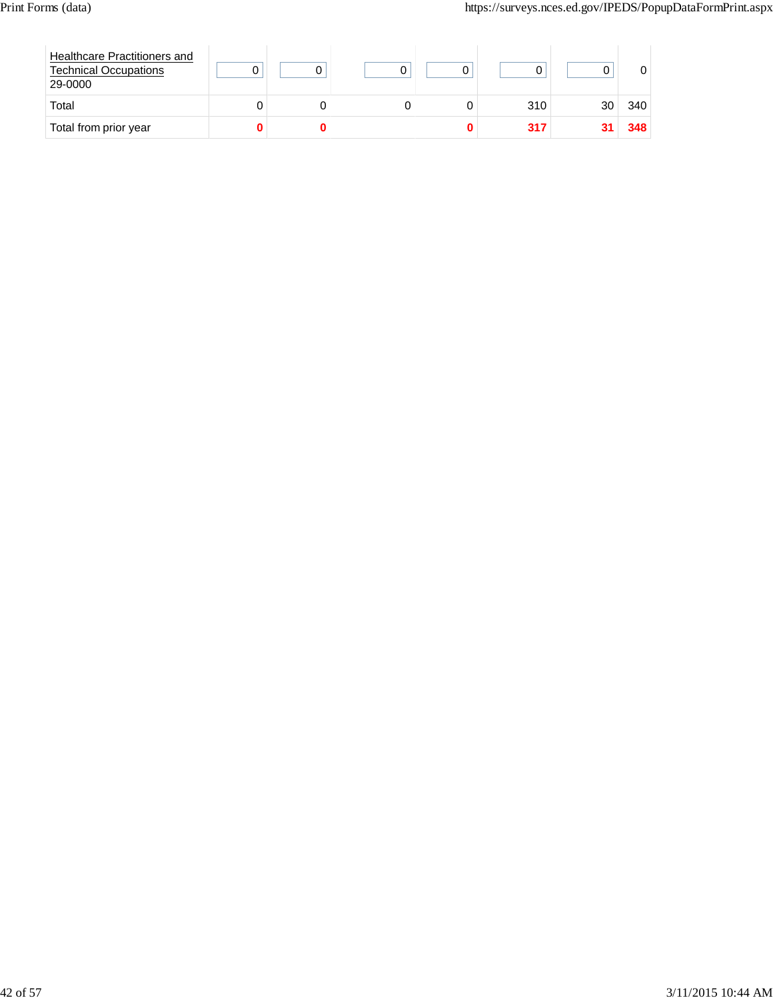| Healthcare Practitioners and<br><b>Technical Occupations</b><br>29-0000 |  |  |     |    |     |
|-------------------------------------------------------------------------|--|--|-----|----|-----|
| Total                                                                   |  |  | 310 | 30 | 340 |
| Total from prior year                                                   |  |  | 317 |    | 348 |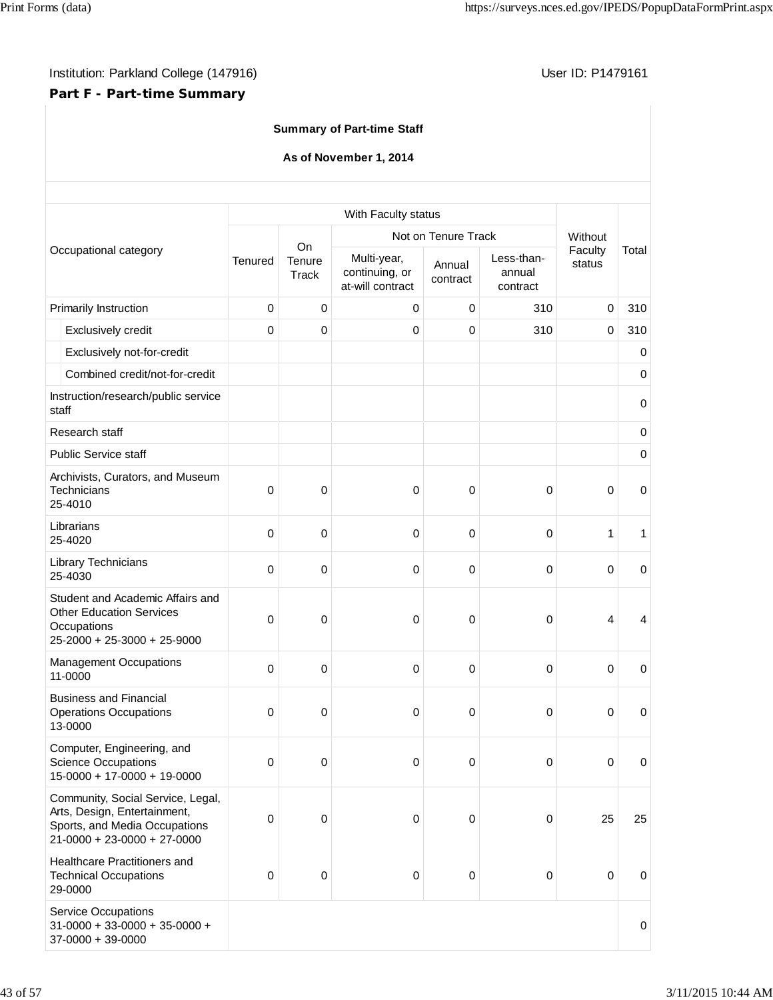# **Part F - Part-time Summary**

| <b>Summary of Part-time Staff</b>                                                                                                   |         |                              |                                                   |                    |                                  |                   |           |  |  |
|-------------------------------------------------------------------------------------------------------------------------------------|---------|------------------------------|---------------------------------------------------|--------------------|----------------------------------|-------------------|-----------|--|--|
| As of November 1, 2014                                                                                                              |         |                              |                                                   |                    |                                  |                   |           |  |  |
|                                                                                                                                     |         |                              | With Faculty status                               |                    |                                  |                   |           |  |  |
|                                                                                                                                     |         |                              | Not on Tenure Track                               | Without            |                                  |                   |           |  |  |
| Occupational category                                                                                                               | Tenured | <b>On</b><br>Tenure<br>Track | Multi-year,<br>continuing, or<br>at-will contract | Annual<br>contract | Less-than-<br>annual<br>contract | Faculty<br>status | Total     |  |  |
| Primarily Instruction                                                                                                               | 0       | 0                            | 0                                                 | $\pmb{0}$          | 310                              | $\mathbf 0$       | 310       |  |  |
| Exclusively credit                                                                                                                  | 0       | 0                            | 0                                                 | $\mathbf 0$        | 310                              | $\mathbf 0$       | 310       |  |  |
| Exclusively not-for-credit                                                                                                          |         |                              |                                                   |                    |                                  |                   | 0         |  |  |
| Combined credit/not-for-credit                                                                                                      |         |                              |                                                   |                    |                                  |                   | $\pmb{0}$ |  |  |
| Instruction/research/public service<br>staff                                                                                        |         |                              |                                                   |                    |                                  |                   | $\pmb{0}$ |  |  |
| Research staff                                                                                                                      |         |                              |                                                   |                    |                                  |                   | 0         |  |  |
| <b>Public Service staff</b>                                                                                                         |         |                              |                                                   |                    |                                  |                   | $\pmb{0}$ |  |  |
| Archivists, Curators, and Museum<br>Technicians<br>25-4010                                                                          | 0       | 0                            | 0                                                 | 0                  | 0                                | $\mathbf 0$       | $\pmb{0}$ |  |  |
| Librarians<br>25-4020                                                                                                               | 0       | 0                            | $\mathbf 0$                                       | $\pmb{0}$          | $\mathbf 0$                      | 1                 | 1         |  |  |
| Library Technicians<br>25-4030                                                                                                      | 0       | 0                            | 0                                                 | $\pmb{0}$          | 0                                | 0                 | $\pmb{0}$ |  |  |
| Student and Academic Affairs and<br><b>Other Education Services</b><br>Occupations<br>25-2000 + 25-3000 + 25-9000                   | 0       | 0                            | 0                                                 | $\pmb{0}$          | 0                                | $\overline{4}$    | 4         |  |  |
| <b>Management Occupations</b><br>11-0000                                                                                            | 0       | 0                            | 0                                                 | 0                  | 0                                | $\mathbf 0$       | 0         |  |  |
| <b>Business and Financial</b><br><b>Operations Occupations</b><br>13-0000                                                           | 0       | 0                            | $\pmb{0}$                                         | $\pmb{0}$          | 0                                | 0                 | 0         |  |  |
| Computer, Engineering, and<br><b>Science Occupations</b><br>$15-0000 + 17-0000 + 19-0000$                                           | 0       | 0                            | $\mathbf 0$                                       | $\pmb{0}$          | $\mathbf 0$                      | $\pmb{0}$         | $\pmb{0}$ |  |  |
| Community, Social Service, Legal,<br>Arts, Design, Entertainment,<br>Sports, and Media Occupations<br>$21-0000 + 23-0000 + 27-0000$ | 0       | 0                            | $\mathbf 0$                                       | $\pmb{0}$          | 0                                | 25                | 25        |  |  |
| Healthcare Practitioners and<br><b>Technical Occupations</b><br>29-0000                                                             | 0       | 0                            | $\pmb{0}$                                         | $\pmb{0}$          | $\mathbf 0$                      | $\pmb{0}$         | $\pmb{0}$ |  |  |
| <b>Service Occupations</b><br>$31-0000 + 33-0000 + 35-0000 +$<br>$37-0000 + 39-0000$                                                |         |                              |                                                   |                    |                                  |                   | 0         |  |  |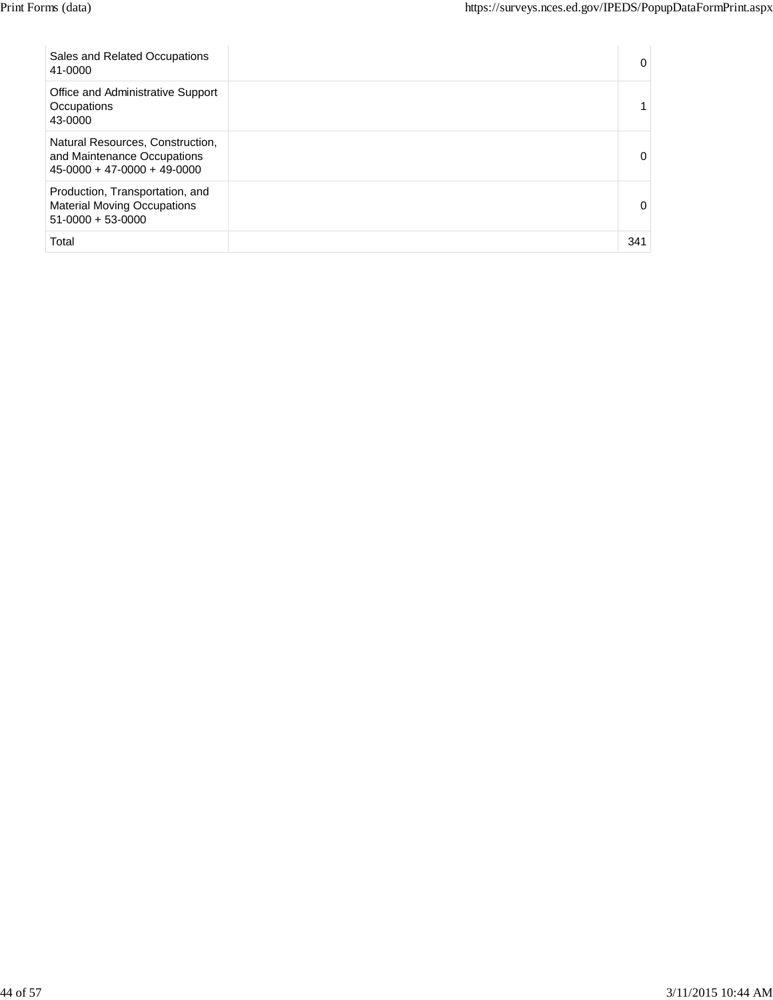| Sales and Related Occupations<br>41-0000                                                         | 0        |
|--------------------------------------------------------------------------------------------------|----------|
| Office and Administrative Support<br>Occupations<br>43-0000                                      |          |
| Natural Resources, Construction,<br>and Maintenance Occupations<br>$45-0000 + 47-0000 + 49-0000$ | 0        |
| Production, Transportation, and<br><b>Material Moving Occupations</b><br>$51-0000 + 53-0000$     | $\Omega$ |
| Total                                                                                            | 341      |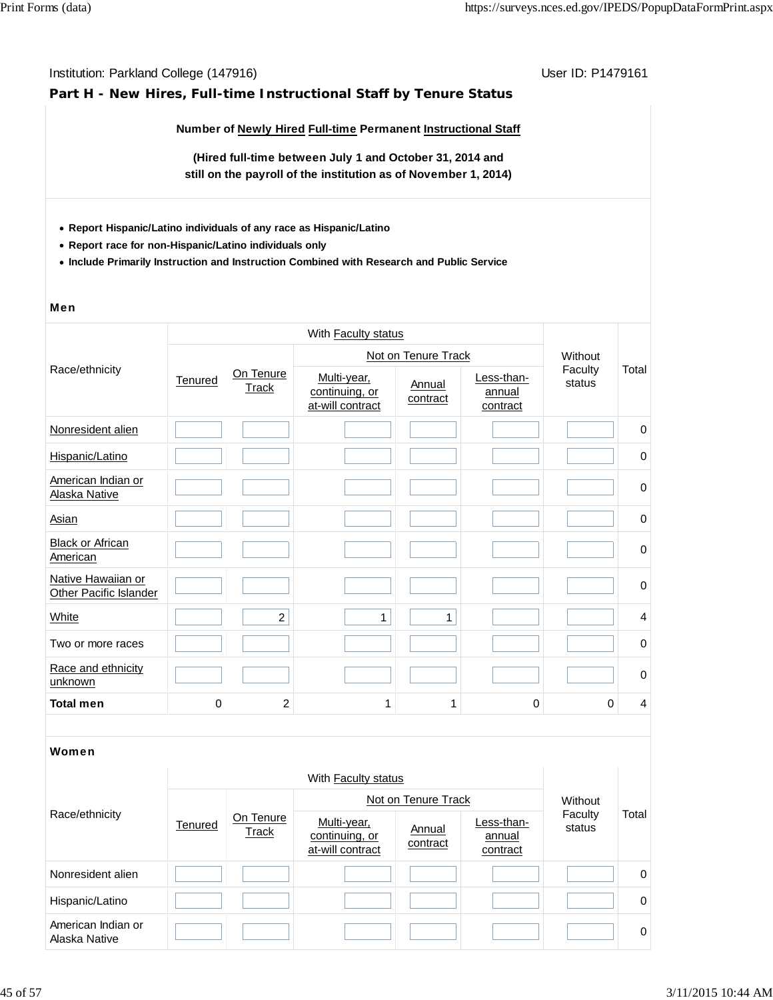#### **Part H - New Hires, Full-time Instructional Staff by Tenure Status**

**Number of Newly Hired Full-time Permanent Instructional Staff**

**(Hired full-time between July 1 and October 31, 2014 and still on the payroll of the institution as of November 1, 2014)**

- **Report Hispanic/Latino individuals of any race as Hispanic/Latino**
- **Report race for non-Hispanic/Latino individuals only**
- **Include Primarily Instruction and Instruction Combined with Research and Public Service**

#### Men

|                                              |                         |                | With Faculty status                               |                     |                                  |                   |                |
|----------------------------------------------|-------------------------|----------------|---------------------------------------------------|---------------------|----------------------------------|-------------------|----------------|
|                                              |                         |                |                                                   | Not on Tenure Track |                                  | Without           |                |
| Race/ethnicity                               | Tenured<br><b>Track</b> | On Tenure      | Multi-year,<br>continuing, or<br>at-will contract | Annual<br>contract  | Less-than-<br>annual<br>contract | Faculty<br>status | Total          |
| Nonresident alien                            |                         |                |                                                   |                     |                                  |                   | $\mathbf 0$    |
| Hispanic/Latino                              |                         |                |                                                   |                     |                                  |                   | $\pmb{0}$      |
| American Indian or<br>Alaska Native          |                         |                |                                                   |                     |                                  |                   | 0              |
| <b>Asian</b>                                 |                         |                |                                                   |                     |                                  |                   | 0              |
| <b>Black or African</b><br>American          |                         |                |                                                   |                     |                                  |                   | $\pmb{0}$      |
| Native Hawaiian or<br>Other Pacific Islander |                         |                |                                                   |                     |                                  |                   | $\mathbf 0$    |
| White                                        |                         | $\overline{a}$ | 1                                                 | 1                   |                                  |                   | $\overline{4}$ |
| Two or more races                            |                         |                |                                                   |                     |                                  |                   | 0              |
| Race and ethnicity<br>unknown                |                         |                |                                                   |                     |                                  |                   | $\mathbf 0$    |
| <b>Total men</b>                             | $\Omega$                | 2              | 1                                                 |                     | 0                                | 0                 | 4              |

| Race/ethnicity                      |         | With Faculty status |                                                   |                    |                                  |                   |          |  |  |
|-------------------------------------|---------|---------------------|---------------------------------------------------|--------------------|----------------------------------|-------------------|----------|--|--|
|                                     | Tenured |                     | Not on Tenure Track                               | Without            |                                  |                   |          |  |  |
|                                     |         | On Tenure<br>Track  | Multi-year,<br>continuing, or<br>at-will contract | Annual<br>contract | Less-than-<br>annual<br>contract | Faculty<br>status | Total    |  |  |
| Nonresident alien                   |         |                     |                                                   |                    |                                  |                   | 0        |  |  |
| Hispanic/Latino                     |         |                     |                                                   |                    |                                  |                   | $\Omega$ |  |  |
| American Indian or<br>Alaska Native |         |                     |                                                   |                    |                                  |                   | $\Omega$ |  |  |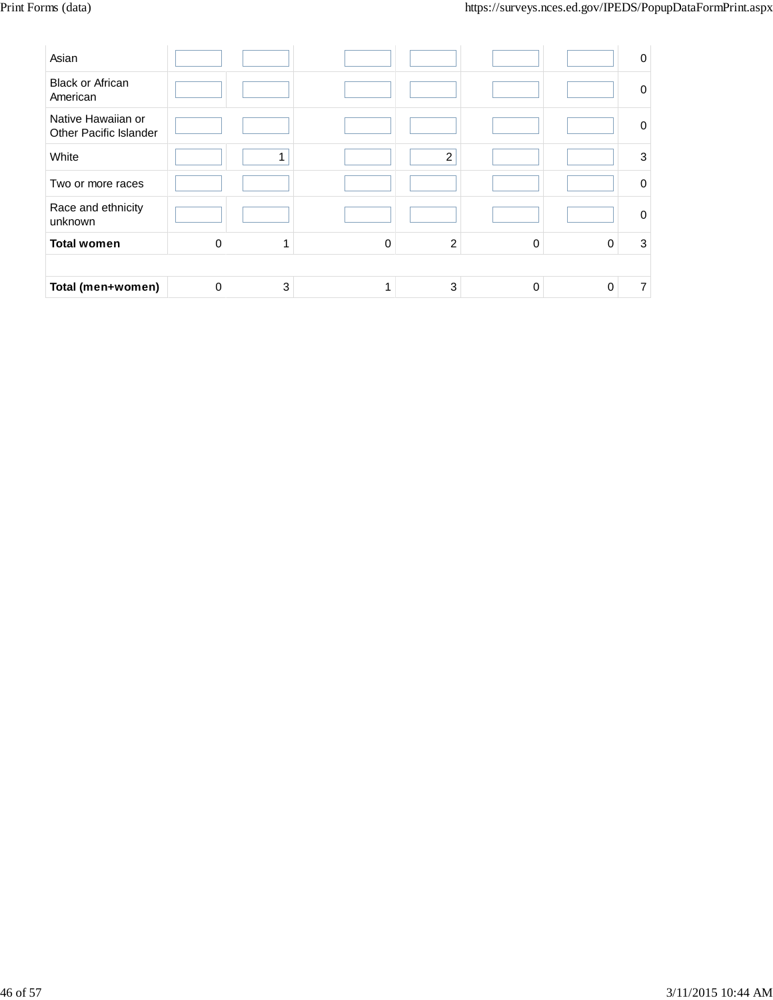| Asian                                        |          |   |   |                |          |          | 0           |
|----------------------------------------------|----------|---|---|----------------|----------|----------|-------------|
| <b>Black or African</b><br>American          |          |   |   |                |          |          | $\mathbf 0$ |
| Native Hawaiian or<br>Other Pacific Islander |          |   |   |                |          |          | 0           |
| White                                        |          |   |   | $\overline{c}$ |          |          | 3           |
| Two or more races                            |          |   |   |                |          |          | $\Omega$    |
| Race and ethnicity<br>unknown                |          |   |   |                |          |          | 0           |
| <b>Total women</b>                           | $\Omega$ |   | 0 | $\overline{2}$ | $\Omega$ | $\Omega$ | 3           |
|                                              |          |   |   |                |          |          |             |
| Total (men+women)                            | 0        | 3 |   | 3              | 0        | 0        | 7           |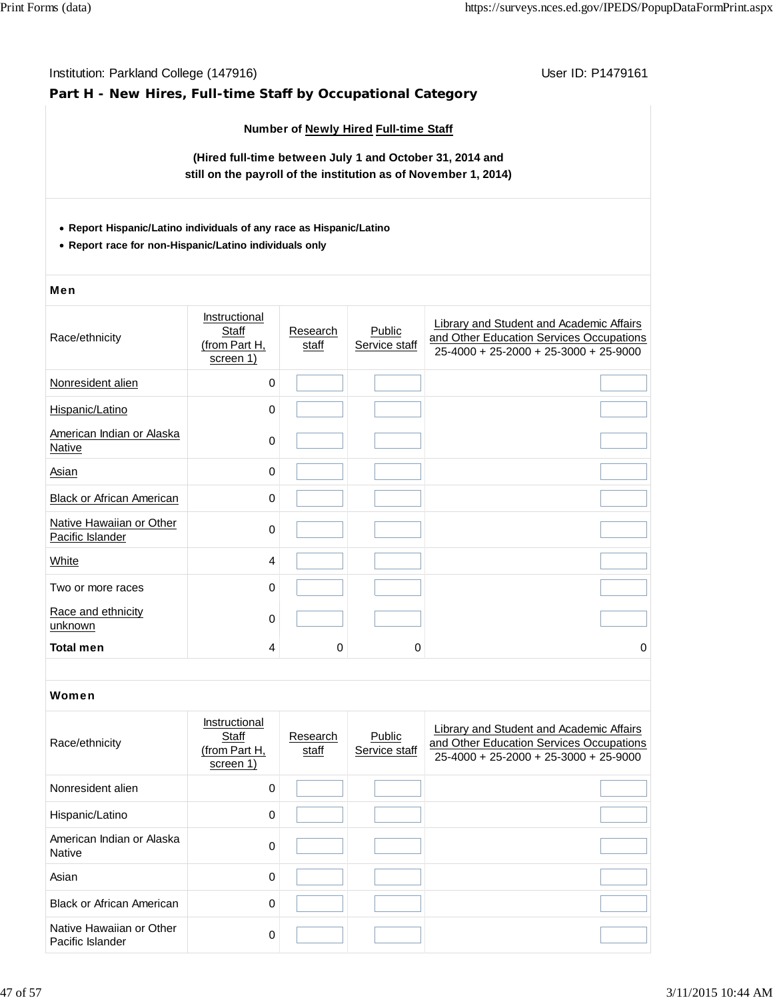# Institution: Parkland College (147916) November 2012 12: P1479161 **Part H - New Hires, Full-time Staff by Occupational Category Number of Newly Hired Full-time Staff (Hired full-time between July 1 and October 31, 2014 and still on the payroll of the institution as of November 1, 2014) Report Hispanic/Latino individuals of any race as Hispanic/Latino Report race for non-Hispanic/Latino individuals only** Men Race/ethnicity **Instructional Staff** (from Part H, screen 1) **Research** staff **Public** Service staff Library and Student and Academic Affairs and Other Education Services Occupations 25-4000 + 25-2000 + 25-3000 + 25-9000 Nonresident alien 0 Hispanic/Latino 0 American Indian or Alaska Native<sup>0</sup> Asian 0 Black or African American **Dividends** 0 Native Hawaiian or Other <u>Native Hawaiian of Other</u><br>Pacific Islander 0 White 4 Two or more races and the control of the control of the control of the control of the control of the control of the control of the control of the control of the control of the control of the control of the control of the c Race and ethnicity  $\frac{R \cdot \text{ac}}{\text{unknown}}$  0 **Total men** 4 0 0 0 Women Race/ethnicity **Instructional Staff** (from Part H, screen 1) **Research** staff **Public** Service staff Library and Student and Academic Affairs and Other Education Services Occupations 25-4000 + 25-2000 + 25-3000 + 25-9000 Nonresident alien 0 Hispanic/Latino 0 American Indian or Alaska Native 0 Additional Company of the Contract of Additional Company of the Contract of Contract of the Contract o<br>Native Asian 0 Black or African American **0** 0 Native Hawaiian or Other Pacific Islander 0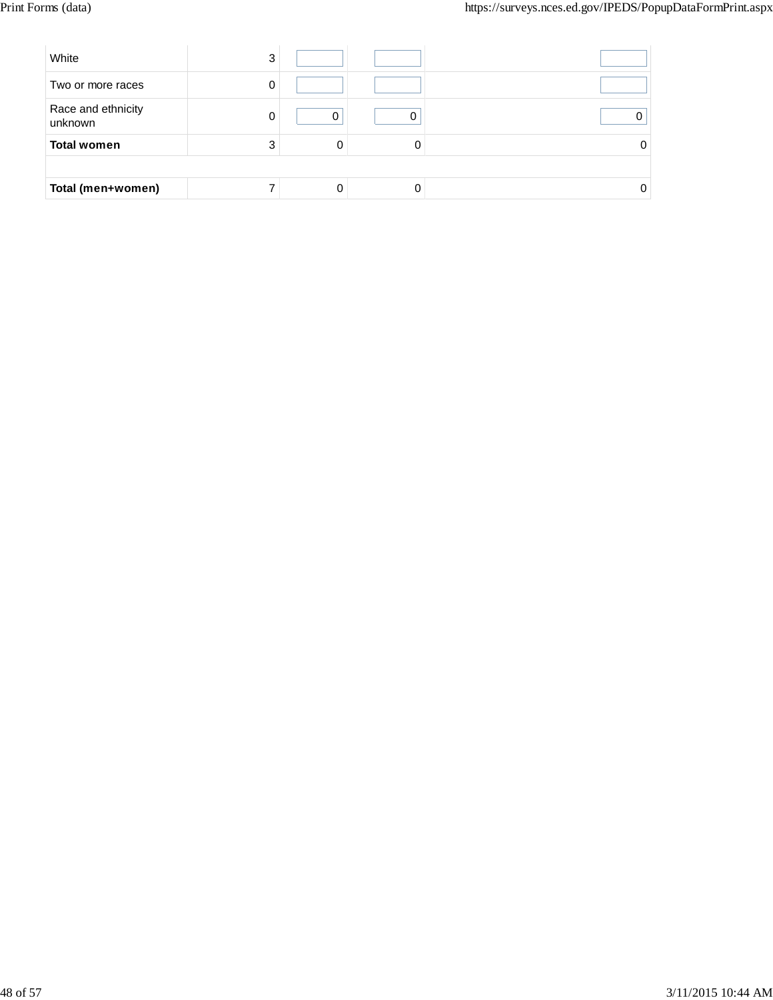| White                         | 3 |   |  |
|-------------------------------|---|---|--|
| Two or more races             | 0 |   |  |
| Race and ethnicity<br>unknown | ი |   |  |
| <b>Total women</b>            | 3 | 0 |  |
|                               |   |   |  |
| Total (men+women)             |   |   |  |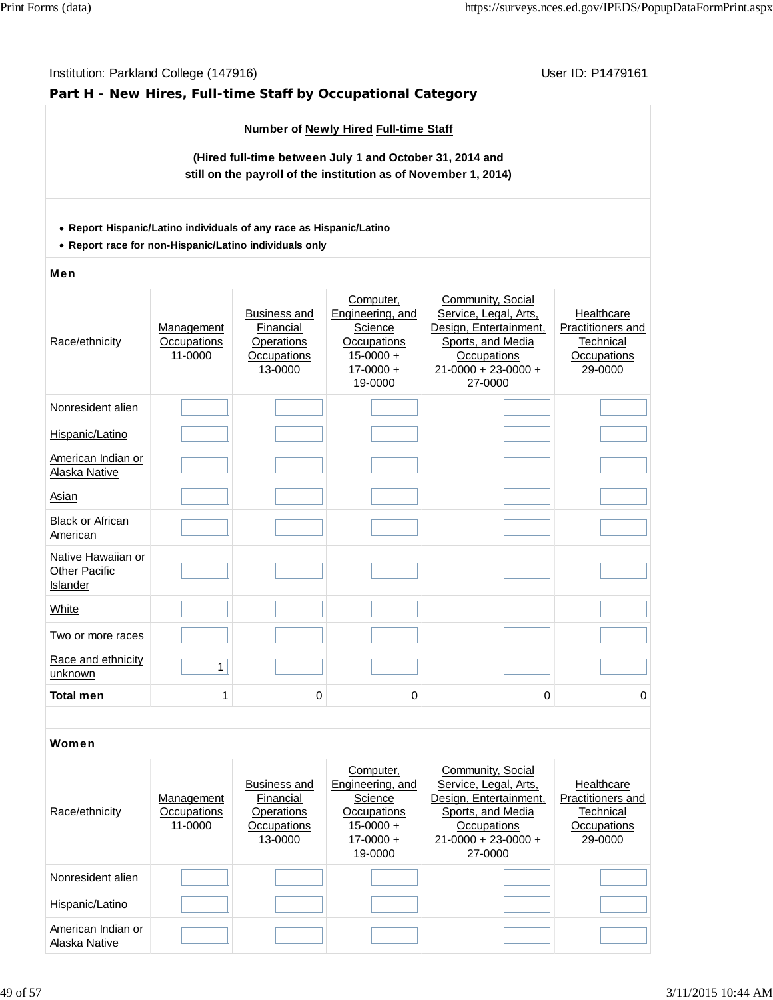### **Part H - New Hires, Full-time Staff by Occupational Category**

### **Number of Newly Hired Full-time Staff**

**(Hired full-time between July 1 and October 31, 2014 and still on the payroll of the institution as of November 1, 2014)**

#### **Report Hispanic/Latino individuals of any race as Hispanic/Latino**

**Report race for non-Hispanic/Latino individuals only**

#### Men

| Race/ethnicity                                         | Management<br>Occupations<br>11-0000 | <b>Business and</b><br>Financial<br>Operations<br>Occupations<br>13-0000 | Computer,<br>Engineering, and<br>Science<br>Occupations<br>$15 - 0000 +$<br>$17 - 0000 +$<br>19-0000 | Community, Social<br>Service, Legal, Arts,<br>Design, Entertainment,<br>Sports, and Media<br>Occupations<br>$21 - 0000 + 23 - 0000 +$<br>27-0000 | Healthcare<br>Practitioners and<br>Technical<br>Occupations<br>29-0000 |
|--------------------------------------------------------|--------------------------------------|--------------------------------------------------------------------------|------------------------------------------------------------------------------------------------------|--------------------------------------------------------------------------------------------------------------------------------------------------|------------------------------------------------------------------------|
| Nonresident alien                                      |                                      |                                                                          |                                                                                                      |                                                                                                                                                  |                                                                        |
| Hispanic/Latino                                        |                                      |                                                                          |                                                                                                      |                                                                                                                                                  |                                                                        |
| American Indian or<br>Alaska Native                    |                                      |                                                                          |                                                                                                      |                                                                                                                                                  |                                                                        |
| Asian                                                  |                                      |                                                                          |                                                                                                      |                                                                                                                                                  |                                                                        |
| <b>Black or African</b><br>American                    |                                      |                                                                          |                                                                                                      |                                                                                                                                                  |                                                                        |
| Native Hawaiian or<br><b>Other Pacific</b><br>Islander |                                      |                                                                          |                                                                                                      |                                                                                                                                                  |                                                                        |
| White                                                  |                                      |                                                                          |                                                                                                      |                                                                                                                                                  |                                                                        |
| Two or more races                                      |                                      |                                                                          |                                                                                                      |                                                                                                                                                  |                                                                        |
| Race and ethnicity<br>unknown                          | $\mathbf{1}$                         |                                                                          |                                                                                                      |                                                                                                                                                  |                                                                        |
| <b>Total men</b>                                       | 1                                    | 0                                                                        | 0                                                                                                    | 0                                                                                                                                                | 0                                                                      |
|                                                        |                                      |                                                                          |                                                                                                      |                                                                                                                                                  |                                                                        |
| Women                                                  |                                      |                                                                          |                                                                                                      |                                                                                                                                                  |                                                                        |

| Race/ethnicity                      | Management<br>Occupations<br>11-0000 | Business and<br>Financial<br>Operations<br>Occupations<br>13-0000 | Computer,<br>Engineering, and<br>Science<br>Occupations<br>$15 - 0000 +$<br>$17 - 0000 +$<br>19-0000 | Community, Social<br>Service, Legal, Arts,<br>Design, Entertainment,<br>Sports, and Media<br>Occupations<br>$21-0000 + 23-0000 +$<br>27-0000 | Healthcare<br>Practitioners and<br>Technical<br>Occupations<br>29-0000 |
|-------------------------------------|--------------------------------------|-------------------------------------------------------------------|------------------------------------------------------------------------------------------------------|----------------------------------------------------------------------------------------------------------------------------------------------|------------------------------------------------------------------------|
| Nonresident alien                   |                                      |                                                                   |                                                                                                      |                                                                                                                                              |                                                                        |
| Hispanic/Latino                     |                                      |                                                                   |                                                                                                      |                                                                                                                                              |                                                                        |
| American Indian or<br>Alaska Native |                                      |                                                                   |                                                                                                      |                                                                                                                                              |                                                                        |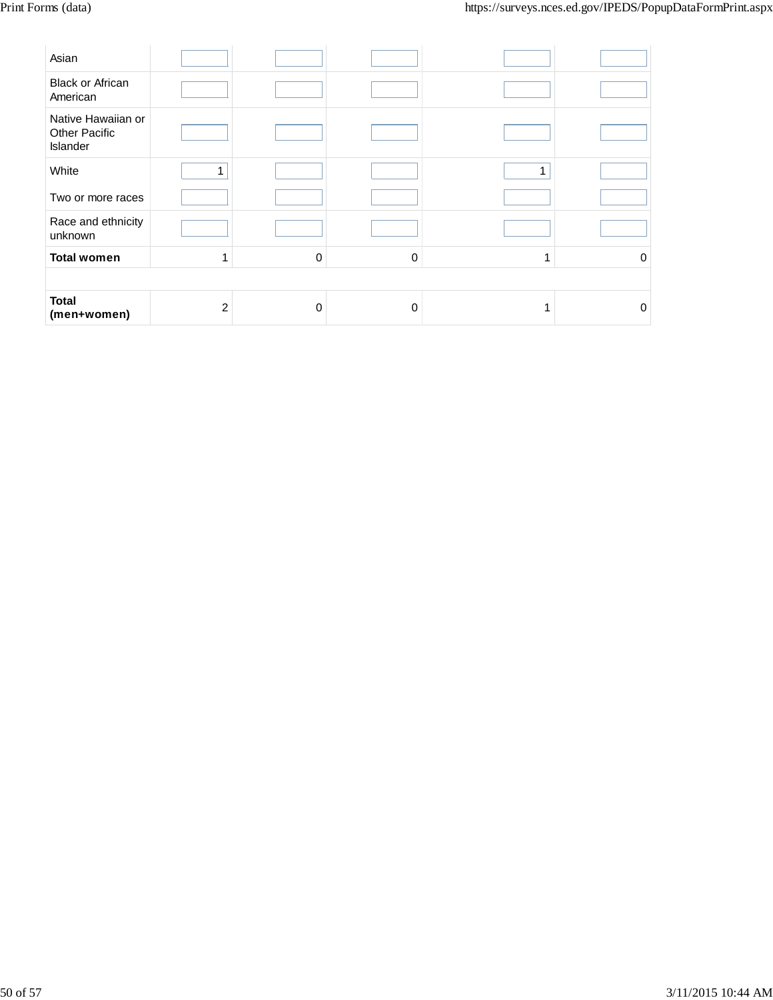| Asian                                           |                |   |          |   |          |
|-------------------------------------------------|----------------|---|----------|---|----------|
| <b>Black or African</b><br>American             |                |   |          |   |          |
| Native Hawaiian or<br>Other Pacific<br>Islander |                |   |          |   |          |
| White                                           | 1              |   |          | 1 |          |
| Two or more races                               |                |   |          |   |          |
| Race and ethnicity<br>unknown                   |                |   |          |   |          |
| <b>Total women</b>                              | $\mathbf{1}$   | 0 | $\Omega$ | 1 | $\Omega$ |
|                                                 |                |   |          |   |          |
| <b>Total</b><br>(men+women)                     | $\overline{c}$ | 0 | $\Omega$ |   | $\Omega$ |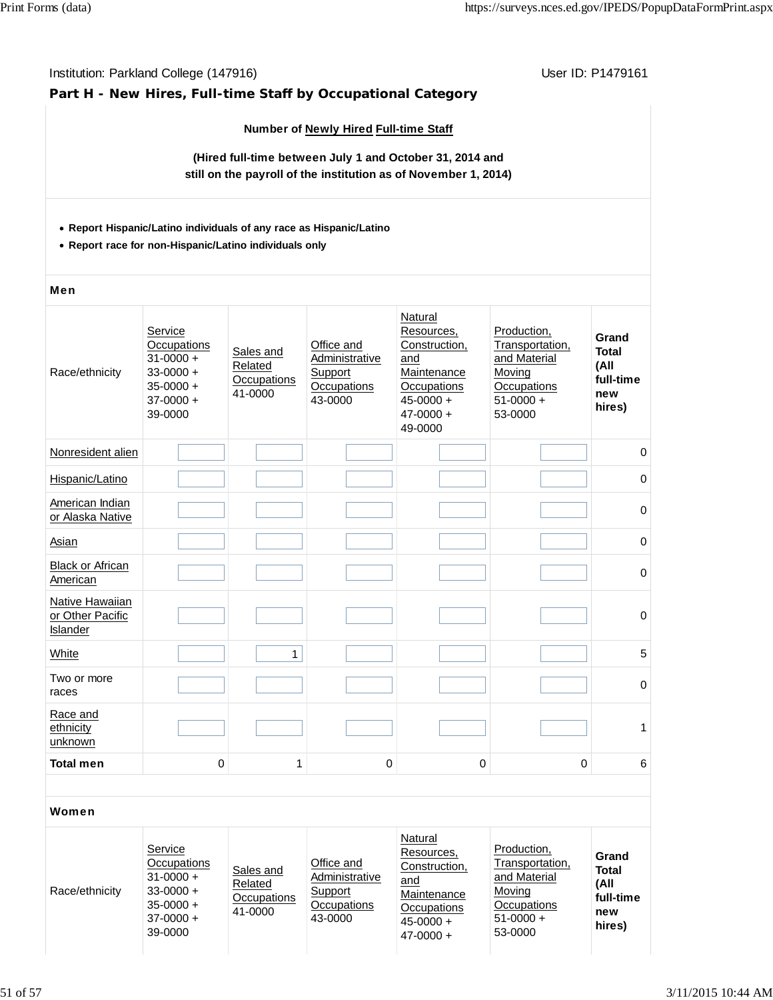### **Part H - New Hires, Full-time Staff by Occupational Category**

#### **Number of Newly Hired Full-time Staff**

**(Hired full-time between July 1 and October 31, 2014 and still on the payroll of the institution as of November 1, 2014)**

#### **Report Hispanic/Latino individuals of any race as Hispanic/Latino**

**Report race for non-Hispanic/Latino individuals only**

#### Men

| Race/ethnicity                                  | Service<br><b>Occupations</b><br>$31 - 0000 +$<br>$33 - 0000 +$<br>$35 - 0000 +$<br>$37 - 0000 +$<br>39-0000 | Sales and<br>Related<br>Occupations<br>41-0000 | Office and<br>Administrative<br>Support<br>Occupations<br>43-0000 | Natural<br>Resources,<br>Construction,<br>and<br>Maintenance<br>Occupations<br>$45 - 0000 +$<br>$47 - 0000 +$<br>49-0000 | Production,<br>Transportation,<br>and Material<br>Moving<br>Occupations<br>$51-0000 +$<br>53-0000 | Grand<br><b>Total</b><br>(All<br>full-time<br>new<br>hires) |
|-------------------------------------------------|--------------------------------------------------------------------------------------------------------------|------------------------------------------------|-------------------------------------------------------------------|--------------------------------------------------------------------------------------------------------------------------|---------------------------------------------------------------------------------------------------|-------------------------------------------------------------|
| Nonresident alien                               |                                                                                                              |                                                |                                                                   |                                                                                                                          |                                                                                                   | $\mathbf 0$                                                 |
| Hispanic/Latino                                 |                                                                                                              |                                                |                                                                   |                                                                                                                          |                                                                                                   | $\mathbf 0$                                                 |
| American Indian<br>or Alaska Native             |                                                                                                              |                                                |                                                                   |                                                                                                                          |                                                                                                   | $\mathbf 0$                                                 |
| Asian                                           |                                                                                                              |                                                |                                                                   |                                                                                                                          |                                                                                                   | $\pmb{0}$                                                   |
| <b>Black or African</b><br>American             |                                                                                                              |                                                |                                                                   |                                                                                                                          |                                                                                                   | $\mathbf 0$                                                 |
| Native Hawaiian<br>or Other Pacific<br>Islander |                                                                                                              |                                                |                                                                   |                                                                                                                          |                                                                                                   | $\mathbf 0$                                                 |
| White                                           |                                                                                                              | $\mathbf{1}$                                   |                                                                   |                                                                                                                          |                                                                                                   | 5                                                           |
| Two or more<br>races                            |                                                                                                              |                                                |                                                                   |                                                                                                                          |                                                                                                   | $\pmb{0}$                                                   |
| Race and<br>ethnicity<br>unknown                |                                                                                                              |                                                |                                                                   |                                                                                                                          |                                                                                                   | 1                                                           |
| <b>Total men</b>                                | $\mathbf 0$                                                                                                  | 1                                              | 0                                                                 | $\pmb{0}$                                                                                                                | $\mathbf 0$                                                                                       | $\,6\,$                                                     |
|                                                 |                                                                                                              |                                                |                                                                   |                                                                                                                          |                                                                                                   |                                                             |
| Women                                           |                                                                                                              |                                                |                                                                   |                                                                                                                          |                                                                                                   |                                                             |

| Race/ethnicity | Service<br><b>Occupations</b><br>$31 - 0000 +$<br>$33 - 0000 +$<br>$35-0000 +$<br>$37 - 0000 +$<br>39-0000 | Sales and<br>Related<br>Occupations<br>41-0000 | Office and<br>Administrative<br>Support<br>Occupations<br>43-0000 | Natural<br>Resources.<br>Construction,<br>and<br>Maintenance<br>Occupations<br>$45 - 0000 +$<br>$47 - 0000 +$ | Production,<br>Transportation.<br>and Material<br>Moving<br>Occupations<br>$51-0000 +$<br>53-0000 | Grand<br><b>Total</b><br>(All<br>full-time<br>new<br>hires) |
|----------------|------------------------------------------------------------------------------------------------------------|------------------------------------------------|-------------------------------------------------------------------|---------------------------------------------------------------------------------------------------------------|---------------------------------------------------------------------------------------------------|-------------------------------------------------------------|
|----------------|------------------------------------------------------------------------------------------------------------|------------------------------------------------|-------------------------------------------------------------------|---------------------------------------------------------------------------------------------------------------|---------------------------------------------------------------------------------------------------|-------------------------------------------------------------|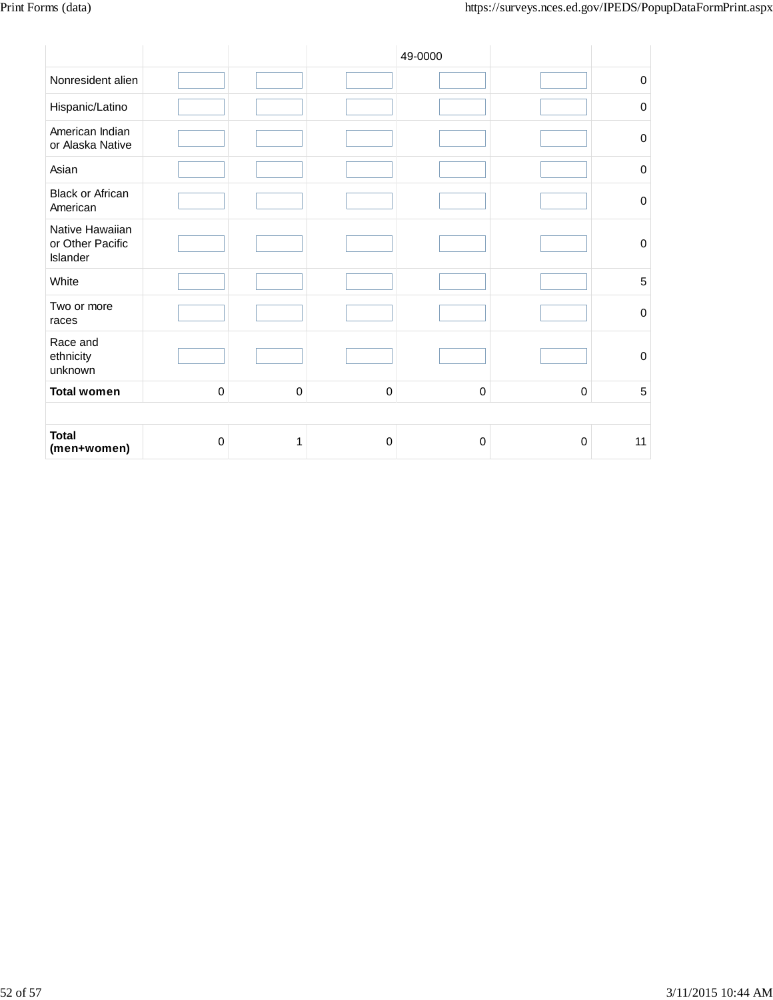|                                                 |             |             |             | 49-0000     |                  |                  |
|-------------------------------------------------|-------------|-------------|-------------|-------------|------------------|------------------|
| Nonresident alien                               |             |             |             |             |                  | $\mathbf 0$      |
| Hispanic/Latino                                 |             |             |             |             |                  | $\boldsymbol{0}$ |
| American Indian<br>or Alaska Native             |             |             |             |             |                  | $\boldsymbol{0}$ |
| Asian                                           |             |             |             |             |                  | $\mathbf 0$      |
| <b>Black or African</b><br>American             |             |             |             |             |                  | $\mathbf 0$      |
| Native Hawaiian<br>or Other Pacific<br>Islander |             |             |             |             |                  | $\pmb{0}$        |
| White                                           |             |             |             |             |                  | $\sqrt{5}$       |
| Two or more<br>races                            |             |             |             |             |                  | $\boldsymbol{0}$ |
| Race and<br>ethnicity<br>unknown                |             |             |             |             |                  | $\mathbf 0$      |
| <b>Total women</b>                              | $\mathbf 0$ | $\mathbf 0$ | $\mathbf 0$ | $\mathbf 0$ | $\pmb{0}$        | $\sqrt{5}$       |
|                                                 |             |             |             |             |                  |                  |
| <b>Total</b><br>(men+women)                     | 0           | 1           | 0           | 0           | $\boldsymbol{0}$ | 11               |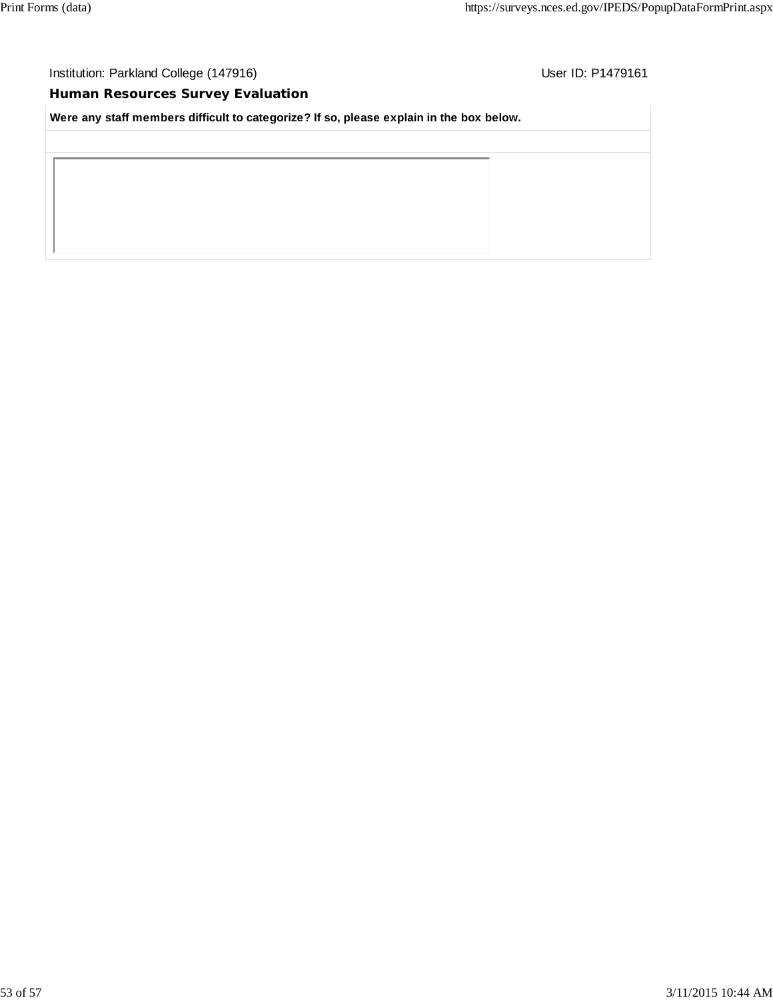# **Human Resources Survey Evaluation**

**Were any staff members difficult to categorize? If so, please explain in the box below.**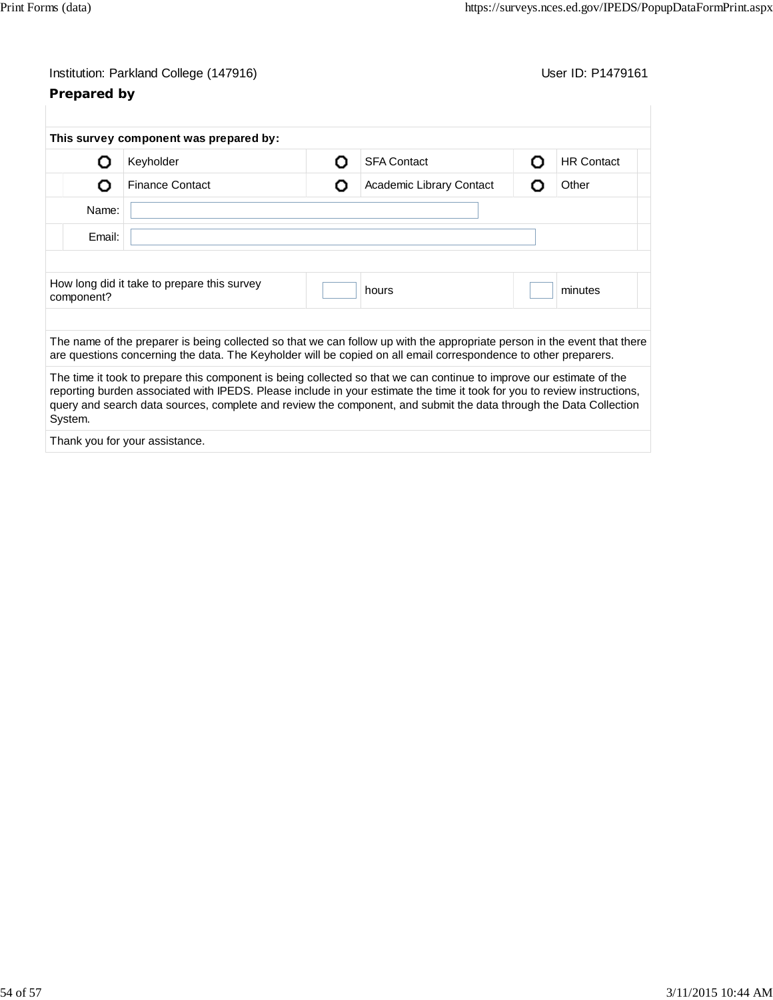# **Prepared by**

|            | This survey component was prepared by:                                                                                                                                                                                                                                                                                                                                |   |                          |   |                   |
|------------|-----------------------------------------------------------------------------------------------------------------------------------------------------------------------------------------------------------------------------------------------------------------------------------------------------------------------------------------------------------------------|---|--------------------------|---|-------------------|
| וו         | Keyholder                                                                                                                                                                                                                                                                                                                                                             | Ω | <b>SFA Contact</b>       | Ω | <b>HR Contact</b> |
| O          | <b>Finance Contact</b>                                                                                                                                                                                                                                                                                                                                                | Ω | Academic Library Contact | O | Other             |
| Name:      |                                                                                                                                                                                                                                                                                                                                                                       |   |                          |   |                   |
| Email:     |                                                                                                                                                                                                                                                                                                                                                                       |   |                          |   |                   |
|            |                                                                                                                                                                                                                                                                                                                                                                       |   |                          |   |                   |
| component? | How long did it take to prepare this survey                                                                                                                                                                                                                                                                                                                           |   | hours                    |   | minutes           |
|            | The name of the preparer is being collected so that we can follow up with the appropriate person in the event that there<br>are questions concerning the data. The Keyholder will be copied on all email correspondence to other preparers.                                                                                                                           |   |                          |   |                   |
| System.    | The time it took to prepare this component is being collected so that we can continue to improve our estimate of the<br>reporting burden associated with IPEDS. Please include in your estimate the time it took for you to review instructions,<br>query and search data sources, complete and review the component, and submit the data through the Data Collection |   |                          |   |                   |
|            | Thank you for your assistance.                                                                                                                                                                                                                                                                                                                                        |   |                          |   |                   |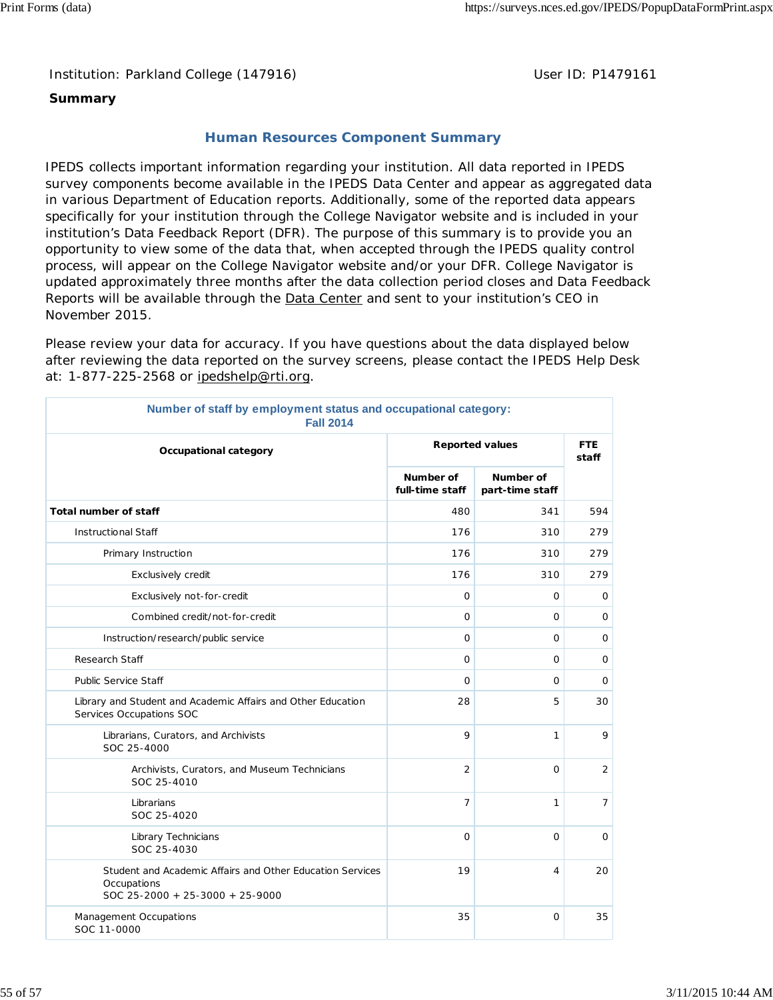# **Summary**

# **Human Resources Component Summary**

IPEDS collects important information regarding your institution. All data reported in IPEDS survey components become available in the IPEDS Data Center and appear as aggregated data in various Department of Education reports. Additionally, some of the reported data appears specifically for your institution through the College Navigator website and is included in your institution's Data Feedback Report (DFR). The purpose of this summary is to provide you an opportunity to view some of the data that, when accepted through the IPEDS quality control process, will appear on the College Navigator website and/or your DFR. College Navigator is updated approximately three months after the data collection period closes and Data Feedback Reports will be available through the **Data Center** and sent to your institution's CEO in November 2015.

Please review your data for accuracy. If you have questions about the data displayed below after reviewing the data reported on the survey screens, please contact the IPEDS Help Desk at: 1-877-225-2568 or ipedshelp@rti.org.

| Number of staff by employment status and occupational category:<br><b>Fall 2014</b>                         |                              |                              |                     |  |  |
|-------------------------------------------------------------------------------------------------------------|------------------------------|------------------------------|---------------------|--|--|
| Occupational category                                                                                       |                              | <b>Reported values</b>       | <b>FTE</b><br>staff |  |  |
|                                                                                                             | Number of<br>full-time staff | Number of<br>part-time staff |                     |  |  |
| <b>Total number of staff</b>                                                                                | 480                          | 341                          | 594                 |  |  |
| <b>Instructional Staff</b>                                                                                  | 176                          | 310                          | 279                 |  |  |
| Primary Instruction                                                                                         | 176                          | 310                          | 279                 |  |  |
| Exclusively credit                                                                                          | 176                          | 310                          | 279                 |  |  |
| Exclusively not-for-credit                                                                                  | $\circ$                      | 0                            | 0                   |  |  |
| Combined credit/not-for-credit                                                                              | $\mathbf 0$                  | 0                            | 0                   |  |  |
| Instruction/research/public service                                                                         | $\mathbf 0$                  | 0                            | $\mathbf 0$         |  |  |
| Research Staff                                                                                              | $\circ$                      | $\mathbf 0$                  | $\mathbf 0$         |  |  |
| <b>Public Service Staff</b>                                                                                 | $\mathbf 0$                  | 0                            | 0                   |  |  |
| Library and Student and Academic Affairs and Other Education<br>Services Occupations SOC                    | 28                           | 5                            | 30                  |  |  |
| Librarians, Curators, and Archivists<br>SOC 25-4000                                                         | 9                            | 1                            | 9                   |  |  |
| Archivists, Curators, and Museum Technicians<br>SOC 25-4010                                                 | $\overline{2}$               | 0                            | $\overline{2}$      |  |  |
| Librarians<br>SOC 25-4020                                                                                   | $\overline{7}$               | 1                            | $\overline{7}$      |  |  |
| Library Technicians<br>SOC 25-4030                                                                          | $\circ$                      | $\circ$                      | $\mathbf 0$         |  |  |
| Student and Academic Affairs and Other Education Services<br>Occupations<br>SOC 25-2000 + 25-3000 + 25-9000 | 19                           | 4                            | 20                  |  |  |
| Management Occupations<br>SOC 11-0000                                                                       | 35                           | $\circ$                      | 35                  |  |  |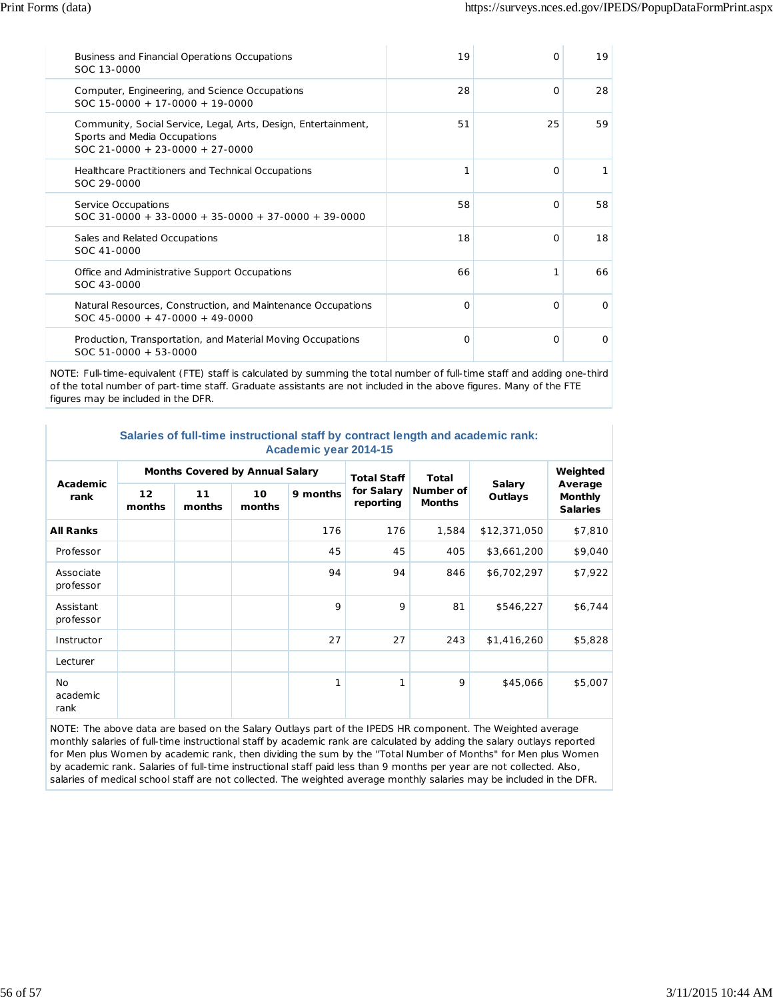| Business and Financial Operations Occupations<br>SOC 13-0000                                                                        | 19 | $\Omega$ | 19       |
|-------------------------------------------------------------------------------------------------------------------------------------|----|----------|----------|
| Computer, Engineering, and Science Occupations<br>$SOC 15-0000 + 17-0000 + 19-0000$                                                 | 28 | $\Omega$ | 28       |
| Community, Social Service, Legal, Arts, Design, Entertainment,<br>Sports and Media Occupations<br>$SOC$ 21-0000 + 23-0000 + 27-0000 | 51 | 25       | 59       |
| Healthcare Practitioners and Technical Occupations<br>SOC 29-0000                                                                   | 1  | $\Omega$ |          |
| Service Occupations<br>$SOC$ 31-0000 + 33-0000 + 35-0000 + 37-0000 + 39-0000                                                        | 58 | $\Omega$ | 58       |
| Sales and Related Occupations<br>SOC 41-0000                                                                                        | 18 | $\Omega$ | 18       |
| Office and Administrative Support Occupations<br>SOC 43-0000                                                                        | 66 |          | 66       |
| Natural Resources, Construction, and Maintenance Occupations<br>$SOC$ 45-0000 + 47-0000 + 49-0000                                   | O  | $\Omega$ | $\Omega$ |
| Production, Transportation, and Material Moving Occupations<br>$SOC 51-0000 + 53-0000$                                              | O  | $\Omega$ | $\Omega$ |

NOTE: Full-time-equivalent (FTE) staff is calculated by summing the total number of full-time staff and adding one-third of the total number of part-time staff. Graduate assistants are not included in the above figures. Many of the FTE figures may be included in the DFR.

| Salaries of full-time instructional staff by contract length and academic rank: |  |  |  |  |  |  |  |
|---------------------------------------------------------------------------------|--|--|--|--|--|--|--|
| Academic year 2014-15                                                           |  |  |  |  |  |  |  |

| Academic<br>rank        | <b>Months Covered by Annual Salary</b> |              |              |          | <b>Total Staff</b>      | <b>Total</b>               |                   | Weighted                                     |
|-------------------------|----------------------------------------|--------------|--------------|----------|-------------------------|----------------------------|-------------------|----------------------------------------------|
|                         | 12 <sub>2</sub><br>months              | 11<br>months | 10<br>months | 9 months | for Salary<br>reporting | Number of<br><b>Months</b> | Salary<br>Outlays | Average<br><b>Monthly</b><br><b>Salaries</b> |
| <b>All Ranks</b>        |                                        |              |              | 176      | 176                     | 1,584                      | \$12,371,050      | \$7,810                                      |
| Professor               |                                        |              |              | 45       | 45                      | 405                        | \$3,661,200       | \$9,040                                      |
| Associate<br>professor  |                                        |              |              | 94       | 94                      | 846                        | \$6,702,297       | \$7,922                                      |
| Assistant<br>professor  |                                        |              |              | 9        | 9                       | 81                         | \$546,227         | \$6,744                                      |
| Instructor              |                                        |              |              | 27       | 27                      | 243                        | \$1,416,260       | \$5,828                                      |
| Lecturer                |                                        |              |              |          |                         |                            |                   |                                              |
| No.<br>academic<br>rank |                                        |              |              | 1        | 1                       | 9                          | \$45,066          | \$5,007                                      |

NOTE: The above data are based on the Salary Outlays part of the IPEDS HR component. The Weighted average monthly salaries of full-time instructional staff by academic rank are calculated by adding the salary outlays reported for Men plus Women by academic rank, then dividing the sum by the "Total Number of Months" for Men plus Women by academic rank. Salaries of full-time instructional staff paid less than 9 months per year are not collected. Also, salaries of medical school staff are not collected. The weighted average monthly salaries may be included in the DFR.